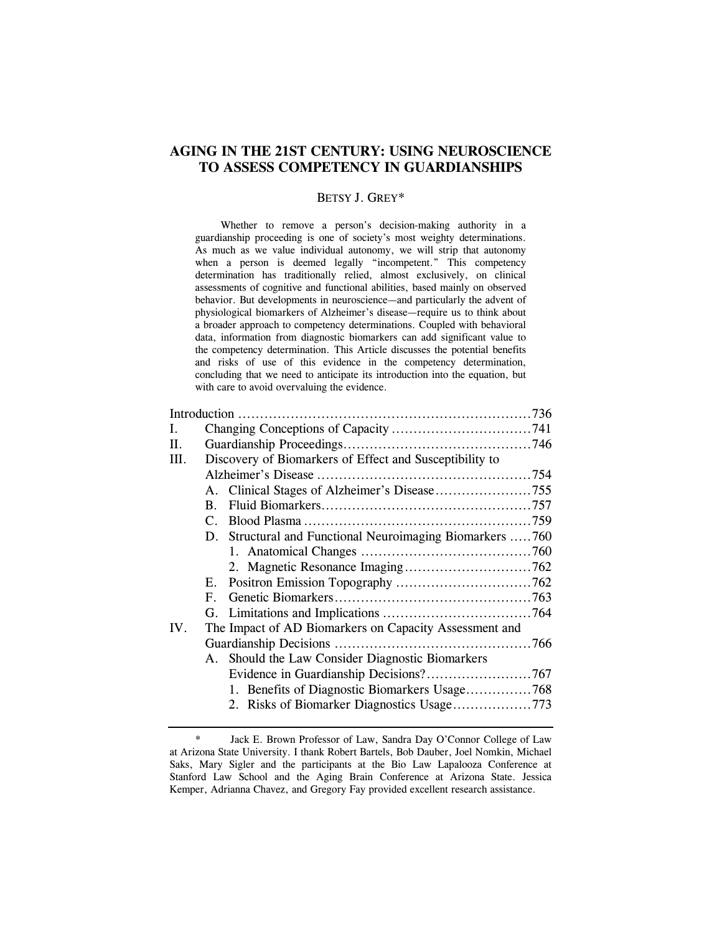# **AGING IN THE 21ST CENTURY: USING NEUROSCIENCE TO ASSESS COMPETENCY IN GUARDIANSHIPS**

### BETSY J. GREY\*

 Whether to remove a person's decision-making authority in a guardianship proceeding is one of society's most weighty determinations. As much as we value individual autonomy, we will strip that autonomy when a person is deemed legally "incompetent." This competency determination has traditionally relied, almost exclusively, on clinical assessments of cognitive and functional abilities, based mainly on observed behavior. But developments in neuroscience—and particularly the advent of physiological biomarkers of Alzheimer's disease—require us to think about a broader approach to competency determinations. Coupled with behavioral data, information from diagnostic biomarkers can add significant value to the competency determination. This Article discusses the potential benefits and risks of use of this evidence in the competency determination, concluding that we need to anticipate its introduction into the equation, but with care to avoid overvaluing the evidence.

| L    |                                                          |  |
|------|----------------------------------------------------------|--|
| II.  |                                                          |  |
| III. | Discovery of Biomarkers of Effect and Susceptibility to  |  |
|      |                                                          |  |
|      |                                                          |  |
|      | $\mathbf{B}_{\cdot}$                                     |  |
|      | $\mathcal{C}$                                            |  |
|      | D. Structural and Functional Neuroimaging Biomarkers 760 |  |
|      |                                                          |  |
|      |                                                          |  |
|      | E.                                                       |  |
|      | $\mathbf{F}_{\cdot}$                                     |  |
|      |                                                          |  |
| IV.  | The Impact of AD Biomarkers on Capacity Assessment and   |  |
|      |                                                          |  |
|      | A. Should the Law Consider Diagnostic Biomarkers         |  |
|      |                                                          |  |
|      | 1. Benefits of Diagnostic Biomarkers Usage768            |  |
|      |                                                          |  |
|      |                                                          |  |

 <sup>\*</sup> Jack E. Brown Professor of Law, Sandra Day O'Connor College of Law at Arizona State University. I thank Robert Bartels, Bob Dauber, Joel Nomkin, Michael Saks, Mary Sigler and the participants at the Bio Law Lapalooza Conference at Stanford Law School and the Aging Brain Conference at Arizona State. Jessica Kemper, Adrianna Chavez, and Gregory Fay provided excellent research assistance.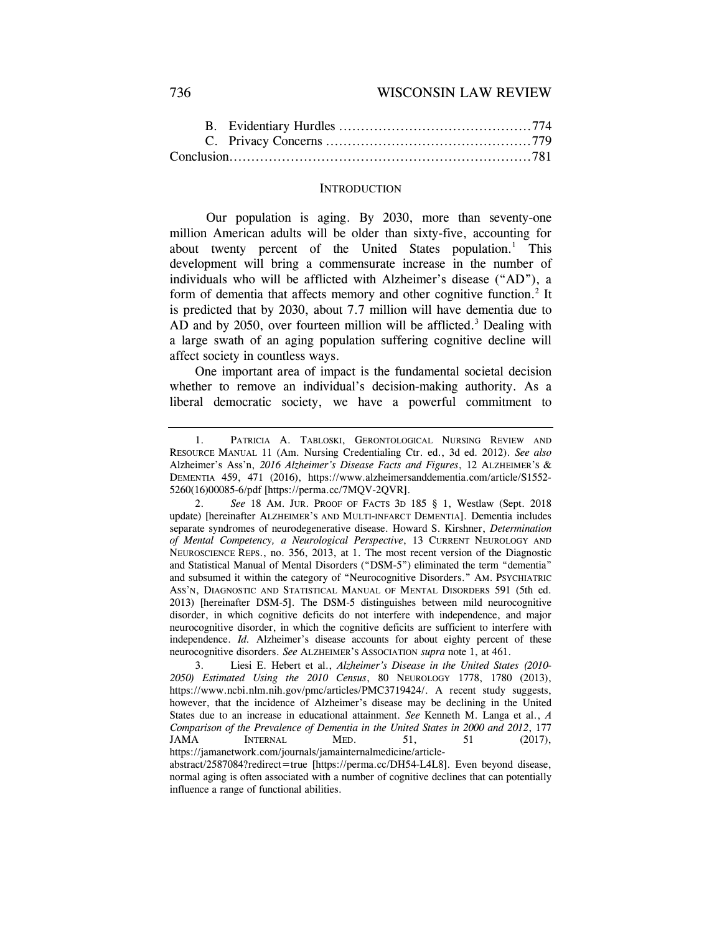### 736 WISCONSIN LAW REVIEW

#### **INTRODUCTION**

 Our population is aging. By 2030, more than seventy-one million American adults will be older than sixty-five, accounting for about twenty percent of the United States population.<sup>1</sup> This development will bring a commensurate increase in the number of individuals who will be afflicted with Alzheimer's disease ("AD"), a form of dementia that affects memory and other cognitive function.<sup>2</sup> It is predicted that by 2030, about 7.7 million will have dementia due to AD and by 2050, over fourteen million will be afflicted.<sup>3</sup> Dealing with a large swath of an aging population suffering cognitive decline will affect society in countless ways.

One important area of impact is the fundamental societal decision whether to remove an individual's decision-making authority. As a liberal democratic society, we have a powerful commitment to

 <sup>1.</sup> PATRICIA A. TABLOSKI, GERONTOLOGICAL NURSING REVIEW AND RESOURCE MANUAL 11 (Am. Nursing Credentialing Ctr. ed., 3d ed. 2012). *See also* Alzheimer's Ass'n, *2016 Alzheimer's Disease Facts and Figures*, 12 ALZHEIMER'S & DEMENTIA 459, 471 (2016), https://www.alzheimersanddementia.com/article/S1552- 5260(16)00085-6/pdf [https://perma.cc/7MQV-2QVR].

 <sup>2.</sup> *See* 18 AM. JUR. PROOF OF FACTS 3D 185 § 1, Westlaw (Sept. 2018 update) [hereinafter ALZHEIMER'S AND MULTI-INFARCT DEMENTIA]. Dementia includes separate syndromes of neurodegenerative disease. Howard S. Kirshner, *Determination of Mental Competency, a Neurological Perspective*, 13 CURRENT NEUROLOGY AND NEUROSCIENCE REPS., no. 356, 2013, at 1. The most recent version of the Diagnostic and Statistical Manual of Mental Disorders ("DSM-5") eliminated the term "dementia" and subsumed it within the category of "Neurocognitive Disorders." AM. PSYCHIATRIC ASS'N, DIAGNOSTIC AND STATISTICAL MANUAL OF MENTAL DISORDERS 591 (5th ed. 2013) [hereinafter DSM-5]. The DSM-5 distinguishes between mild neurocognitive disorder, in which cognitive deficits do not interfere with independence, and major neurocognitive disorder, in which the cognitive deficits are sufficient to interfere with independence. *Id.* Alzheimer's disease accounts for about eighty percent of these neurocognitive disorders. *See* ALZHEIMER'S ASSOCIATION *supra* note 1, at 461.

 <sup>3.</sup> Liesi E. Hebert et al., *Alzheimer's Disease in the United States (2010- 2050) Estimated Using the 2010 Census*, 80 NEUROLOGY 1778, 1780 (2013), https://www.ncbi.nlm.nih.gov/pmc/articles/PMC3719424/. A recent study suggests, however, that the incidence of Alzheimer's disease may be declining in the United States due to an increase in educational attainment. *See* Kenneth M. Langa et al., *A Comparison of the Prevalence of Dementia in the United States in 2000 and 2012*, 177 JAMA INTERNAL MED. 51, 51 (2017), https://jamanetwork.com/journals/jamainternalmedicine/article-

abstract/2587084?redirect=true [https://perma.cc/DH54-L4L8]. Even beyond disease, normal aging is often associated with a number of cognitive declines that can potentially influence a range of functional abilities.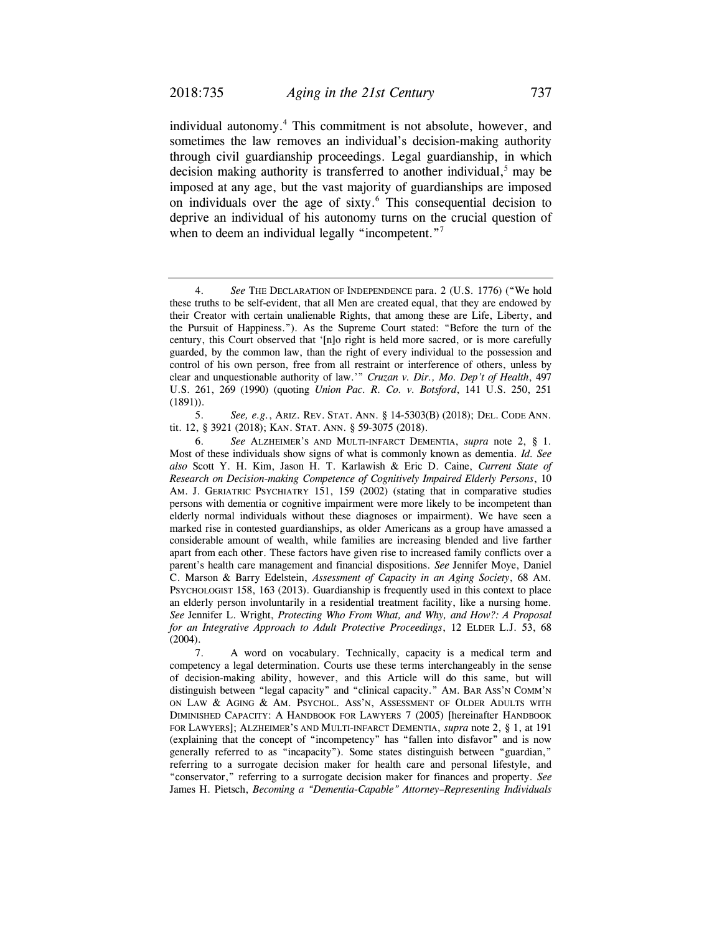individual autonomy.<sup>4</sup> This commitment is not absolute, however, and sometimes the law removes an individual's decision-making authority through civil guardianship proceedings. Legal guardianship, in which decision making authority is transferred to another individual,<sup>5</sup> may be imposed at any age, but the vast majority of guardianships are imposed on individuals over the age of sixty.<sup>6</sup> This consequential decision to deprive an individual of his autonomy turns on the crucial question of when to deem an individual legally "incompetent."<sup>7</sup>

 <sup>4.</sup> *See* THE DECLARATION OF INDEPENDENCE para. 2 (U.S. 1776) ("We hold these truths to be self-evident, that all Men are created equal, that they are endowed by their Creator with certain unalienable Rights, that among these are Life, Liberty, and the Pursuit of Happiness."). As the Supreme Court stated: "Before the turn of the century, this Court observed that '[n]o right is held more sacred, or is more carefully guarded, by the common law, than the right of every individual to the possession and control of his own person, free from all restraint or interference of others, unless by clear and unquestionable authority of law.'" *Cruzan v. Dir., Mo. Dep't of Health*, 497 U.S. 261, 269 (1990) (quoting *Union Pac. R. Co. v. Botsford*, 141 U.S. 250, 251 (1891)).

 <sup>5.</sup> *See, e.g.*, ARIZ. REV. STAT. ANN. § 14-5303(B) (2018); DEL. CODE ANN. tit. 12, § 3921 (2018); KAN. STAT. ANN. § 59-3075 (2018).

 <sup>6.</sup> *See* ALZHEIMER'S AND MULTI-INFARCT DEMENTIA, *supra* note 2, § 1. Most of these individuals show signs of what is commonly known as dementia. *Id. See also* Scott Y. H. Kim, Jason H. T. Karlawish & Eric D. Caine, *Current State of Research on Decision-making Competence of Cognitively Impaired Elderly Persons*, 10 AM. J. GERIATRIC PSYCHIATRY 151, 159 (2002) (stating that in comparative studies persons with dementia or cognitive impairment were more likely to be incompetent than elderly normal individuals without these diagnoses or impairment). We have seen a marked rise in contested guardianships, as older Americans as a group have amassed a considerable amount of wealth, while families are increasing blended and live farther apart from each other. These factors have given rise to increased family conflicts over a parent's health care management and financial dispositions. *See* Jennifer Moye, Daniel C. Marson & Barry Edelstein, *Assessment of Capacity in an Aging Society*, 68 AM. PSYCHOLOGIST 158, 163 (2013). Guardianship is frequently used in this context to place an elderly person involuntarily in a residential treatment facility, like a nursing home. *See* Jennifer L. Wright, *Protecting Who From What, and Why, and How?: A Proposal for an Integrative Approach to Adult Protective Proceedings*, 12 ELDER L.J. 53, 68 (2004).

 <sup>7.</sup> A word on vocabulary. Technically, capacity is a medical term and competency a legal determination. Courts use these terms interchangeably in the sense of decision-making ability, however, and this Article will do this same, but will distinguish between "legal capacity" and "clinical capacity." AM. BAR ASS'N COMM'N ON LAW & AGING & AM. PSYCHOL. ASS'N, ASSESSMENT OF OLDER ADULTS WITH DIMINISHED CAPACITY: A HANDBOOK FOR LAWYERS 7 (2005) [hereinafter HANDBOOK FOR LAWYERS]; ALZHEIMER'S AND MULTI-INFARCT DEMENTIA, *supra* note 2, § 1, at 191 (explaining that the concept of "incompetency" has "fallen into disfavor" and is now generally referred to as "incapacity"). Some states distinguish between "guardian," referring to a surrogate decision maker for health care and personal lifestyle, and "conservator," referring to a surrogate decision maker for finances and property. *See* James H. Pietsch, *Becoming a "Dementia-Capable" Attorney–Representing Individuals*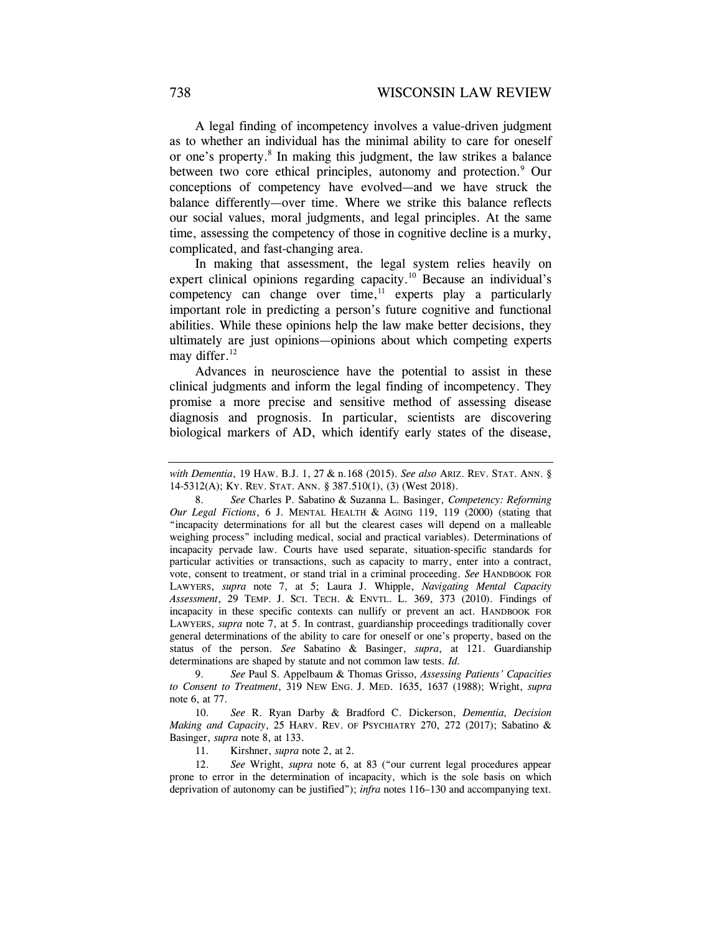A legal finding of incompetency involves a value-driven judgment as to whether an individual has the minimal ability to care for oneself or one's property.<sup>8</sup> In making this judgment, the law strikes a balance between two core ethical principles, autonomy and protection.<sup>9</sup> Our conceptions of competency have evolved—and we have struck the balance differently—over time. Where we strike this balance reflects our social values, moral judgments, and legal principles. At the same time, assessing the competency of those in cognitive decline is a murky, complicated, and fast-changing area.

In making that assessment, the legal system relies heavily on expert clinical opinions regarding capacity.<sup>10</sup> Because an individual's competency can change over time,  $\frac{1}{2}$  experts play a particularly important role in predicting a person's future cognitive and functional abilities. While these opinions help the law make better decisions, they ultimately are just opinions—opinions about which competing experts may differ.<sup>12</sup>

Advances in neuroscience have the potential to assist in these clinical judgments and inform the legal finding of incompetency. They promise a more precise and sensitive method of assessing disease diagnosis and prognosis. In particular, scientists are discovering biological markers of AD, which identify early states of the disease,

 9. *See* Paul S. Appelbaum & Thomas Grisso, *Assessing Patients' Capacities to Consent to Treatment*, 319 NEW ENG. J. MED. 1635, 1637 (1988); Wright, *supra*  note 6, at 77.

 10. *See* R. Ryan Darby & Bradford C. Dickerson, *Dementia, Decision Making and Capacity*, 25 HARV. REV. OF PSYCHIATRY 270, 272 (2017); Sabatino & Basinger, *supra* note 8, at 133.

11. Kirshner, *supra* note 2, at 2.

 12. *See* Wright, *supra* note 6, at 83 ("our current legal procedures appear prone to error in the determination of incapacity, which is the sole basis on which deprivation of autonomy can be justified"); *infra* notes 116–130 and accompanying text.

*with Dementia*, 19 HAW. B.J. 1, 27 & n.168 (2015). *See also* ARIZ. REV. STAT. ANN. § 14-5312(A); KY. REV. STAT. ANN. § 387.510(1), (3) (West 2018).

 <sup>8.</sup> *See* Charles P. Sabatino & Suzanna L. Basinger, *Competency: Reforming Our Legal Fictions*, 6 J. MENTAL HEALTH & AGING 119, 119 (2000) (stating that "incapacity determinations for all but the clearest cases will depend on a malleable weighing process" including medical, social and practical variables). Determinations of incapacity pervade law. Courts have used separate, situation-specific standards for particular activities or transactions, such as capacity to marry, enter into a contract, vote, consent to treatment, or stand trial in a criminal proceeding. *See* HANDBOOK FOR LAWYERS, *supra* note 7, at 5; Laura J. Whipple, *Navigating Mental Capacity Assessment*, 29 TEMP. J. SCI. TECH. & ENVTL. L. 369, 373 (2010). Findings of incapacity in these specific contexts can nullify or prevent an act. HANDBOOK FOR LAWYERS, *supra* note 7, at 5. In contrast, guardianship proceedings traditionally cover general determinations of the ability to care for oneself or one's property, based on the status of the person. *See* Sabatino & Basinger, *supra*, at 121. Guardianship determinations are shaped by statute and not common law tests. *Id.*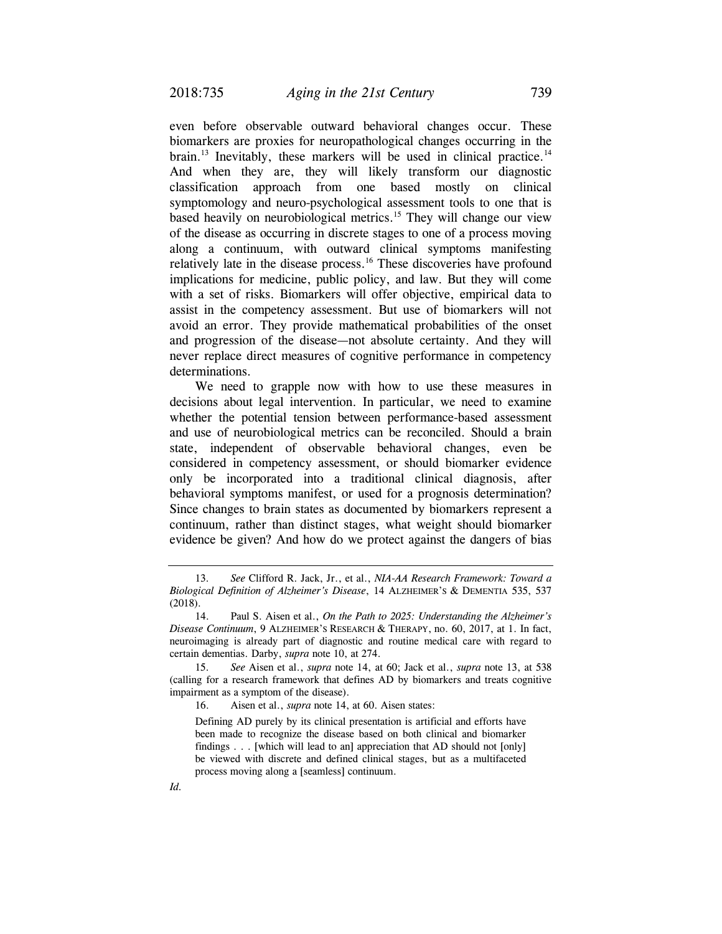even before observable outward behavioral changes occur. These biomarkers are proxies for neuropathological changes occurring in the brain.<sup>13</sup> Inevitably, these markers will be used in clinical practice.<sup>14</sup> And when they are, they will likely transform our diagnostic classification approach from one based mostly on clinical symptomology and neuro-psychological assessment tools to one that is based heavily on neurobiological metrics.<sup>15</sup> They will change our view of the disease as occurring in discrete stages to one of a process moving along a continuum, with outward clinical symptoms manifesting relatively late in the disease process.16 These discoveries have profound implications for medicine, public policy, and law. But they will come with a set of risks. Biomarkers will offer objective, empirical data to assist in the competency assessment. But use of biomarkers will not avoid an error. They provide mathematical probabilities of the onset and progression of the disease—not absolute certainty. And they will never replace direct measures of cognitive performance in competency determinations.

We need to grapple now with how to use these measures in decisions about legal intervention. In particular, we need to examine whether the potential tension between performance-based assessment and use of neurobiological metrics can be reconciled. Should a brain state, independent of observable behavioral changes, even be considered in competency assessment, or should biomarker evidence only be incorporated into a traditional clinical diagnosis, after behavioral symptoms manifest, or used for a prognosis determination? Since changes to brain states as documented by biomarkers represent a continuum, rather than distinct stages, what weight should biomarker evidence be given? And how do we protect against the dangers of bias

 <sup>13.</sup> *See* Clifford R. Jack, Jr., et al., *NIA-AA Research Framework: Toward a Biological Definition of Alzheimer's Disease*, 14 ALZHEIMER'S & DEMENTIA 535, 537 (2018).

 <sup>14.</sup> Paul S. Aisen et al., *On the Path to 2025: Understanding the Alzheimer's Disease Continuum*, 9 ALZHEIMER'S RESEARCH & THERAPY, no. 60, 2017, at 1. In fact, neuroimaging is already part of diagnostic and routine medical care with regard to certain dementias. Darby, *supra* note 10, at 274.

 <sup>15.</sup> *See* Aisen et al., *supra* note 14, at 60; Jack et al., *supra* note 13, at 538 (calling for a research framework that defines AD by biomarkers and treats cognitive impairment as a symptom of the disease).

 <sup>16.</sup> Aisen et al., *supra* note 14, at 60. Aisen states:

Defining AD purely by its clinical presentation is artificial and efforts have been made to recognize the disease based on both clinical and biomarker findings . . . [which will lead to an] appreciation that AD should not [only] be viewed with discrete and defined clinical stages, but as a multifaceted process moving along a [seamless] continuum.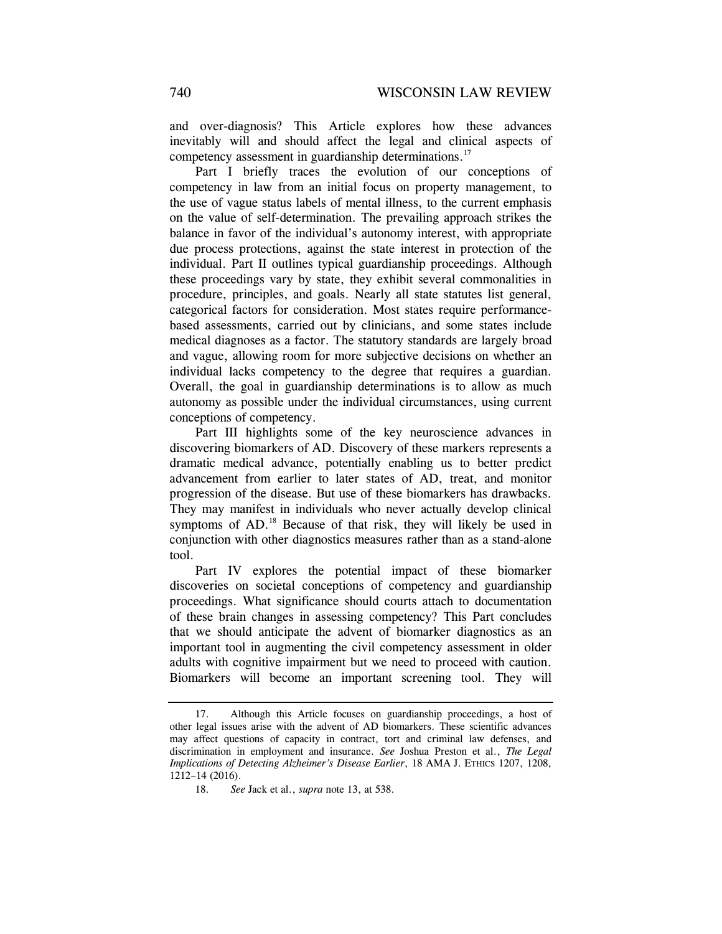and over-diagnosis? This Article explores how these advances inevitably will and should affect the legal and clinical aspects of competency assessment in guardianship determinations.<sup>17</sup>

Part I briefly traces the evolution of our conceptions of competency in law from an initial focus on property management, to the use of vague status labels of mental illness, to the current emphasis on the value of self-determination. The prevailing approach strikes the balance in favor of the individual's autonomy interest, with appropriate due process protections, against the state interest in protection of the individual. Part II outlines typical guardianship proceedings. Although these proceedings vary by state, they exhibit several commonalities in procedure, principles, and goals. Nearly all state statutes list general, categorical factors for consideration. Most states require performancebased assessments, carried out by clinicians, and some states include medical diagnoses as a factor. The statutory standards are largely broad and vague, allowing room for more subjective decisions on whether an individual lacks competency to the degree that requires a guardian. Overall, the goal in guardianship determinations is to allow as much autonomy as possible under the individual circumstances, using current conceptions of competency.

Part III highlights some of the key neuroscience advances in discovering biomarkers of AD. Discovery of these markers represents a dramatic medical advance, potentially enabling us to better predict advancement from earlier to later states of AD, treat, and monitor progression of the disease. But use of these biomarkers has drawbacks. They may manifest in individuals who never actually develop clinical symptoms of AD.<sup>18</sup> Because of that risk, they will likely be used in conjunction with other diagnostics measures rather than as a stand-alone tool.

Part IV explores the potential impact of these biomarker discoveries on societal conceptions of competency and guardianship proceedings. What significance should courts attach to documentation of these brain changes in assessing competency? This Part concludes that we should anticipate the advent of biomarker diagnostics as an important tool in augmenting the civil competency assessment in older adults with cognitive impairment but we need to proceed with caution. Biomarkers will become an important screening tool. They will

 <sup>17.</sup> Although this Article focuses on guardianship proceedings, a host of other legal issues arise with the advent of AD biomarkers. These scientific advances may affect questions of capacity in contract, tort and criminal law defenses, and discrimination in employment and insurance. *See* Joshua Preston et al., *The Legal Implications of Detecting Alzheimer's Disease Earlier*, 18 AMA J. ETHICS 1207, 1208, 1212–14 (2016).

 <sup>18.</sup> *See* Jack et al., *supra* note 13, at 538.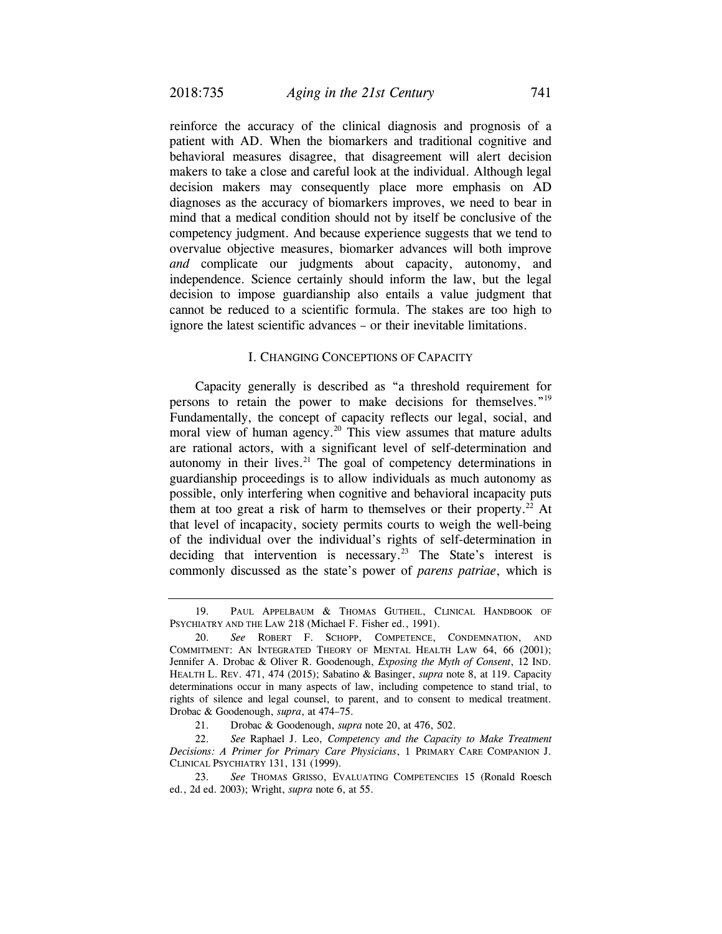reinforce the accuracy of the clinical diagnosis and prognosis of a patient with AD. When the biomarkers and traditional cognitive and behavioral measures disagree, that disagreement will alert decision makers to take a close and careful look at the individual. Although legal decision makers may consequently place more emphasis on AD diagnoses as the accuracy of biomarkers improves, we need to bear in mind that a medical condition should not by itself be conclusive of the competency judgment. And because experience suggests that we tend to overvalue objective measures, biomarker advances will both improve *and* complicate our judgments about capacity, autonomy, and independence. Science certainly should inform the law, but the legal decision to impose guardianship also entails a value judgment that cannot be reduced to a scientific formula. The stakes are too high to ignore the latest scientific advances – or their inevitable limitations.

#### I. CHANGING CONCEPTIONS OF CAPACITY

Capacity generally is described as "a threshold requirement for persons to retain the power to make decisions for themselves."19 Fundamentally, the concept of capacity reflects our legal, social, and moral view of human agency.<sup>20</sup> This view assumes that mature adults are rational actors, with a significant level of self-determination and autonomy in their lives. $21$  The goal of competency determinations in guardianship proceedings is to allow individuals as much autonomy as possible, only interfering when cognitive and behavioral incapacity puts them at too great a risk of harm to themselves or their property.<sup>22</sup> At that level of incapacity, society permits courts to weigh the well-being of the individual over the individual's rights of self-determination in deciding that intervention is necessary.<sup>23</sup> The State's interest is commonly discussed as the state's power of *parens patriae*, which is

 <sup>19.</sup> PAUL APPELBAUM & THOMAS GUTHEIL, CLINICAL HANDBOOK OF PSYCHIATRY AND THE LAW 218 (Michael F. Fisher ed., 1991).

 <sup>20.</sup> *See* ROBERT F. SCHOPP, COMPETENCE, CONDEMNATION, AND COMMITMENT: AN INTEGRATED THEORY OF MENTAL HEALTH LAW 64, 66 (2001); Jennifer A. Drobac & Oliver R. Goodenough, *Exposing the Myth of Consent*, 12 IND. HEALTH L. REV. 471, 474 (2015); Sabatino & Basinger, *supra* note 8, at 119. Capacity determinations occur in many aspects of law, including competence to stand trial, to rights of silence and legal counsel, to parent, and to consent to medical treatment. Drobac & Goodenough, *supra*, at 474–75.

 <sup>21.</sup> Drobac & Goodenough, *supra* note 20, at 476, 502.

 <sup>22.</sup> *See* Raphael J. Leo, *Competency and the Capacity to Make Treatment Decisions: A Primer for Primary Care Physicians*, 1 PRIMARY CARE COMPANION J. CLINICAL PSYCHIATRY 131, 131 (1999).

 <sup>23.</sup> *See* THOMAS GRISSO, EVALUATING COMPETENCIES 15 (Ronald Roesch ed., 2d ed. 2003); Wright, *supra* note 6, at 55.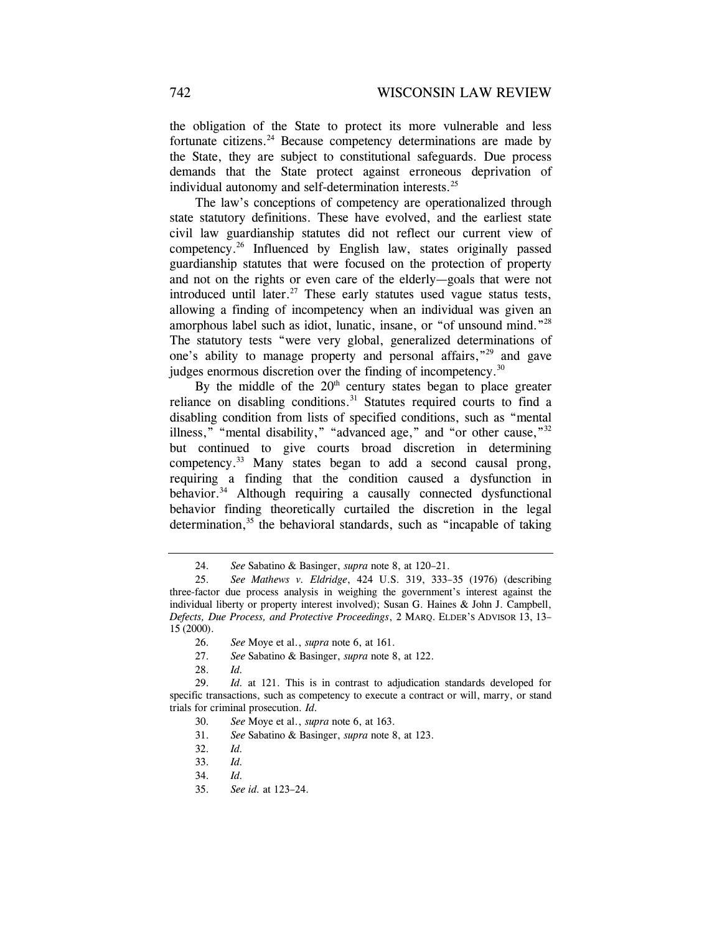the obligation of the State to protect its more vulnerable and less fortunate citizens.<sup>24</sup> Because competency determinations are made by the State, they are subject to constitutional safeguards. Due process demands that the State protect against erroneous deprivation of individual autonomy and self-determination interests.25

The law's conceptions of competency are operationalized through state statutory definitions. These have evolved, and the earliest state civil law guardianship statutes did not reflect our current view of competency.26 Influenced by English law, states originally passed guardianship statutes that were focused on the protection of property and not on the rights or even care of the elderly—goals that were not introduced until later.<sup>27</sup> These early statutes used vague status tests, allowing a finding of incompetency when an individual was given an amorphous label such as idiot, lunatic, insane, or "of unsound mind."28 The statutory tests "were very global, generalized determinations of one's ability to manage property and personal affairs,"29 and gave judges enormous discretion over the finding of incompetency.<sup>30</sup>

By the middle of the  $20<sup>th</sup>$  century states began to place greater reliance on disabling conditions.<sup>31</sup> Statutes required courts to find a disabling condition from lists of specified conditions, such as "mental illness," "mental disability," "advanced age," and "or other cause,"<sup>32</sup> but continued to give courts broad discretion in determining competency.33 Many states began to add a second causal prong, requiring a finding that the condition caused a dysfunction in behavior.<sup>34</sup> Although requiring a causally connected dysfunctional behavior finding theoretically curtailed the discretion in the legal determination,<sup>35</sup> the behavioral standards, such as "incapable of taking

 <sup>24.</sup> *See* Sabatino & Basinger, *supra* note 8, at 120–21.

 <sup>25.</sup> *See Mathews v. Eldridge*, 424 U.S. 319, 333–35 (1976) (describing three-factor due process analysis in weighing the government's interest against the individual liberty or property interest involved); Susan G. Haines & John J. Campbell, *Defects, Due Process, and Protective Proceedings*, 2 MARQ. ELDER'S ADVISOR 13, 13– 15 (2000).

 <sup>26.</sup> *See* Moye et al., *supra* note 6, at 161.

 <sup>27.</sup> *See* Sabatino & Basinger, *supra* note 8, at 122.

 <sup>28.</sup> *Id.*

 <sup>29.</sup> *Id.* at 121. This is in contrast to adjudication standards developed for specific transactions, such as competency to execute a contract or will, marry, or stand trials for criminal prosecution. *Id.*

 <sup>30.</sup> *See* Moye et al., *supra* note 6, at 163.

 <sup>31.</sup> *See* Sabatino & Basinger, *supra* note 8, at 123.

 <sup>32.</sup> *Id.* 

 <sup>33.</sup> *Id.*

 <sup>34.</sup> *Id.* 

 <sup>35.</sup> *See id.* at 123–24.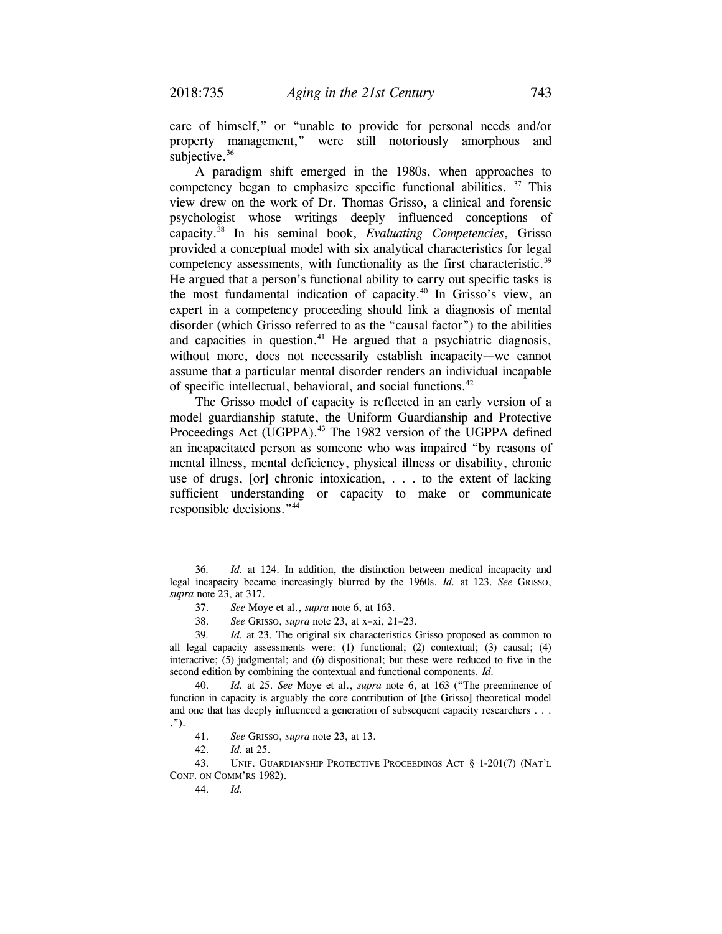care of himself," or "unable to provide for personal needs and/or property management," were still notoriously amorphous and subjective.<sup>36</sup>

A paradigm shift emerged in the 1980s, when approaches to competency began to emphasize specific functional abilities. <sup>37</sup> This view drew on the work of Dr. Thomas Grisso, a clinical and forensic psychologist whose writings deeply influenced conceptions of capacity.38 In his seminal book, *Evaluating Competencies*, Grisso provided a conceptual model with six analytical characteristics for legal competency assessments, with functionality as the first characteristic.<sup>39</sup> He argued that a person's functional ability to carry out specific tasks is the most fundamental indication of capacity.<sup>40</sup> In Grisso's view, an expert in a competency proceeding should link a diagnosis of mental disorder (which Grisso referred to as the "causal factor") to the abilities and capacities in question. $41$  He argued that a psychiatric diagnosis, without more, does not necessarily establish incapacity—we cannot assume that a particular mental disorder renders an individual incapable of specific intellectual, behavioral, and social functions.<sup>42</sup>

The Grisso model of capacity is reflected in an early version of a model guardianship statute, the Uniform Guardianship and Protective Proceedings Act (UGPPA).<sup>43</sup> The 1982 version of the UGPPA defined an incapacitated person as someone who was impaired "by reasons of mental illness, mental deficiency, physical illness or disability, chronic use of drugs, [or] chronic intoxication, . . . to the extent of lacking sufficient understanding or capacity to make or communicate responsible decisions."44

 43. UNIF. GUARDIANSHIP PROTECTIVE PROCEEDINGS ACT § 1-201(7) (NAT'L CONF. ON COMM'RS 1982).

44. *Id.*

<sup>36</sup>*. Id.* at 124. In addition, the distinction between medical incapacity and legal incapacity became increasingly blurred by the 1960s. *Id.* at 123. *See* GRISSO, *supra* note 23, at 317.

 <sup>37.</sup> *See* Moye et al., *supra* note 6, at 163.

 <sup>38.</sup> *See* GRISSO, *supra* note 23, at x–xi, 21–23.

<sup>39</sup>*. Id.* at 23. The original six characteristics Grisso proposed as common to all legal capacity assessments were: (1) functional; (2) contextual; (3) causal; (4) interactive; (5) judgmental; and (6) dispositional; but these were reduced to five in the second edition by combining the contextual and functional components. *Id.*

 <sup>40.</sup> *Id.* at 25. *See* Moye et al., *supra* note 6, at 163 ("The preeminence of function in capacity is arguably the core contribution of [the Grisso] theoretical model and one that has deeply influenced a generation of subsequent capacity researchers . . . .").

 <sup>41.</sup> *See* GRISSO, *supra* note 23, at 13.

 <sup>42.</sup> *Id.* at 25.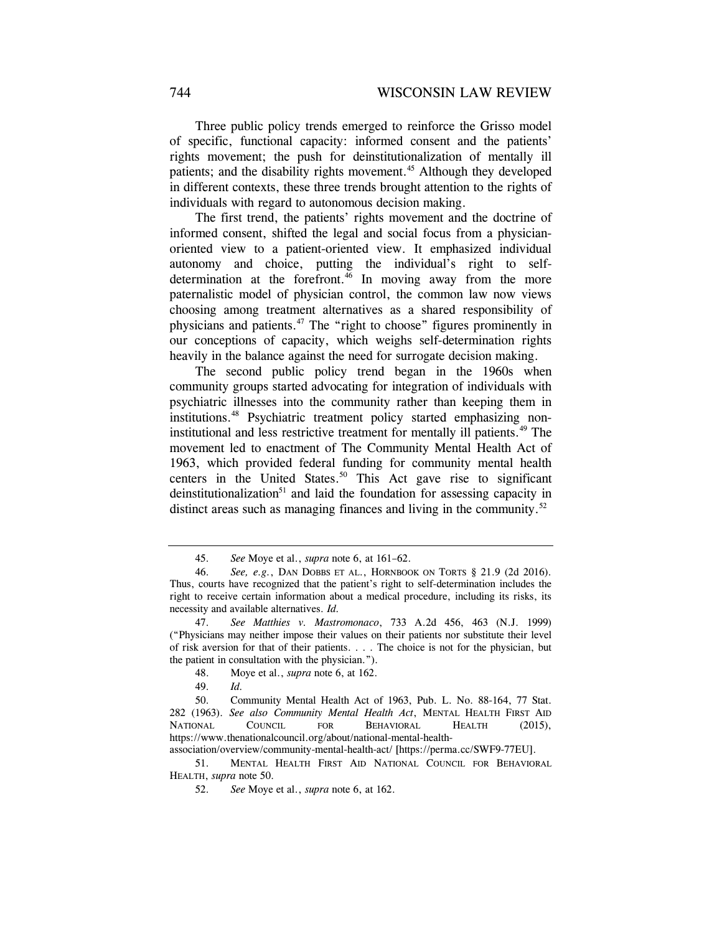Three public policy trends emerged to reinforce the Grisso model of specific, functional capacity: informed consent and the patients' rights movement; the push for deinstitutionalization of mentally ill patients; and the disability rights movement.<sup>45</sup> Although they developed in different contexts, these three trends brought attention to the rights of individuals with regard to autonomous decision making.

The first trend, the patients' rights movement and the doctrine of informed consent, shifted the legal and social focus from a physicianoriented view to a patient-oriented view. It emphasized individual autonomy and choice, putting the individual's right to selfdetermination at the forefront. $46$  In moving away from the more paternalistic model of physician control, the common law now views choosing among treatment alternatives as a shared responsibility of physicians and patients.47 The "right to choose" figures prominently in our conceptions of capacity, which weighs self-determination rights heavily in the balance against the need for surrogate decision making.

The second public policy trend began in the 1960s when community groups started advocating for integration of individuals with psychiatric illnesses into the community rather than keeping them in institutions.<sup>48</sup> Psychiatric treatment policy started emphasizing noninstitutional and less restrictive treatment for mentally ill patients.<sup>49</sup> The movement led to enactment of The Community Mental Health Act of 1963, which provided federal funding for community mental health centers in the United States.<sup>50</sup> This Act gave rise to significant deinstitutionalization<sup>51</sup> and laid the foundation for assessing capacity in distinct areas such as managing finances and living in the community. $52$ 

 51. MENTAL HEALTH FIRST AID NATIONAL COUNCIL FOR BEHAVIORAL HEALTH, *supra* note 50.

 <sup>45.</sup> *See* Moye et al., *supra* note 6, at 161–62.

 <sup>46.</sup> *See, e.g.*, DAN DOBBS ET AL., HORNBOOK ON TORTS § 21.9 (2d 2016). Thus, courts have recognized that the patient's right to self-determination includes the right to receive certain information about a medical procedure, including its risks, its necessity and available alternatives. *Id.*

 <sup>47.</sup> *See Matthies v. Mastromonaco*, 733 A.2d 456, 463 (N.J. 1999) ("Physicians may neither impose their values on their patients nor substitute their level of risk aversion for that of their patients. . . . The choice is not for the physician, but the patient in consultation with the physician.").

 <sup>48.</sup> Moye et al., *supra* note 6, at 162.

 <sup>49.</sup> *Id.*

 <sup>50.</sup> Community Mental Health Act of 1963, Pub. L. No. 88-164, 77 Stat. 282 (1963). *See also Community Mental Health Act*, MENTAL HEALTH FIRST AID NATIONAL COUNCIL FOR BEHAVIORAL HEALTH (2015), https://www.thenationalcouncil.org/about/national-mental-health-

association/overview/community-mental-health-act/ [https://perma.cc/SWF9-77EU].

 <sup>52.</sup> *See* Moye et al., *supra* note 6, at 162.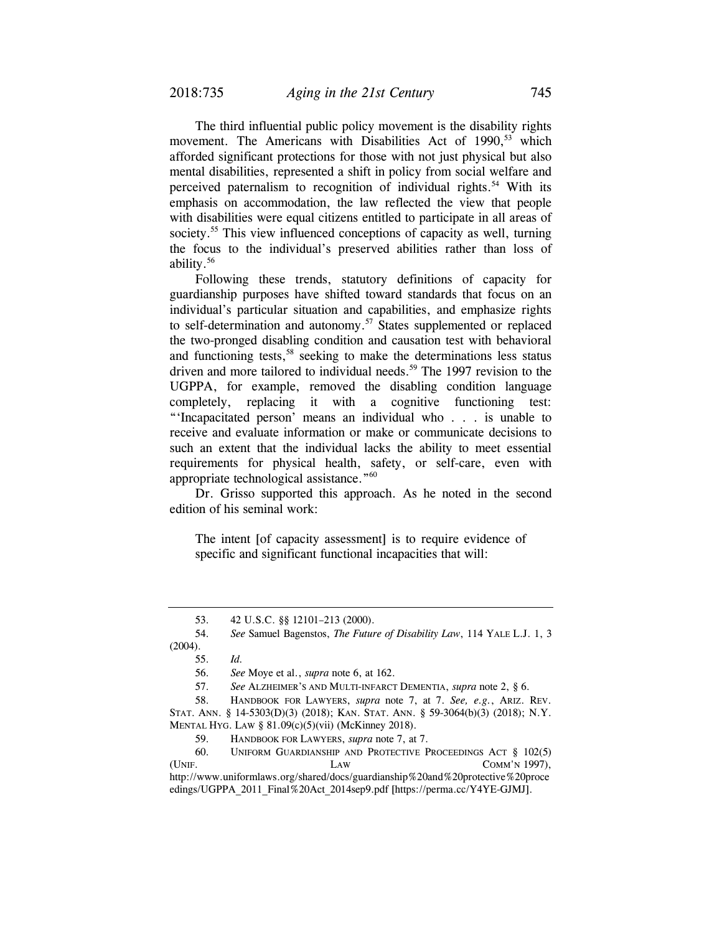The third influential public policy movement is the disability rights movement. The Americans with Disabilities Act of 1990,<sup>53</sup> which afforded significant protections for those with not just physical but also mental disabilities, represented a shift in policy from social welfare and perceived paternalism to recognition of individual rights.<sup>54</sup> With its emphasis on accommodation, the law reflected the view that people with disabilities were equal citizens entitled to participate in all areas of society.<sup>55</sup> This view influenced conceptions of capacity as well, turning the focus to the individual's preserved abilities rather than loss of ability.56

Following these trends, statutory definitions of capacity for guardianship purposes have shifted toward standards that focus on an individual's particular situation and capabilities, and emphasize rights to self-determination and autonomy.<sup>57</sup> States supplemented or replaced the two-pronged disabling condition and causation test with behavioral and functioning tests,<sup>58</sup> seeking to make the determinations less status driven and more tailored to individual needs.<sup>59</sup> The 1997 revision to the UGPPA, for example, removed the disabling condition language completely, replacing it with a cognitive functioning test: "'Incapacitated person' means an individual who . . . is unable to receive and evaluate information or make or communicate decisions to such an extent that the individual lacks the ability to meet essential requirements for physical health, safety, or self-care, even with appropriate technological assistance."60

Dr. Grisso supported this approach. As he noted in the second edition of his seminal work:

The intent [of capacity assessment] is to require evidence of specific and significant functional incapacities that will:

 <sup>53. 42</sup> U.S.C. §§ 12101–213 (2000).

 <sup>54.</sup> *See* Samuel Bagenstos, *The Future of Disability Law*, 114 YALE L.J. 1, 3 (2004).

 <sup>55.</sup> *Id.*

 <sup>56.</sup> *See* Moye et al., *supra* note 6, at 162.

 <sup>57.</sup> *See* ALZHEIMER'S AND MULTI-INFARCT DEMENTIA, *supra* note 2, § 6.

 <sup>58.</sup> HANDBOOK FOR LAWYERS, *supra* note 7, at 7. *See, e.g.*, ARIZ. REV. STAT. ANN. § 14-5303(D)(3) (2018); KAN. STAT. ANN. § 59-3064(b)(3) (2018); N.Y. MENTAL HYG. LAW § 81.09(c)(5)(vii) (McKinney 2018).

 <sup>59.</sup> HANDBOOK FOR LAWYERS, *supra* note 7, at 7.

 <sup>60.</sup> UNIFORM GUARDIANSHIP AND PROTECTIVE PROCEEDINGS ACT § 102(5) (UNIF. LAW COMM'N 1997), http://www.uniformlaws.org/shared/docs/guardianship%20and%20protective%20proce edings/UGPPA\_2011\_Final%20Act\_2014sep9.pdf [https://perma.cc/Y4YE-GJMJ].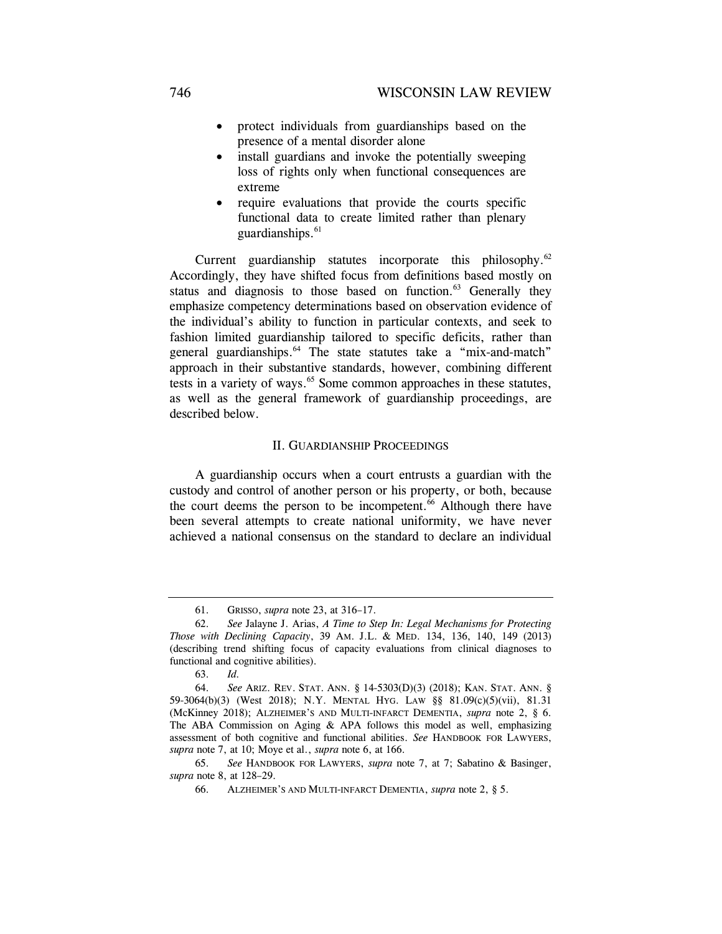- protect individuals from guardianships based on the presence of a mental disorder alone
- install guardians and invoke the potentially sweeping loss of rights only when functional consequences are extreme
- require evaluations that provide the courts specific functional data to create limited rather than plenary guardianships. $61$

Current guardianship statutes incorporate this philosophy.<sup>62</sup> Accordingly, they have shifted focus from definitions based mostly on status and diagnosis to those based on function. $63$  Generally they emphasize competency determinations based on observation evidence of the individual's ability to function in particular contexts, and seek to fashion limited guardianship tailored to specific deficits, rather than general guardianships.<sup>64</sup> The state statutes take a "mix-and-match" approach in their substantive standards, however, combining different tests in a variety of ways.<sup>65</sup> Some common approaches in these statutes, as well as the general framework of guardianship proceedings, are described below.

### II. GUARDIANSHIP PROCEEDINGS

A guardianship occurs when a court entrusts a guardian with the custody and control of another person or his property, or both, because the court deems the person to be incompetent.<sup>66</sup> Although there have been several attempts to create national uniformity, we have never achieved a national consensus on the standard to declare an individual

 <sup>61.</sup> GRISSO, *supra* note 23, at 316–17.

 <sup>62.</sup> *See* Jalayne J. Arias, *A Time to Step In: Legal Mechanisms for Protecting Those with Declining Capacity*, 39 AM. J.L. & MED. 134, 136, 140, 149 (2013) (describing trend shifting focus of capacity evaluations from clinical diagnoses to functional and cognitive abilities).

 <sup>63.</sup> *Id.*

 <sup>64.</sup> *See* ARIZ. REV. STAT. ANN. § 14-5303(D)(3) (2018); KAN. STAT. ANN. § 59-3064(b)(3) (West 2018); N.Y. MENTAL HYG. LAW §§ 81.09(c)(5)(vii), 81.31 (McKinney 2018); ALZHEIMER'S AND MULTI-INFARCT DEMENTIA, *supra* note 2, § 6. The ABA Commission on Aging  $\&$  APA follows this model as well, emphasizing assessment of both cognitive and functional abilities. *See* HANDBOOK FOR LAWYERS, *supra* note 7, at 10; Moye et al., *supra* note 6, at 166.

 <sup>65.</sup> *See* HANDBOOK FOR LAWYERS, *supra* note 7, at 7; Sabatino & Basinger, *supra* note 8, at 128–29.

 <sup>66.</sup> ALZHEIMER'S AND MULTI-INFARCT DEMENTIA, *supra* note 2, § 5.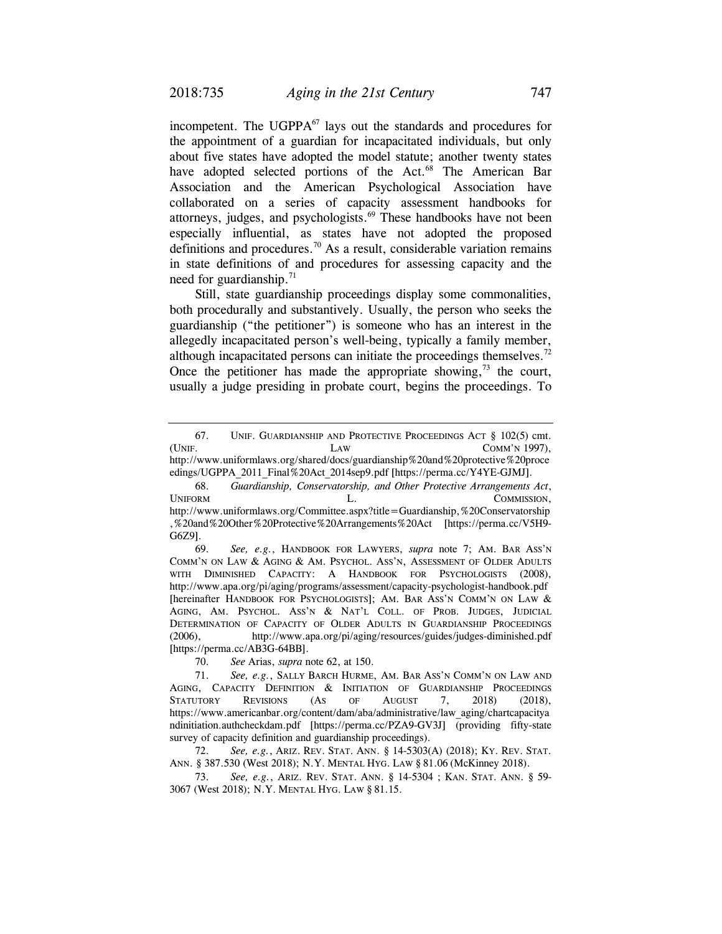incompetent. The  $UGPPA<sup>67</sup>$  lays out the standards and procedures for the appointment of a guardian for incapacitated individuals, but only about five states have adopted the model statute; another twenty states have adopted selected portions of the Act.<sup>68</sup> The American Bar Association and the American Psychological Association have collaborated on a series of capacity assessment handbooks for attorneys, judges, and psychologists.<sup>69</sup> These handbooks have not been especially influential, as states have not adopted the proposed definitions and procedures.<sup>70</sup> As a result, considerable variation remains in state definitions of and procedures for assessing capacity and the need for guardianship. $71$ 

Still, state guardianship proceedings display some commonalities, both procedurally and substantively. Usually, the person who seeks the guardianship ("the petitioner") is someone who has an interest in the allegedly incapacitated person's well-being, typically a family member, although incapacitated persons can initiate the proceedings themselves.<sup>72</sup> Once the petitioner has made the appropriate showing, $73$  the court, usually a judge presiding in probate court, begins the proceedings. To

 69. *See, e.g.*, HANDBOOK FOR LAWYERS, *supra* note 7; AM. BAR ASS'N COMM'N ON LAW & AGING & AM. PSYCHOL. ASS'N, ASSESSMENT OF OLDER ADULTS WITH DIMINISHED CAPACITY: A HANDBOOK FOR PSYCHOLOGISTS (2008), http://www.apa.org/pi/aging/programs/assessment/capacity-psychologist-handbook.pdf [hereinafter HANDBOOK FOR PSYCHOLOGISTS]; AM. BAR ASS'N COMM'N ON LAW & AGING, AM. PSYCHOL. ASS'N & NAT'L COLL. OF PROB. JUDGES, JUDICIAL DETERMINATION OF CAPACITY OF OLDER ADULTS IN GUARDIANSHIP PROCEEDINGS (2006), http://www.apa.org/pi/aging/resources/guides/judges-diminished.pdf [https://perma.cc/AB3G-64BB].

70. *See* Arias, *supra* note 62, at 150.

 72. *See, e.g.*, ARIZ. REV. STAT. ANN. § 14-5303(A) (2018); KY. REV. STAT. ANN. § 387.530 (West 2018); N.Y. MENTAL HYG. LAW § 81.06 (McKinney 2018).

 73. *See, e.g.*, ARIZ. REV. STAT. ANN. § 14-5304 ; KAN. STAT. ANN. § 59- 3067 (West 2018); N.Y. MENTAL HYG. LAW § 81.15.

 <sup>67.</sup> UNIF. GUARDIANSHIP AND PROTECTIVE PROCEEDINGS ACT § 102(5) cmt. (UNIF. LAW COMM'N 1997), http://www.uniformlaws.org/shared/docs/guardianship%20and%20protective%20proce

edings/UGPPA\_2011\_Final%20Act\_2014sep9.pdf [https://perma.cc/Y4YE-GJMJ]. 68. *Guardianship, Conservatorship, and Other Protective Arrangements Act*,

UNIFORM L. COMMISSION, http://www.uniformlaws.org/Committee.aspx?title=Guardianship,%20Conservatorship ,%20and%20Other%20Protective%20Arrangements%20Act [https://perma.cc/V5H9- G6Z9].

 <sup>71.</sup> *See, e.g.*, SALLY BARCH HURME, AM. BAR ASS'N COMM'N ON LAW AND AGING, CAPACITY DEFINITION & INITIATION OF GUARDIANSHIP PROCEEDINGS STATUTORY REVISIONS (AS OF AUGUST 7, 2018) (2018), https://www.americanbar.org/content/dam/aba/administrative/law\_aging/chartcapacitya ndinitiation.authcheckdam.pdf [https://perma.cc/PZA9-GV3J] (providing fifty-state survey of capacity definition and guardianship proceedings).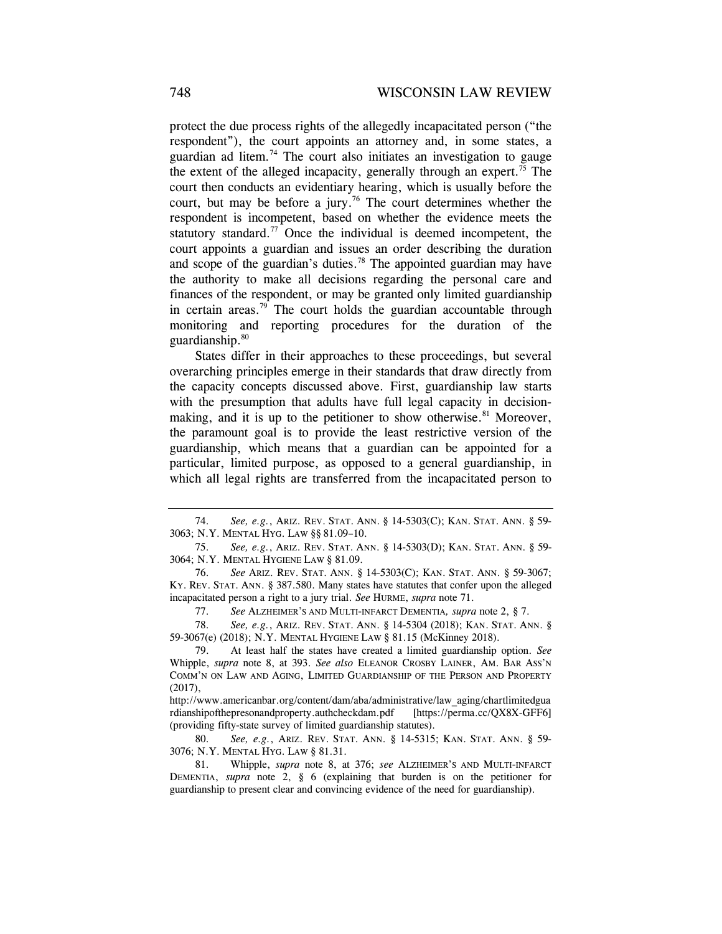protect the due process rights of the allegedly incapacitated person ("the respondent"), the court appoints an attorney and, in some states, a guardian ad litem*.* 74 The court also initiates an investigation to gauge the extent of the alleged incapacity, generally through an expert.<sup>75</sup> The court then conducts an evidentiary hearing, which is usually before the court, but may be before a jury.<sup>76</sup> The court determines whether the respondent is incompetent, based on whether the evidence meets the statutory standard.<sup>77</sup> Once the individual is deemed incompetent, the court appoints a guardian and issues an order describing the duration and scope of the guardian's duties.<sup>78</sup> The appointed guardian may have the authority to make all decisions regarding the personal care and finances of the respondent, or may be granted only limited guardianship in certain areas.<sup>79</sup> The court holds the guardian accountable through monitoring and reporting procedures for the duration of the guardianship. $80$ 

States differ in their approaches to these proceedings, but several overarching principles emerge in their standards that draw directly from the capacity concepts discussed above. First, guardianship law starts with the presumption that adults have full legal capacity in decisionmaking, and it is up to the petitioner to show otherwise.<sup>81</sup> Moreover, the paramount goal is to provide the least restrictive version of the guardianship, which means that a guardian can be appointed for a particular, limited purpose, as opposed to a general guardianship, in which all legal rights are transferred from the incapacitated person to

77. *See* ALZHEIMER'S AND MULTI-INFARCT DEMENTIA*, supra* note 2, § 7.

 78. *See, e.g.*, ARIZ. REV. STAT. ANN. § 14-5304 (2018); KAN. STAT. ANN. § 59-3067(e) (2018); N.Y. MENTAL HYGIENE LAW § 81.15 (McKinney 2018).

 <sup>74.</sup> *See, e.g.*, ARIZ. REV. STAT. ANN. § 14-5303(C); KAN. STAT. ANN. § 59- 3063; N.Y. MENTAL HYG. LAW §§ 81.09–10.

 <sup>75.</sup> *See, e.g.*, ARIZ. REV. STAT. ANN. § 14-5303(D); KAN. STAT. ANN. § 59- 3064; N.Y. MENTAL HYGIENE LAW § 81.09.

 <sup>76.</sup> *See* ARIZ. REV. STAT. ANN. § 14-5303(C); KAN. STAT. ANN. § 59-3067; KY. REV. STAT. ANN. § 387.580. Many states have statutes that confer upon the alleged incapacitated person a right to a jury trial. *See* HURME, *supra* note 71.

 <sup>79.</sup> At least half the states have created a limited guardianship option. *See* Whipple, *supra* note 8, at 393. *See also* ELEANOR CROSBY LAINER, AM. BAR ASS'N COMM'N ON LAW AND AGING, LIMITED GUARDIANSHIP OF THE PERSON AND PROPERTY  $(2017)$ ,

http://www.americanbar.org/content/dam/aba/administrative/law\_aging/chartlimitedgua rdianshipofthepresonandproperty.authcheckdam.pdf [https://perma.cc/QX8X-GFF6] (providing fifty-state survey of limited guardianship statutes).

 <sup>80.</sup> *See, e.g.*, ARIZ. REV. STAT. ANN. § 14-5315; KAN. STAT. ANN. § 59- 3076; N.Y. MENTAL HYG. LAW § 81.31.

 <sup>81.</sup> Whipple, *supra* note 8, at 376; *see* ALZHEIMER'S AND MULTI-INFARCT DEMENTIA, *supra* note 2, § 6 (explaining that burden is on the petitioner for guardianship to present clear and convincing evidence of the need for guardianship).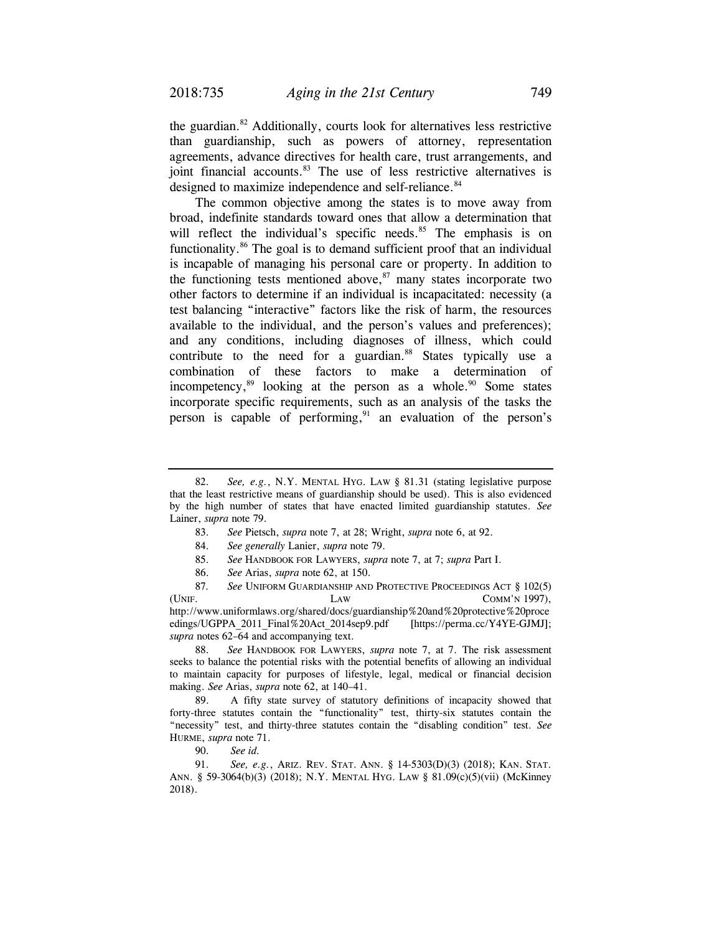the guardian.82 Additionally, courts look for alternatives less restrictive than guardianship, such as powers of attorney, representation agreements, advance directives for health care, trust arrangements, and joint financial accounts.<sup>83</sup> The use of less restrictive alternatives is designed to maximize independence and self-reliance.<sup>84</sup>

The common objective among the states is to move away from broad, indefinite standards toward ones that allow a determination that will reflect the individual's specific needs.<sup>85</sup> The emphasis is on functionality.<sup>86</sup> The goal is to demand sufficient proof that an individual is incapable of managing his personal care or property. In addition to the functioning tests mentioned above, $87$  many states incorporate two other factors to determine if an individual is incapacitated: necessity (a test balancing "interactive" factors like the risk of harm, the resources available to the individual, and the person's values and preferences); and any conditions, including diagnoses of illness, which could contribute to the need for a guardian.<sup>88</sup> States typically use a combination of these factors to make a determination of incompetency, $89$  looking at the person as a whole. $90$  Some states incorporate specific requirements, such as an analysis of the tasks the person is capable of performing, $91$  an evaluation of the person's

87. *See* UNIFORM GUARDIANSHIP AND PROTECTIVE PROCEEDINGS ACT § 102(5) (UNIF. LAW COMM'N 1997),  $LAW$  COMM'N 1997), http://www.uniformlaws.org/shared/docs/guardianship%20and%20protective%20proce edings/UGPPA\_2011\_Final%20Act\_2014sep9.pdf [https://perma.cc/Y4YE-GJMJ]; *supra* notes 62–64 and accompanying text.

 88. *See* HANDBOOK FOR LAWYERS, *supra* note 7, at 7. The risk assessment seeks to balance the potential risks with the potential benefits of allowing an individual to maintain capacity for purposes of lifestyle, legal, medical or financial decision making. *See* Arias, *supra* note 62, at 140–41.

 89. A fifty state survey of statutory definitions of incapacity showed that forty-three statutes contain the "functionality" test, thirty-six statutes contain the "necessity" test, and thirty-three statutes contain the "disabling condition" test. *See* HURME, *supra* note 71.

90. *See id.* 

 91. *See, e.g.*, ARIZ. REV. STAT. ANN. § 14-5303(D)(3) (2018); KAN. STAT. ANN. § 59-3064(b)(3) (2018); N.Y. MENTAL HYG. LAW § 81.09(c)(5)(vii) (McKinney 2018).

 <sup>82.</sup> *See, e.g.*, N.Y. MENTAL HYG. LAW § 81.31 (stating legislative purpose that the least restrictive means of guardianship should be used). This is also evidenced by the high number of states that have enacted limited guardianship statutes. *See*  Lainer, *supra* note 79.

 <sup>83.</sup> *See* Pietsch, *supra* note 7, at 28; Wright, *supra* note 6, at 92.

<sup>84.</sup> *See generally* Lanier, *supra* note 79.

 <sup>85.</sup> *See* HANDBOOK FOR LAWYERS, *supra* note 7, at 7; *supra* Part I.

 <sup>86.</sup> *See* Arias, *supra* note 62, at 150.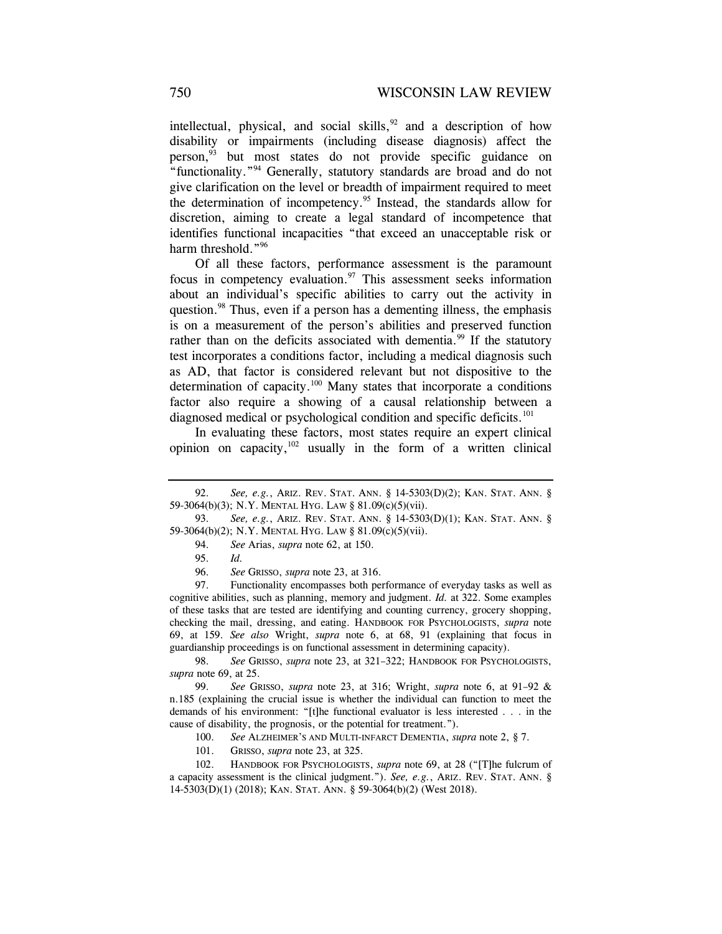intellectual, physical, and social skills,  $92$  and a description of how disability or impairments (including disease diagnosis) affect the person,<sup>93</sup> but most states do not provide specific guidance on "functionality."94 Generally, statutory standards are broad and do not give clarification on the level or breadth of impairment required to meet the determination of incompetency.95 Instead, the standards allow for discretion, aiming to create a legal standard of incompetence that identifies functional incapacities "that exceed an unacceptable risk or harm threshold."<sup>96</sup>

Of all these factors, performance assessment is the paramount focus in competency evaluation. $97$  This assessment seeks information about an individual's specific abilities to carry out the activity in question.<sup>98</sup> Thus, even if a person has a dementing illness, the emphasis is on a measurement of the person's abilities and preserved function rather than on the deficits associated with dementia.<sup>99</sup> If the statutory test incorporates a conditions factor, including a medical diagnosis such as AD, that factor is considered relevant but not dispositive to the determination of capacity.<sup>100</sup> Many states that incorporate a conditions factor also require a showing of a causal relationship between a diagnosed medical or psychological condition and specific deficits.<sup>101</sup>

In evaluating these factors, most states require an expert clinical opinion on capacity, $102$  usually in the form of a written clinical

 98. *See* GRISSO, *supra* note 23, at 321–322; HANDBOOK FOR PSYCHOLOGISTS, *supra* note 69, at 25.

 99. *See* GRISSO, *supra* note 23, at 316; Wright, *supra* note 6, at 91–92 & n.185 (explaining the crucial issue is whether the individual can function to meet the demands of his environment: "[t]he functional evaluator is less interested . . . in the cause of disability, the prognosis, or the potential for treatment.").

100. *See* ALZHEIMER'S AND MULTI-INFARCT DEMENTIA, *supra* note 2, § 7.

101. GRISSO, *supra* note 23, at 325.

 102. HANDBOOK FOR PSYCHOLOGISTS, *supra* note 69, at 28 ("[T]he fulcrum of a capacity assessment is the clinical judgment."). *See, e.g.*, ARIZ. REV. STAT. ANN. § 14-5303(D)(1) (2018); KAN. STAT. ANN. § 59-3064(b)(2) (West 2018).

 <sup>92.</sup> *See, e.g.*, ARIZ. REV. STAT. ANN. § 14-5303(D)(2); KAN. STAT. ANN. § 59-3064(b)(3); N.Y. MENTAL HYG. LAW § 81.09(c)(5)(vii).

 <sup>93.</sup> *See, e.g.*, ARIZ. REV. STAT. ANN. § 14-5303(D)(1); KAN. STAT. ANN. § 59-3064(b)(2); N.Y. MENTAL HYG. LAW § 81.09(c)(5)(vii).

 <sup>94.</sup> *See* Arias, *supra* note 62, at 150.

 <sup>95.</sup> *Id.*

 <sup>96.</sup> *See* GRISSO, *supra* note 23, at 316.

 <sup>97.</sup> Functionality encompasses both performance of everyday tasks as well as cognitive abilities, such as planning, memory and judgment. *Id.* at 322. Some examples of these tasks that are tested are identifying and counting currency, grocery shopping, checking the mail, dressing, and eating. HANDBOOK FOR PSYCHOLOGISTS, *supra* note 69, at 159. *See also* Wright, *supra* note 6, at 68, 91 (explaining that focus in guardianship proceedings is on functional assessment in determining capacity).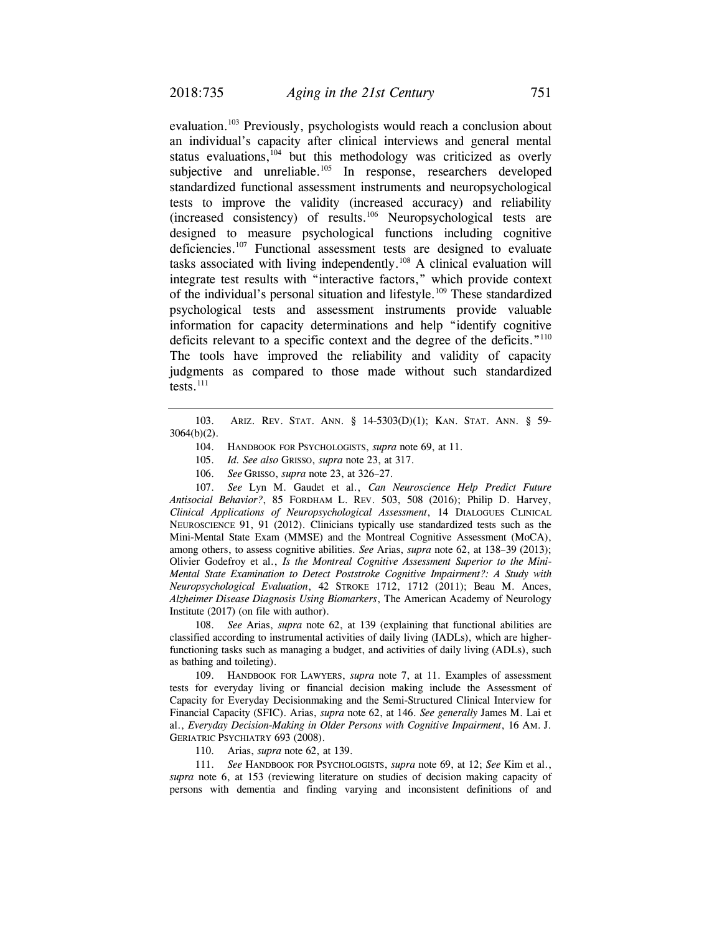evaluation.<sup>103</sup> Previously, psychologists would reach a conclusion about an individual's capacity after clinical interviews and general mental status evaluations, $104$  but this methodology was criticized as overly subjective and unreliable.<sup>105</sup> In response, researchers developed standardized functional assessment instruments and neuropsychological tests to improve the validity (increased accuracy) and reliability (increased consistency) of results.106 Neuropsychological tests are designed to measure psychological functions including cognitive deficiencies.<sup>107</sup> Functional assessment tests are designed to evaluate tasks associated with living independently.<sup>108</sup> A clinical evaluation will integrate test results with "interactive factors," which provide context of the individual's personal situation and lifestyle.109 These standardized psychological tests and assessment instruments provide valuable information for capacity determinations and help "identify cognitive deficits relevant to a specific context and the degree of the deficits."<sup>110</sup> The tools have improved the reliability and validity of capacity judgments as compared to those made without such standardized tests. $^{111}$ 

 103. ARIZ. REV. STAT. ANN. § 14-5303(D)(1); KAN. STAT. ANN. § 59- 3064(b)(2).

104. HANDBOOK FOR PSYCHOLOGISTS, *supra* note 69, at 11.

105. *Id. See also* GRISSO, *supra* note 23, at 317.

106. *See* GRISSO, *supra* note 23, at 326–27.

 107. *See* Lyn M. Gaudet et al., *Can Neuroscience Help Predict Future Antisocial Behavior?*, 85 FORDHAM L. REV. 503, 508 (2016); Philip D. Harvey, *Clinical Applications of Neuropsychological Assessment*, 14 DIALOGUES CLINICAL NEUROSCIENCE 91, 91 (2012). Clinicians typically use standardized tests such as the Mini-Mental State Exam (MMSE) and the Montreal Cognitive Assessment (MoCA), among others, to assess cognitive abilities. *See* Arias, *supra* note 62, at 138–39 (2013); Olivier Godefroy et al., *Is the Montreal Cognitive Assessment Superior to the Mini-Mental State Examination to Detect Poststroke Cognitive Impairment?: A Study with Neuropsychological Evaluation*, 42 STROKE 1712, 1712 (2011); Beau M. Ances, *Alzheimer Disease Diagnosis Using Biomarkers*, The American Academy of Neurology Institute (2017) (on file with author).

 108. *See* Arias, *supra* note 62, at 139 (explaining that functional abilities are classified according to instrumental activities of daily living (IADLs), which are higherfunctioning tasks such as managing a budget, and activities of daily living (ADLs), such as bathing and toileting).

 109. HANDBOOK FOR LAWYERS, *supra* note 7, at 11. Examples of assessment tests for everyday living or financial decision making include the Assessment of Capacity for Everyday Decisionmaking and the Semi-Structured Clinical Interview for Financial Capacity (SFIC). Arias, *supra* note 62, at 146. *See generally* James M. Lai et al., *Everyday Decision-Making in Older Persons with Cognitive Impairment*, 16 AM. J. GERIATRIC PSYCHIATRY 693 (2008).

110. Arias, *supra* note 62, at 139.

 111. *See* HANDBOOK FOR PSYCHOLOGISTS, *supra* note 69, at 12; *See* Kim et al., *supra* note 6, at 153 (reviewing literature on studies of decision making capacity of persons with dementia and finding varying and inconsistent definitions of and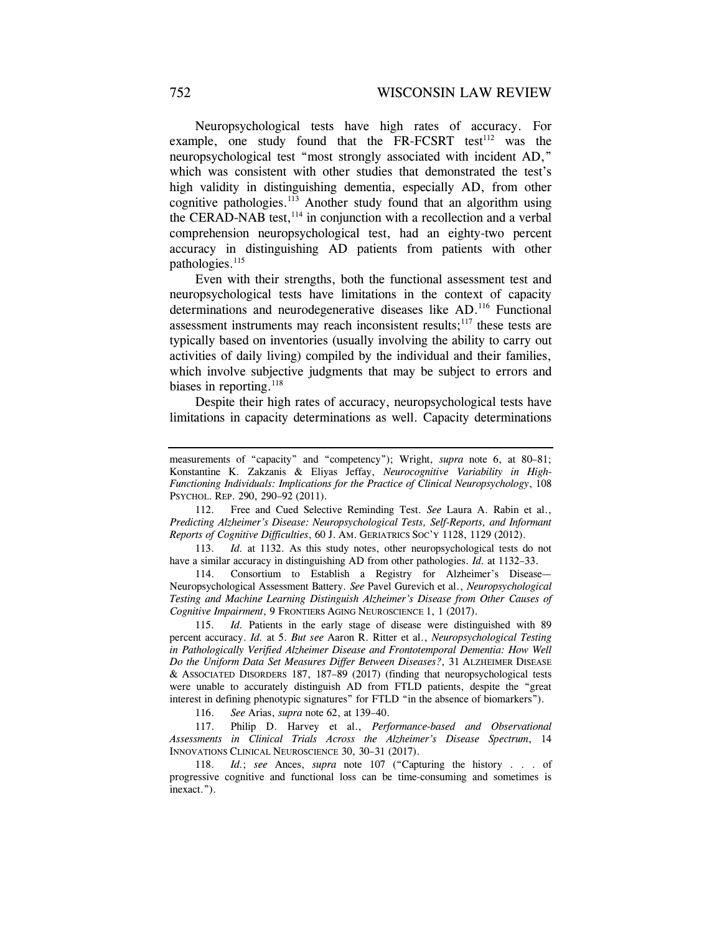Neuropsychological tests have high rates of accuracy. For example, one study found that the FR-FCSRT test<sup>112</sup> was the neuropsychological test "most strongly associated with incident AD," which was consistent with other studies that demonstrated the test's high validity in distinguishing dementia, especially AD, from other cognitive pathologies.<sup>113</sup> Another study found that an algorithm using the CERAD-NAB test, $114$  in conjunction with a recollection and a verbal comprehension neuropsychological test, had an eighty-two percent accuracy in distinguishing AD patients from patients with other pathologies.<sup>115</sup>

Even with their strengths, both the functional assessment test and neuropsychological tests have limitations in the context of capacity determinations and neurodegenerative diseases like AD.<sup>116</sup> Functional assessment instruments may reach inconsistent results; $117$  these tests are typically based on inventories (usually involving the ability to carry out activities of daily living) compiled by the individual and their families, which involve subjective judgments that may be subject to errors and biases in reporting. $^{118}$ 

Despite their high rates of accuracy, neuropsychological tests have limitations in capacity determinations as well. Capacity determinations

 112. Free and Cued Selective Reminding Test. *See* Laura A. Rabin et al., *Predicting Alzheimer's Disease: Neuropsychological Tests, Self-Reports, and Informant Reports of Cognitive Difficulties*, 60 J. AM. GERIATRICS SOC'Y 1128, 1129 (2012).

 113. *Id.* at 1132. As this study notes, other neuropsychological tests do not have a similar accuracy in distinguishing AD from other pathologies. *Id.* at 1132–33.

 114. Consortium to Establish a Registry for Alzheimer's Disease— Neuropsychological Assessment Battery. *See* Pavel Gurevich et al., *Neuropsychological Testing and Machine Learning Distinguish Alzheimer's Disease from Other Causes of Cognitive Impairment*, 9 FRONTIERS AGING NEUROSCIENCE 1, 1 (2017).

 115. *Id.* Patients in the early stage of disease were distinguished with 89 percent accuracy. *Id.* at 5. *But see* Aaron R. Ritter et al., *Neuropsychological Testing in Pathologically Verified Alzheimer Disease and Frontotemporal Dementia: How Well Do the Uniform Data Set Measures Differ Between Diseases?*, 31 ALZHEIMER DISEASE & ASSOCIATED DISORDERS 187, 187–89 (2017) (finding that neuropsychological tests were unable to accurately distinguish AD from FTLD patients, despite the "great interest in defining phenotypic signatures" for FTLD "in the absence of biomarkers").

116. *See* Arias, *supra* note 62, at 139–40.

 117. Philip D. Harvey et al., *Performance-based and Observational Assessments in Clinical Trials Across the Alzheimer's Disease Spectrum*, 14 INNOVATIONS CLINICAL NEUROSCIENCE 30, 30–31 (2017).

 118. *Id.*; *see* Ances, *supra* note 107 ("Capturing the history . . . of progressive cognitive and functional loss can be time-consuming and sometimes is inexact.").

measurements of "capacity" and "competency"); Wright, *supra* note 6, at 80–81; Konstantine K. Zakzanis & Eliyas Jeffay, *Neurocognitive Variability in High-Functioning Individuals: Implications for the Practice of Clinical Neuropsychology*, 108 PSYCHOL. REP. 290, 290–92 (2011).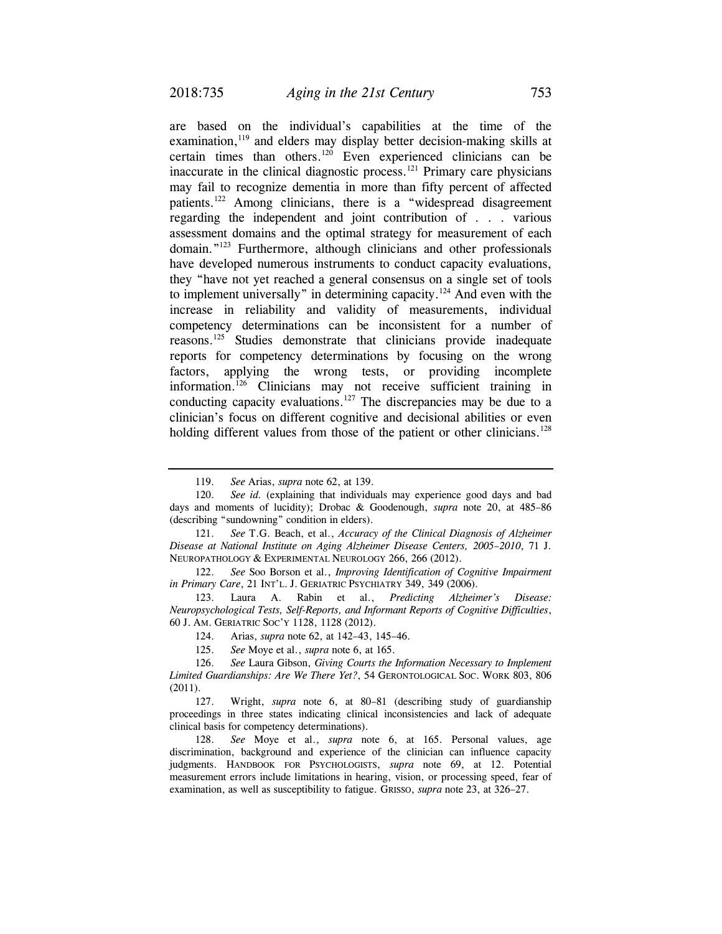are based on the individual's capabilities at the time of the examination,<sup>119</sup> and elders may display better decision-making skills at certain times than others.<sup>120</sup> Even experienced clinicians can be inaccurate in the clinical diagnostic process.<sup>121</sup> Primary care physicians may fail to recognize dementia in more than fifty percent of affected patients.122 Among clinicians, there is a "widespread disagreement regarding the independent and joint contribution of . . . various assessment domains and the optimal strategy for measurement of each domain."<sup>123</sup> Furthermore, although clinicians and other professionals have developed numerous instruments to conduct capacity evaluations, they "have not yet reached a general consensus on a single set of tools to implement universally" in determining capacity.124 And even with the increase in reliability and validity of measurements, individual competency determinations can be inconsistent for a number of reasons.125 Studies demonstrate that clinicians provide inadequate reports for competency determinations by focusing on the wrong factors, applying the wrong tests, or providing incomplete information.126 Clinicians may not receive sufficient training in conducting capacity evaluations.<sup>127</sup> The discrepancies may be due to a clinician's focus on different cognitive and decisional abilities or even holding different values from those of the patient or other clinicians.<sup>128</sup>

 <sup>119.</sup> *See* Arias, *supra* note 62, at 139.

 <sup>120.</sup> *See id.* (explaining that individuals may experience good days and bad days and moments of lucidity); Drobac & Goodenough, *supra* note 20, at 485–86 (describing "sundowning" condition in elders).

 <sup>121.</sup> *See* T.G. Beach, et al., *Accuracy of the Clinical Diagnosis of Alzheimer Disease at National Institute on Aging Alzheimer Disease Centers, 2005–2010*, 71 J. NEUROPATHOLOGY & EXPERIMENTAL NEUROLOGY 266, 266 (2012).

 <sup>122.</sup> *See* Soo Borson et al., *Improving Identification of Cognitive Impairment in Primary Care*, 21 INT'L. J. GERIATRIC PSYCHIATRY 349, 349 (2006).

 <sup>123.</sup> Laura A. Rabin et al., *Predicting Alzheimer's Disease: Neuropsychological Tests, Self-Reports, and Informant Reports of Cognitive Difficulties*, 60 J. AM. GERIATRIC SOC'Y 1128, 1128 (2012).

 <sup>124.</sup> Arias, *supra* note 62, at 142–43, 145–46.

 <sup>125.</sup> *See* Moye et al., *supra* note 6, at 165.

 <sup>126.</sup> *See* Laura Gibson, *Giving Courts the Information Necessary to Implement Limited Guardianships: Are We There Yet?*, 54 GERONTOLOGICAL SOC. WORK 803, 806 (2011).

 <sup>127.</sup> Wright, *supra* note 6, at 80–81 (describing study of guardianship proceedings in three states indicating clinical inconsistencies and lack of adequate clinical basis for competency determinations).

 <sup>128.</sup> *See* Moye et al., *supra* note 6, at 165. Personal values, age discrimination, background and experience of the clinician can influence capacity judgments. HANDBOOK FOR PSYCHOLOGISTS, *supra* note 69, at 12. Potential measurement errors include limitations in hearing, vision, or processing speed, fear of examination, as well as susceptibility to fatigue. GRISSO, *supra* note 23, at 326–27.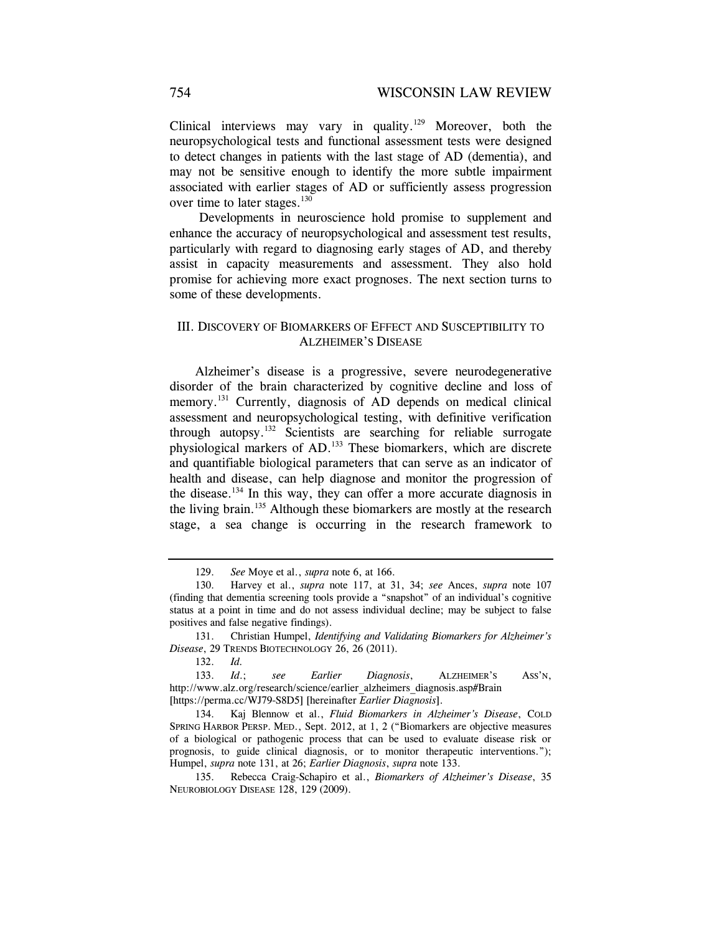Clinical interviews may vary in quality.<sup>129</sup> Moreover, both the neuropsychological tests and functional assessment tests were designed to detect changes in patients with the last stage of AD (dementia), and may not be sensitive enough to identify the more subtle impairment associated with earlier stages of AD or sufficiently assess progression over time to later stages.<sup>130</sup>

 Developments in neuroscience hold promise to supplement and enhance the accuracy of neuropsychological and assessment test results, particularly with regard to diagnosing early stages of AD, and thereby assist in capacity measurements and assessment. They also hold promise for achieving more exact prognoses. The next section turns to some of these developments.

# III. DISCOVERY OF BIOMARKERS OF EFFECT AND SUSCEPTIBILITY TO ALZHEIMER'S DISEASE

Alzheimer's disease is a progressive, severe neurodegenerative disorder of the brain characterized by cognitive decline and loss of memory.<sup>131</sup> Currently, diagnosis of AD depends on medical clinical assessment and neuropsychological testing, with definitive verification through autopsy.132 Scientists are searching for reliable surrogate physiological markers of AD.133 These biomarkers, which are discrete and quantifiable biological parameters that can serve as an indicator of health and disease, can help diagnose and monitor the progression of the disease.134 In this way, they can offer a more accurate diagnosis in the living brain.<sup>135</sup> Although these biomarkers are mostly at the research stage, a sea change is occurring in the research framework to

 <sup>129.</sup> *See* Moye et al., *supra* note 6, at 166.

 <sup>130.</sup> Harvey et al., *supra* note 117, at 31, 34; *see* Ances, *supra* note 107 (finding that dementia screening tools provide a "snapshot" of an individual's cognitive status at a point in time and do not assess individual decline; may be subject to false positives and false negative findings).

 <sup>131.</sup> Christian Humpel, *Identifying and Validating Biomarkers for Alzheimer's Disease*, 29 TRENDS BIOTECHNOLOGY 26, 26 (2011).

 <sup>132.</sup> *Id.*

 <sup>133.</sup> *Id*.; *see Earlier Diagnosis*, ALZHEIMER'S ASS'N, http://www.alz.org/research/science/earlier\_alzheimers\_diagnosis.asp#Brain [https://perma.cc/WJ79-S8D5] [hereinafter *Earlier Diagnosis*].

 <sup>134.</sup> Kaj Blennow et al., *Fluid Biomarkers in Alzheimer's Disease*, COLD SPRING HARBOR PERSP. MED., Sept. 2012, at 1, 2 ("Biomarkers are objective measures of a biological or pathogenic process that can be used to evaluate disease risk or prognosis, to guide clinical diagnosis, or to monitor therapeutic interventions."); Humpel, *supra* note 131, at 26; *Earlier Diagnosis*, *supra* note 133.

 <sup>135.</sup> Rebecca Craig-Schapiro et al., *Biomarkers of Alzheimer's Disease*, 35 NEUROBIOLOGY DISEASE 128, 129 (2009).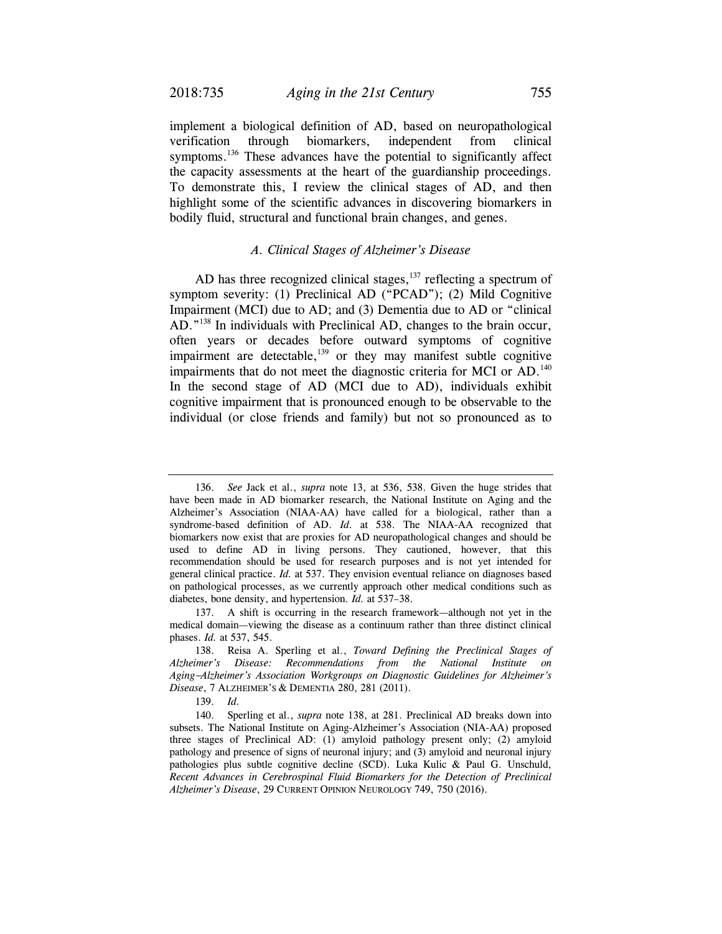implement a biological definition of AD, based on neuropathological verification through biomarkers, independent from clinical symptoms.<sup>136</sup> These advances have the potential to significantly affect the capacity assessments at the heart of the guardianship proceedings. To demonstrate this, I review the clinical stages of AD, and then highlight some of the scientific advances in discovering biomarkers in bodily fluid, structural and functional brain changes, and genes.

## *A. Clinical Stages of Alzheimer's Disease*

AD has three recognized clinical stages, $137$  reflecting a spectrum of symptom severity: (1) Preclinical AD ("PCAD"); (2) Mild Cognitive Impairment (MCI) due to AD; and (3) Dementia due to AD or "clinical AD."138 In individuals with Preclinical AD, changes to the brain occur, often years or decades before outward symptoms of cognitive impairment are detectable,<sup>139</sup> or they may manifest subtle cognitive impairments that do not meet the diagnostic criteria for MCI or AD.<sup>140</sup> In the second stage of AD (MCI due to AD), individuals exhibit cognitive impairment that is pronounced enough to be observable to the individual (or close friends and family) but not so pronounced as to

 <sup>136.</sup> *See* Jack et al., *supra* note 13, at 536, 538. Given the huge strides that have been made in AD biomarker research, the National Institute on Aging and the Alzheimer's Association (NIAA-AA) have called for a biological, rather than a syndrome-based definition of AD. *Id*. at 538. The NIAA-AA recognized that biomarkers now exist that are proxies for AD neuropathological changes and should be used to define AD in living persons. They cautioned, however, that this recommendation should be used for research purposes and is not yet intended for general clinical practice. *Id.* at 537. They envision eventual reliance on diagnoses based on pathological processes, as we currently approach other medical conditions such as diabetes, bone density, and hypertension. *Id.* at 537–38.

 <sup>137.</sup> A shift is occurring in the research framework—although not yet in the medical domain—viewing the disease as a continuum rather than three distinct clinical phases. *Id.* at 537, 545.

 <sup>138.</sup> Reisa A. Sperling et al., *Toward Defining the Preclinical Stages of Alzheimer's Disease: Recommendations from the National Institute on Aging*−*Alzheimer's Association Workgroups on Diagnostic Guidelines for Alzheimer's Disease*, 7 ALZHEIMER'S & DEMENTIA 280, 281 (2011).

 <sup>139.</sup> *Id.*

 <sup>140.</sup> Sperling et al., *supra* note 138, at 281. Preclinical AD breaks down into subsets. The National Institute on Aging-Alzheimer's Association (NIA-AA) proposed three stages of Preclinical AD: (1) amyloid pathology present only; (2) amyloid pathology and presence of signs of neuronal injury; and (3) amyloid and neuronal injury pathologies plus subtle cognitive decline (SCD). Luka Kulic & Paul G. Unschuld, *Recent Advances in Cerebrospinal Fluid Biomarkers for the Detection of Preclinical Alzheimer's Disease*, 29 CURRENT OPINION NEUROLOGY 749, 750 (2016).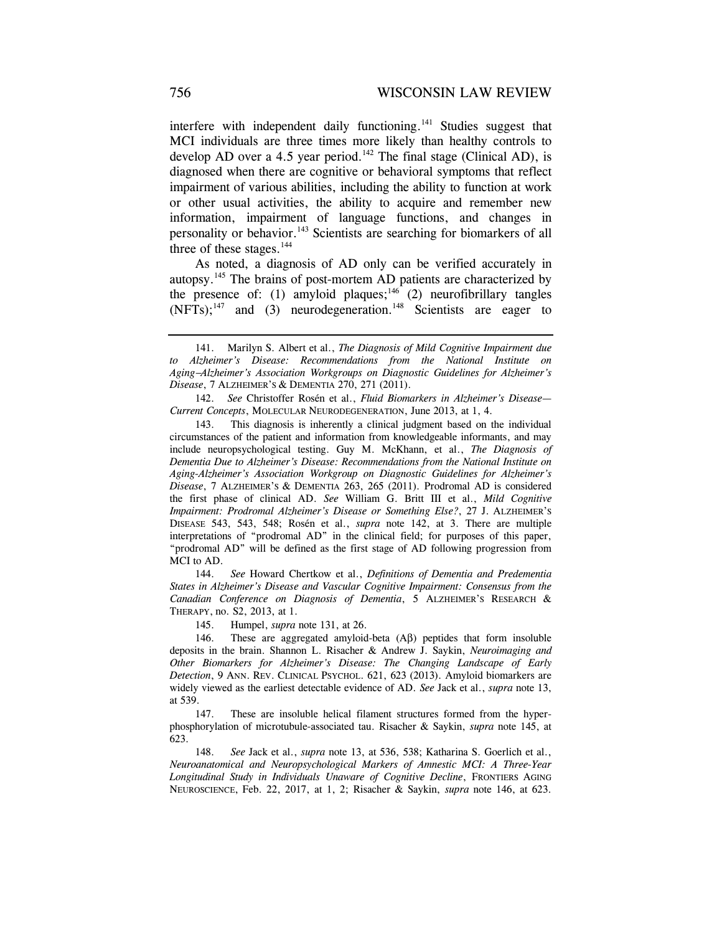interfere with independent daily functioning.<sup>141</sup> Studies suggest that MCI individuals are three times more likely than healthy controls to develop AD over a 4.5 year period.<sup>142</sup> The final stage (Clinical AD), is diagnosed when there are cognitive or behavioral symptoms that reflect impairment of various abilities, including the ability to function at work or other usual activities, the ability to acquire and remember new information, impairment of language functions, and changes in personality or behavior.143 Scientists are searching for biomarkers of all three of these stages.<sup>144</sup>

As noted, a diagnosis of AD only can be verified accurately in autopsy.145 The brains of post-mortem AD patients are characterized by the presence of: (1) amyloid plaques;<sup>146</sup> (2) neurofibrillary tangles  $(NFTs)$ ;<sup>147</sup> and (3) neurodegeneration.<sup>148</sup> Scientists are eager to

 142. *See* Christoffer Rosén et al., *Fluid Biomarkers in Alzheimer's Disease— Current Concepts*, MOLECULAR NEURODEGENERATION, June 2013, at 1, 4.

 143. This diagnosis is inherently a clinical judgment based on the individual circumstances of the patient and information from knowledgeable informants, and may include neuropsychological testing. Guy M. McKhann, et al., *The Diagnosis of Dementia Due to Alzheimer's Disease: Recommendations from the National Institute on Aging-Alzheimer's Association Workgroup on Diagnostic Guidelines for Alzheimer's Disease*, 7 ALZHEIMER'S & DEMENTIA 263, 265 (2011). Prodromal AD is considered the first phase of clinical AD. *See* William G. Britt III et al., *Mild Cognitive Impairment: Prodromal Alzheimer's Disease or Something Else?*, 27 J. ALZHEIMER'S DISEASE 543, 543, 548; Rosén et al., *supra* note 142, at 3. There are multiple interpretations of "prodromal AD" in the clinical field; for purposes of this paper, "prodromal AD" will be defined as the first stage of AD following progression from MCI to AD.

 144. *See* Howard Chertkow et al., *Definitions of Dementia and Predementia States in Alzheimer's Disease and Vascular Cognitive Impairment: Consensus from the Canadian Conference on Diagnosis of Dementia*, 5 ALZHEIMER'S RESEARCH & THERAPY, no. S2, 2013, at 1.

145. Humpel, *supra* note 131, at 26.

 146. These are aggregated amyloid-beta (Aβ) peptides that form insoluble deposits in the brain. Shannon L. Risacher & Andrew J. Saykin, *Neuroimaging and Other Biomarkers for Alzheimer's Disease: The Changing Landscape of Early Detection*, 9 ANN. REV. CLINICAL PSYCHOL. 621, 623 (2013). Amyloid biomarkers are widely viewed as the earliest detectable evidence of AD. *See* Jack et al., *supra* note 13, at 539.

 147. These are insoluble helical filament structures formed from the hyperphosphorylation of microtubule-associated tau. Risacher & Saykin, *supra* note 145, at 623.

 148. *See* Jack et al., *supra* note 13, at 536, 538; Katharina S. Goerlich et al., *Neuroanatomical and Neuropsychological Markers of Amnestic MCI: A Three-Year Longitudinal Study in Individuals Unaware of Cognitive Decline*, FRONTIERS AGING NEUROSCIENCE, Feb. 22, 2017, at 1, 2; Risacher & Saykin, *supra* note 146, at 623.

 <sup>141.</sup> Marilyn S. Albert et al., *The Diagnosis of Mild Cognitive Impairment due to Alzheimer's Disease: Recommendations from the National Institute on Aging*−*Alzheimer's Association Workgroups on Diagnostic Guidelines for Alzheimer's Disease*, 7 ALZHEIMER'S & DEMENTIA 270, 271 (2011).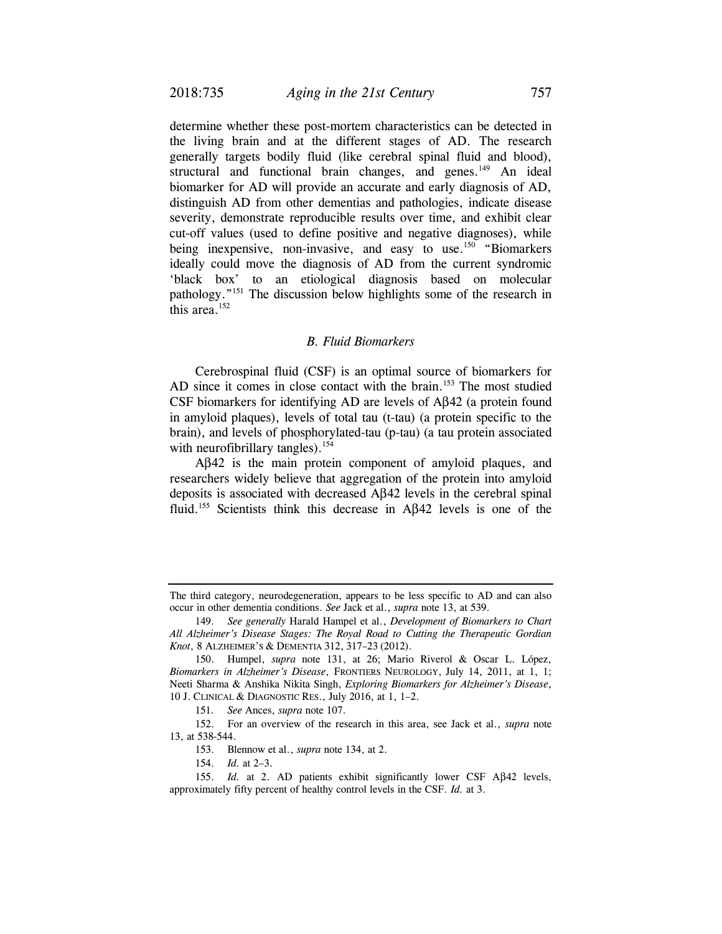determine whether these post-mortem characteristics can be detected in the living brain and at the different stages of AD. The research generally targets bodily fluid (like cerebral spinal fluid and blood), structural and functional brain changes, and genes.<sup>149</sup> An ideal biomarker for AD will provide an accurate and early diagnosis of AD, distinguish AD from other dementias and pathologies, indicate disease severity, demonstrate reproducible results over time, and exhibit clear cut-off values (used to define positive and negative diagnoses), while being inexpensive, non-invasive, and easy to use.<sup>150</sup> "Biomarkers" ideally could move the diagnosis of AD from the current syndromic 'black box' to an etiological diagnosis based on molecular pathology."151 The discussion below highlights some of the research in this area. $152$ 

#### *B. Fluid Biomarkers*

Cerebrospinal fluid (CSF) is an optimal source of biomarkers for AD since it comes in close contact with the brain.<sup>153</sup> The most studied CSF biomarkers for identifying AD are levels of Aβ42 (a protein found in amyloid plaques), levels of total tau (t-tau) (a protein specific to the brain), and levels of phosphorylated-tau (p-tau) (a tau protein associated with neurofibrillary tangles).<sup>154</sup>

Aβ42 is the main protein component of amyloid plaques, and researchers widely believe that aggregation of the protein into amyloid deposits is associated with decreased Aβ42 levels in the cerebral spinal fluid.155 Scientists think this decrease in Aβ42 levels is one of the

The third category, neurodegeneration, appears to be less specific to AD and can also occur in other dementia conditions. *See* Jack et al., *supra* note 13, at 539.

 <sup>149.</sup> *See generally* Harald Hampel et al., *Development of Biomarkers to Chart All Alzheimer's Disease Stages: The Royal Road to Cutting the Therapeutic Gordian Knot*, 8 ALZHEIMER'S & DEMENTIA 312, 317–23 (2012).

 <sup>150.</sup> Humpel, *supra* note 131, at 26; Mario Riverol & Oscar L. López, *Biomarkers in Alzheimer's Disease*, FRONTIERS NEUROLOGY, July 14, 2011, at 1, 1; Neeti Sharma & Anshika Nikita Singh, *Exploring Biomarkers for Alzheimer's Disease*, 10 J. CLINICAL & DIAGNOSTIC RES., July 2016, at 1, 1–2.

<sup>151</sup>*. See* Ances, *supra* note 107.

 <sup>152.</sup> For an overview of the research in this area, see Jack et al., *supra* note 13, at 538-544.

 <sup>153.</sup> Blennow et al., *supra* note 134, at 2.

 <sup>154.</sup> *Id.* at 2–3.

 <sup>155.</sup> *Id.* at 2. AD patients exhibit significantly lower CSF Aβ42 levels, approximately fifty percent of healthy control levels in the CSF. *Id.* at 3.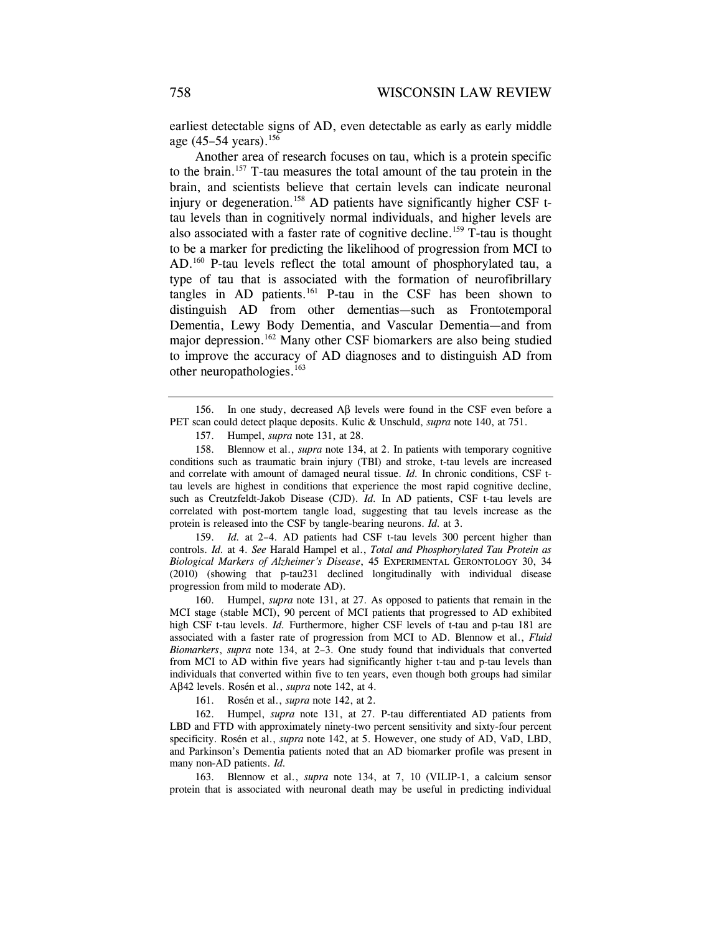earliest detectable signs of AD, even detectable as early as early middle age  $(45-54 \text{ years})$ .<sup>156</sup>

Another area of research focuses on tau, which is a protein specific to the brain.157 T-tau measures the total amount of the tau protein in the brain, and scientists believe that certain levels can indicate neuronal injury or degeneration.<sup>158</sup> AD patients have significantly higher CSF ttau levels than in cognitively normal individuals, and higher levels are also associated with a faster rate of cognitive decline.<sup>159</sup> T-tau is thought to be a marker for predicting the likelihood of progression from MCI to AD.<sup>160</sup> P-tau levels reflect the total amount of phosphorylated tau, a type of tau that is associated with the formation of neurofibrillary tangles in  $AD$  patients.<sup>161</sup> P-tau in the CSF has been shown to distinguish AD from other dementias—such as Frontotemporal Dementia, Lewy Body Dementia, and Vascular Dementia—and from major depression.162 Many other CSF biomarkers are also being studied to improve the accuracy of AD diagnoses and to distinguish AD from other neuropathologies.163

 158. Blennow et al., *supra* note 134, at 2. In patients with temporary cognitive conditions such as traumatic brain injury (TBI) and stroke, t-tau levels are increased and correlate with amount of damaged neural tissue. *Id.* In chronic conditions, CSF ttau levels are highest in conditions that experience the most rapid cognitive decline, such as Creutzfeldt-Jakob Disease (CJD). *Id.* In AD patients, CSF t-tau levels are correlated with post-mortem tangle load, suggesting that tau levels increase as the protein is released into the CSF by tangle-bearing neurons. *Id.* at 3.

 159. *Id.* at 2–4. AD patients had CSF t-tau levels 300 percent higher than controls. *Id.* at 4. *See* Harald Hampel et al., *Total and Phosphorylated Tau Protein as Biological Markers of Alzheimer's Disease*, 45 EXPERIMENTAL GERONTOLOGY 30, 34 (2010) (showing that p-tau231 declined longitudinally with individual disease progression from mild to moderate AD).

 160. Humpel, *supra* note 131, at 27. As opposed to patients that remain in the MCI stage (stable MCI), 90 percent of MCI patients that progressed to AD exhibited high CSF t-tau levels. *Id.* Furthermore, higher CSF levels of t-tau and p-tau 181 are associated with a faster rate of progression from MCI to AD. Blennow et al., *Fluid Biomarkers*, *supra* note 134, at 2–3. One study found that individuals that converted from MCI to AD within five years had significantly higher t-tau and p-tau levels than individuals that converted within five to ten years, even though both groups had similar Aβ42 levels. Rosén et al., *supra* note 142, at 4.

161. Rosén et al., *supra* note 142, at 2.

 162. Humpel, *supra* note 131, at 27. P-tau differentiated AD patients from LBD and FTD with approximately ninety-two percent sensitivity and sixty-four percent specificity. Rosén et al., *supra* note 142, at 5. However, one study of AD, VaD, LBD, and Parkinson's Dementia patients noted that an AD biomarker profile was present in many non-AD patients. *Id.*

 163. Blennow et al., *supra* note 134, at 7, 10 (VILIP-1, a calcium sensor protein that is associated with neuronal death may be useful in predicting individual

 <sup>156.</sup> In one study, decreased Aβ levels were found in the CSF even before a PET scan could detect plaque deposits. Kulic & Unschuld, *supra* note 140, at 751.

 <sup>157.</sup> Humpel, *supra* note 131, at 28.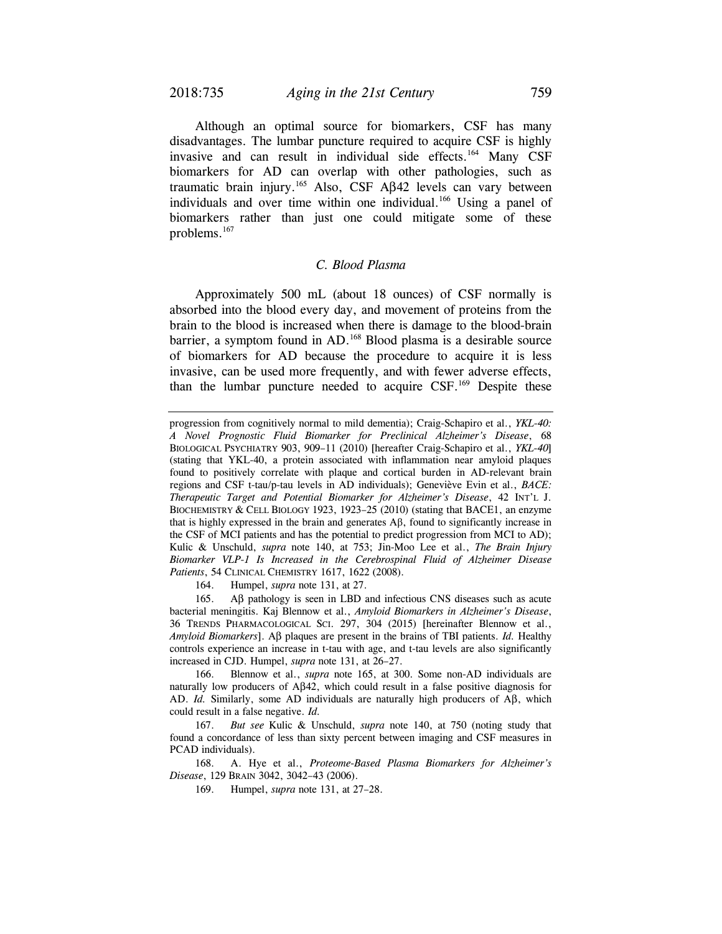Although an optimal source for biomarkers, CSF has many disadvantages. The lumbar puncture required to acquire CSF is highly invasive and can result in individual side effects.<sup>164</sup> Many CSF biomarkers for AD can overlap with other pathologies, such as traumatic brain injury.<sup>165</sup> Also, CSF Aβ42 levels can vary between individuals and over time within one individual.<sup>166</sup> Using a panel of biomarkers rather than just one could mitigate some of these problems.<sup>167</sup>

# *C. Blood Plasma*

Approximately 500 mL (about 18 ounces) of CSF normally is absorbed into the blood every day, and movement of proteins from the brain to the blood is increased when there is damage to the blood-brain barrier, a symptom found in AD.<sup>168</sup> Blood plasma is a desirable source of biomarkers for AD because the procedure to acquire it is less invasive, can be used more frequently, and with fewer adverse effects, than the lumbar puncture needed to acquire CSF.<sup>169</sup> Despite these

164. Humpel, *supra* note 131, at 27.

 165. Aβ pathology is seen in LBD and infectious CNS diseases such as acute bacterial meningitis. Kaj Blennow et al., *Amyloid Biomarkers in Alzheimer's Disease*, 36 TRENDS PHARMACOLOGICAL SCI. 297, 304 (2015) [hereinafter Blennow et al., *Amyloid Biomarkers*]. Aβ plaques are present in the brains of TBI patients. *Id.* Healthy controls experience an increase in t-tau with age, and t-tau levels are also significantly increased in CJD. Humpel, *supra* note 131, at 26–27.

 166. Blennow et al., *supra* note 165, at 300. Some non-AD individuals are naturally low producers of Aβ42, which could result in a false positive diagnosis for AD. *Id.* Similarly, some AD individuals are naturally high producers of Aβ, which could result in a false negative. *Id.*

 167. *But see* Kulic & Unschuld, *supra* note 140, at 750 (noting study that found a concordance of less than sixty percent between imaging and CSF measures in PCAD individuals).

 168. A. Hye et al., *Proteome-Based Plasma Biomarkers for Alzheimer's Disease*, 129 BRAIN 3042, 3042–43 (2006).

169. Humpel, *supra* note 131, at 27–28.

progression from cognitively normal to mild dementia); Craig-Schapiro et al., *YKL-40: A Novel Prognostic Fluid Biomarker for Preclinical Alzheimer's Disease*, 68 BIOLOGICAL PSYCHIATRY 903, 909–11 (2010) [hereafter Craig-Schapiro et al., *YKL-40*] (stating that YKL-40, a protein associated with inflammation near amyloid plaques found to positively correlate with plaque and cortical burden in AD-relevant brain regions and CSF t-tau/p-tau levels in AD individuals); Geneviève Evin et al., *BACE: Therapeutic Target and Potential Biomarker for Alzheimer's Disease*, 42 INT'L J. BIOCHEMISTRY & CELL BIOLOGY 1923, 1923–25 (2010) (stating that BACE1, an enzyme that is highly expressed in the brain and generates  $\text{A}\beta$ , found to significantly increase in the CSF of MCI patients and has the potential to predict progression from MCI to AD); Kulic & Unschuld, *supra* note 140, at 753; Jin-Moo Lee et al., *The Brain Injury Biomarker VLP-1 Is Increased in the Cerebrospinal Fluid of Alzheimer Disease Patients*, 54 CLINICAL CHEMISTRY 1617, 1622 (2008).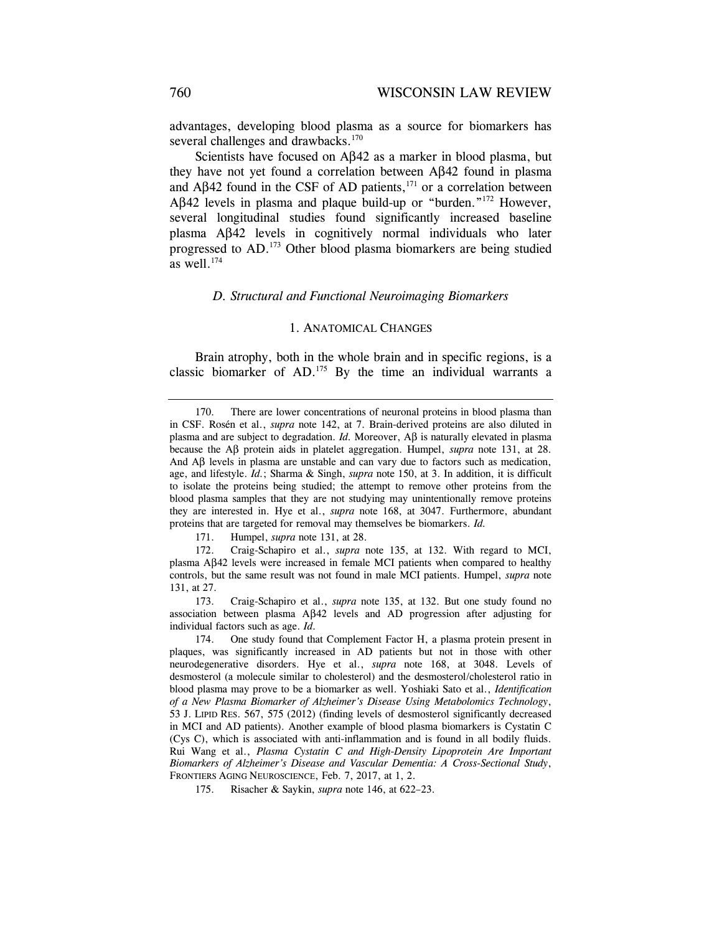advantages, developing blood plasma as a source for biomarkers has several challenges and drawbacks.<sup>170</sup>

Scientists have focused on Aβ42 as a marker in blood plasma, but they have not yet found a correlation between Aβ42 found in plasma and Aβ42 found in the CSF of AD patients, $171$  or a correlation between Aβ42 levels in plasma and plaque build-up or "burden."172 However, several longitudinal studies found significantly increased baseline plasma Aβ42 levels in cognitively normal individuals who later progressed to AD.173 Other blood plasma biomarkers are being studied as well.<sup>174</sup>

#### *D. Structural and Functional Neuroimaging Biomarkers*

#### 1. ANATOMICAL CHANGES

Brain atrophy, both in the whole brain and in specific regions, is a classic biomarker of AD.175 By the time an individual warrants a

171. Humpel, *supra* note 131, at 28.

 172. Craig-Schapiro et al., *supra* note 135, at 132. With regard to MCI, plasma Aβ42 levels were increased in female MCI patients when compared to healthy controls, but the same result was not found in male MCI patients. Humpel, *supra* note 131, at 27.

 173. Craig-Schapiro et al., *supra* note 135, at 132. But one study found no association between plasma Aβ42 levels and AD progression after adjusting for individual factors such as age. *Id.*

 174. One study found that Complement Factor H, a plasma protein present in plaques, was significantly increased in AD patients but not in those with other neurodegenerative disorders. Hye et al., *supra* note 168, at 3048. Levels of desmosterol (a molecule similar to cholesterol) and the desmosterol/cholesterol ratio in blood plasma may prove to be a biomarker as well. Yoshiaki Sato et al., *Identification of a New Plasma Biomarker of Alzheimer's Disease Using Metabolomics Technology*, 53 J. LIPID RES. 567, 575 (2012) (finding levels of desmosterol significantly decreased in MCI and AD patients). Another example of blood plasma biomarkers is Cystatin C (Cys C), which is associated with anti-inflammation and is found in all bodily fluids. Rui Wang et al., *Plasma Cystatin C and High-Density Lipoprotein Are Important Biomarkers of Alzheimer's Disease and Vascular Dementia: A Cross-Sectional Study*, FRONTIERS AGING NEUROSCIENCE, Feb. 7, 2017, at 1, 2.

175. Risacher & Saykin, *supra* note 146, at 622–23.

 <sup>170.</sup> There are lower concentrations of neuronal proteins in blood plasma than in CSF. Rosén et al., *supra* note 142, at 7. Brain-derived proteins are also diluted in plasma and are subject to degradation. *Id.* Moreover, Aβ is naturally elevated in plasma because the Aβ protein aids in platelet aggregation. Humpel, *supra* note 131, at 28. And  $\mathbf{A}\beta$  levels in plasma are unstable and can vary due to factors such as medication, age, and lifestyle. *Id.*; Sharma & Singh, *supra* note 150, at 3. In addition, it is difficult to isolate the proteins being studied; the attempt to remove other proteins from the blood plasma samples that they are not studying may unintentionally remove proteins they are interested in. Hye et al., *supra* note 168, at 3047. Furthermore, abundant proteins that are targeted for removal may themselves be biomarkers. *Id.*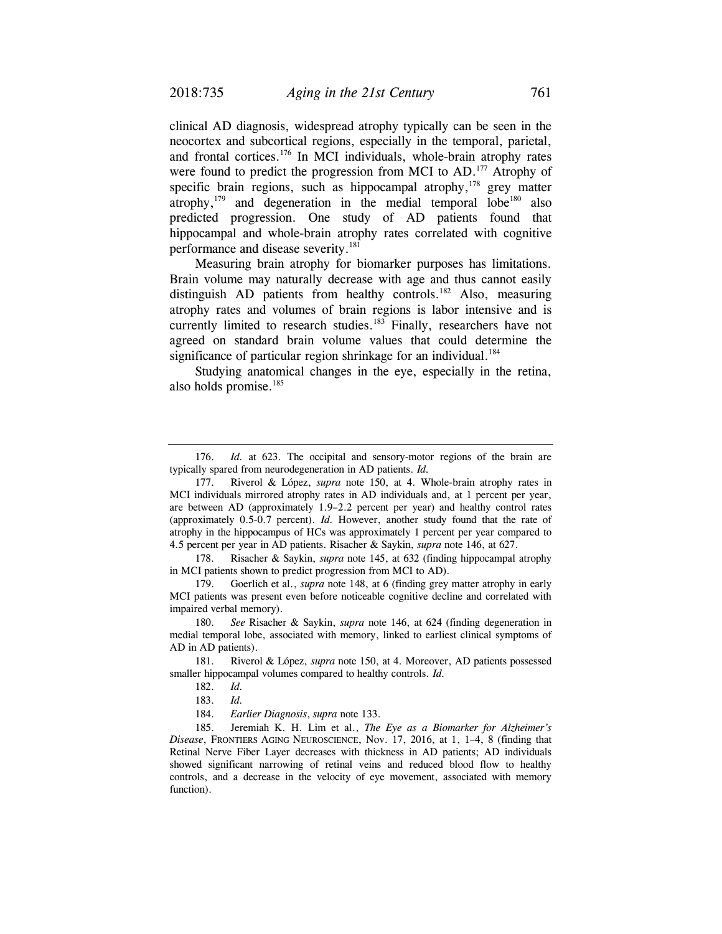clinical AD diagnosis, widespread atrophy typically can be seen in the neocortex and subcortical regions, especially in the temporal, parietal, and frontal cortices.176 In MCI individuals, whole-brain atrophy rates were found to predict the progression from MCI to AD.<sup>177</sup> Atrophy of specific brain regions, such as hippocampal atrophy,<sup>178</sup> grey matter atrophy, $179$  and degeneration in the medial temporal lobe<sup>180</sup> also predicted progression. One study of AD patients found that hippocampal and whole-brain atrophy rates correlated with cognitive performance and disease severity.<sup>181</sup>

Measuring brain atrophy for biomarker purposes has limitations. Brain volume may naturally decrease with age and thus cannot easily distinguish AD patients from healthy controls.<sup>182</sup> Also, measuring atrophy rates and volumes of brain regions is labor intensive and is currently limited to research studies.<sup>183</sup> Finally, researchers have not agreed on standard brain volume values that could determine the significance of particular region shrinkage for an individual.<sup>184</sup>

Studying anatomical changes in the eye, especially in the retina, also holds promise.<sup>185</sup>

 178. Risacher & Saykin, *supra* note 145, at 632 (finding hippocampal atrophy in MCI patients shown to predict progression from MCI to AD).

 179. Goerlich et al., *supra* note 148, at 6 (finding grey matter atrophy in early MCI patients was present even before noticeable cognitive decline and correlated with impaired verbal memory).

 <sup>176.</sup> *Id.* at 623. The occipital and sensory-motor regions of the brain are typically spared from neurodegeneration in AD patients. *Id.*

 <sup>177.</sup> Riverol & López, *supra* note 150, at 4. Whole-brain atrophy rates in MCI individuals mirrored atrophy rates in AD individuals and, at 1 percent per year, are between AD (approximately 1.9–2.2 percent per year) and healthy control rates (approximately 0.5-0.7 percent). *Id.* However, another study found that the rate of atrophy in the hippocampus of HCs was approximately 1 percent per year compared to 4.5 percent per year in AD patients. Risacher & Saykin, *supra* note 146, at 627.

 <sup>180.</sup> *See* Risacher & Saykin, *supra* note 146, at 624 (finding degeneration in medial temporal lobe, associated with memory, linked to earliest clinical symptoms of AD in AD patients).

 <sup>181.</sup> Riverol & López, *supra* note 150, at 4. Moreover, AD patients possessed smaller hippocampal volumes compared to healthy controls. *Id.*

 <sup>182.</sup> *Id.*

 <sup>183.</sup> *Id.*

 <sup>184.</sup> *Earlier Diagnosis*, *supra* note 133.

 <sup>185.</sup> Jeremiah K. H. Lim et al., *The Eye as a Biomarker for Alzheimer's Disease*, FRONTIERS AGING NEUROSCIENCE, Nov. 17, 2016, at 1, 1–4, 8 (finding that Retinal Nerve Fiber Layer decreases with thickness in AD patients; AD individuals showed significant narrowing of retinal veins and reduced blood flow to healthy controls, and a decrease in the velocity of eye movement, associated with memory function).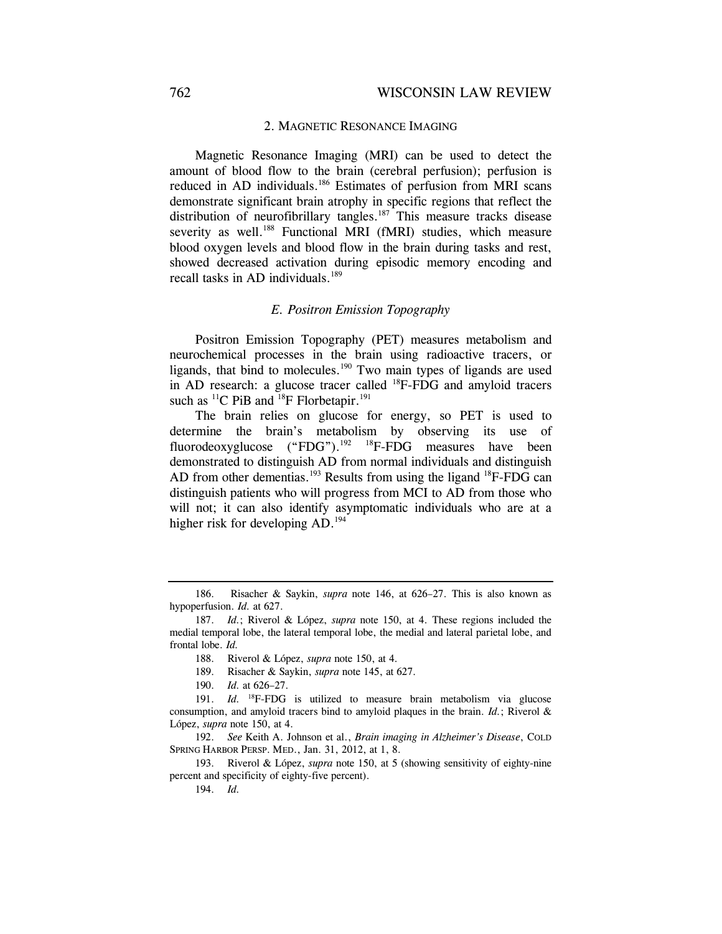### 2. MAGNETIC RESONANCE IMAGING

Magnetic Resonance Imaging (MRI) can be used to detect the amount of blood flow to the brain (cerebral perfusion); perfusion is reduced in AD individuals.<sup>186</sup> Estimates of perfusion from MRI scans demonstrate significant brain atrophy in specific regions that reflect the distribution of neurofibrillary tangles.<sup>187</sup> This measure tracks disease severity as well.<sup>188</sup> Functional MRI (fMRI) studies, which measure blood oxygen levels and blood flow in the brain during tasks and rest, showed decreased activation during episodic memory encoding and recall tasks in AD individuals.<sup>189</sup>

#### *E. Positron Emission Topography*

Positron Emission Topography (PET) measures metabolism and neurochemical processes in the brain using radioactive tracers, or ligands, that bind to molecules.<sup>190</sup> Two main types of ligands are used in AD research: a glucose tracer called 18F-FDG and amyloid tracers such as <sup>11</sup>C PiB and <sup>18</sup>F Florbetapir.<sup>191</sup>

The brain relies on glucose for energy, so PET is used to determine the brain's metabolism by observing its use of fluorodeoxyglucose ("FDG").<sup>192</sup> <sup>18</sup>F-FDG measures have been demonstrated to distinguish AD from normal individuals and distinguish AD from other dementias.<sup>193</sup> Results from using the ligand  $^{18}$ F-FDG can distinguish patients who will progress from MCI to AD from those who will not; it can also identify asymptomatic individuals who are at a higher risk for developing AD.<sup>194</sup>

 193. Riverol & López, *supra* note 150, at 5 (showing sensitivity of eighty-nine percent and specificity of eighty-five percent).

194. *Id.* 

 <sup>186.</sup> Risacher & Saykin, *supra* note 146, at 626–27. This is also known as hypoperfusion. *Id.* at 627.

 <sup>187.</sup> *Id.*; Riverol & López, *supra* note 150, at 4. These regions included the medial temporal lobe, the lateral temporal lobe, the medial and lateral parietal lobe, and frontal lobe. *Id.*

 <sup>188.</sup> Riverol & López, *supra* note 150, at 4.

 <sup>189.</sup> Risacher & Saykin, *supra* note 145, at 627.

 <sup>190.</sup> *Id.* at 626–27.

 <sup>191.</sup> *Id.* 18F-FDG is utilized to measure brain metabolism via glucose consumption, and amyloid tracers bind to amyloid plaques in the brain. *Id.*; Riverol & López, *supra* note 150, at 4.

 <sup>192.</sup> *See* Keith A. Johnson et al., *Brain imaging in Alzheimer's Disease*, COLD SPRING HARBOR PERSP. MED., Jan. 31, 2012, at 1, 8.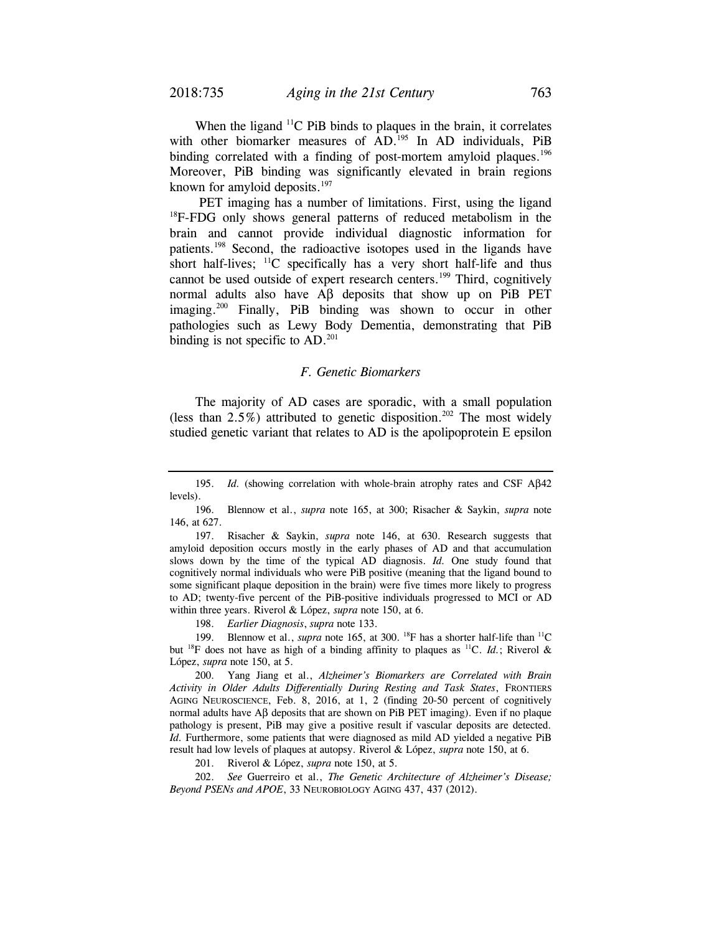When the ligand  ${}^{11}C$  PiB binds to plaques in the brain, it correlates with other biomarker measures of AD.<sup>195</sup> In AD individuals, PiB binding correlated with a finding of post-mortem amyloid plaques.<sup>196</sup> Moreover, PiB binding was significantly elevated in brain regions known for amyloid deposits. $197$ 

 PET imaging has a number of limitations. First, using the ligand <sup>18</sup>F-FDG only shows general patterns of reduced metabolism in the brain and cannot provide individual diagnostic information for patients.198 Second, the radioactive isotopes used in the ligands have short half-lives;  $^{11}$ C specifically has a very short half-life and thus cannot be used outside of expert research centers.<sup>199</sup> Third, cognitively normal adults also have Aβ deposits that show up on PiB PET imaging.<sup>200</sup> Finally, PiB binding was shown to occur in other pathologies such as Lewy Body Dementia, demonstrating that PiB binding is not specific to  $AD.^{201}$ .

#### *F. Genetic Biomarkers*

The majority of AD cases are sporadic, with a small population (less than  $2.5\%$ ) attributed to genetic disposition.<sup>202</sup> The most widely studied genetic variant that relates to AD is the apolipoprotein E epsilon

 197. Risacher & Saykin, *supra* note 146, at 630. Research suggests that amyloid deposition occurs mostly in the early phases of AD and that accumulation slows down by the time of the typical AD diagnosis. *Id.* One study found that cognitively normal individuals who were PiB positive (meaning that the ligand bound to some significant plaque deposition in the brain) were five times more likely to progress to AD; twenty-five percent of the PiB-positive individuals progressed to MCI or AD within three years. Riverol & López, *supra* note 150, at 6.

198. *Earlier Diagnosis*, *supra* note 133.

 199. Blennow et al., *supra* note 165, at 300. 18F has a shorter half-life than 11C but <sup>18</sup>F does not have as high of a binding affinity to plaques as <sup>11</sup>C. *Id.*; Riverol & López, *supra* note 150, at 5.

 200. Yang Jiang et al., *Alzheimer's Biomarkers are Correlated with Brain Activity in Older Adults Differentially During Resting and Task States*, FRONTIERS AGING NEUROSCIENCE, Feb. 8, 2016, at 1, 2 (finding 20-50 percent of cognitively normal adults have  $\text{A}$ β deposits that are shown on PiB PET imaging). Even if no plaque pathology is present, PiB may give a positive result if vascular deposits are detected. *Id.* Furthermore, some patients that were diagnosed as mild AD yielded a negative PiB result had low levels of plaques at autopsy. Riverol & López, *supra* note 150, at 6.

201. Riverol & López, *supra* note 150, at 5.

 202. *See* Guerreiro et al., *The Genetic Architecture of Alzheimer's Disease; Beyond PSENs and APOE*, 33 NEUROBIOLOGY AGING 437, 437 (2012).

 <sup>195.</sup> *Id.* (showing correlation with whole-brain atrophy rates and CSF Aβ42 levels).

 <sup>196.</sup> Blennow et al., *supra* note 165, at 300; Risacher & Saykin, *supra* note 146, at 627.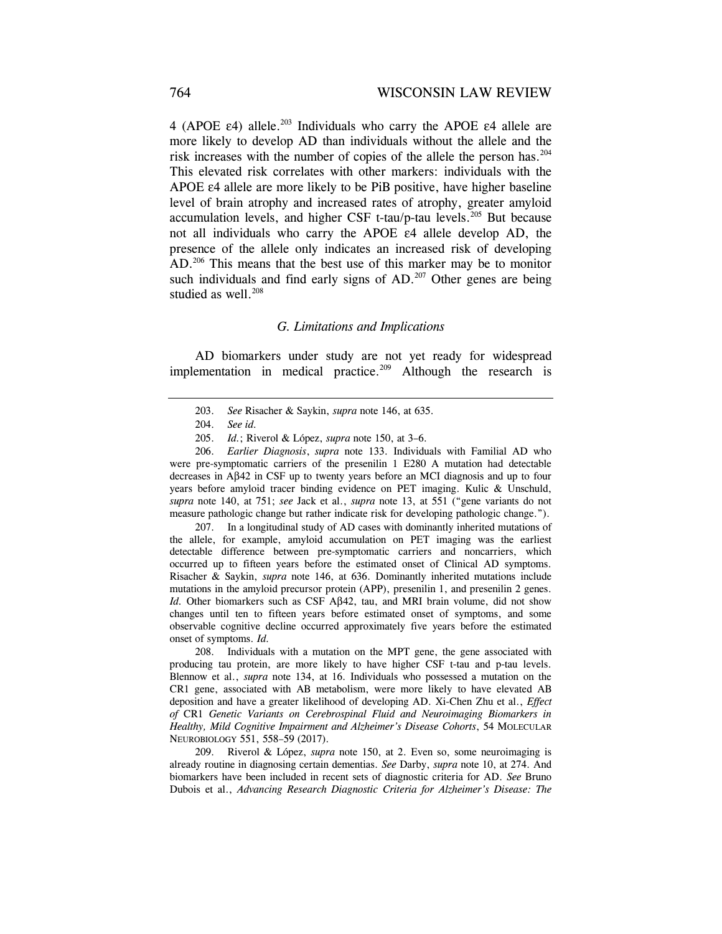4 (APOE  $\varepsilon$ 4) allele.<sup>203</sup> Individuals who carry the APOE  $\varepsilon$ 4 allele are more likely to develop AD than individuals without the allele and the risk increases with the number of copies of the allele the person has.204 This elevated risk correlates with other markers: individuals with the APOE ε4 allele are more likely to be PiB positive, have higher baseline level of brain atrophy and increased rates of atrophy, greater amyloid accumulation levels, and higher CSF  $t$ -tau/p-tau levels.<sup>205</sup> But because not all individuals who carry the APOE ε4 allele develop AD, the presence of the allele only indicates an increased risk of developing AD.206 This means that the best use of this marker may be to monitor such individuals and find early signs of  $AD$ .<sup>207</sup> Other genes are being studied as well.<sup>208</sup>

#### *G. Limitations and Implications*

AD biomarkers under study are not yet ready for widespread implementation in medical practice.<sup>209</sup> Although the research is

 206. *Earlier Diagnosis*, *supra* note 133. Individuals with Familial AD who were pre-symptomatic carriers of the presenilin 1 E280 A mutation had detectable decreases in Aβ42 in CSF up to twenty years before an MCI diagnosis and up to four years before amyloid tracer binding evidence on PET imaging. Kulic & Unschuld, *supra* note 140, at 751; *see* Jack et al., *supra* note 13, at 551 ("gene variants do not measure pathologic change but rather indicate risk for developing pathologic change.").

 207. In a longitudinal study of AD cases with dominantly inherited mutations of the allele, for example, amyloid accumulation on PET imaging was the earliest detectable difference between pre-symptomatic carriers and noncarriers, which occurred up to fifteen years before the estimated onset of Clinical AD symptoms. Risacher & Saykin, *supra* note 146, at 636. Dominantly inherited mutations include mutations in the amyloid precursor protein (APP), presenilin 1, and presenilin 2 genes. *Id.* Other biomarkers such as CSF Aβ42, tau, and MRI brain volume, did not show changes until ten to fifteen years before estimated onset of symptoms, and some observable cognitive decline occurred approximately five years before the estimated onset of symptoms. *Id.*

 208. Individuals with a mutation on the MPT gene, the gene associated with producing tau protein, are more likely to have higher CSF t-tau and p-tau levels. Blennow et al., *supra* note 134, at 16. Individuals who possessed a mutation on the CR1 gene, associated with AB metabolism, were more likely to have elevated AB deposition and have a greater likelihood of developing AD. Xi-Chen Zhu et al., *Effect of* CR1 *Genetic Variants on Cerebrospinal Fluid and Neuroimaging Biomarkers in Healthy, Mild Cognitive Impairment and Alzheimer's Disease Cohorts*, 54 MOLECULAR NEUROBIOLOGY 551, 558–59 (2017).

 209. Riverol & López, *supra* note 150, at 2. Even so, some neuroimaging is already routine in diagnosing certain dementias. *See* Darby, *supra* note 10, at 274. And biomarkers have been included in recent sets of diagnostic criteria for AD. *See* Bruno Dubois et al., *Advancing Research Diagnostic Criteria for Alzheimer's Disease: The* 

 <sup>203.</sup> *See* Risacher & Saykin, *supra* note 146, at 635.

 <sup>204.</sup> *See id.* 

 <sup>205.</sup> *Id.*; Riverol & López, *supra* note 150, at 3–6.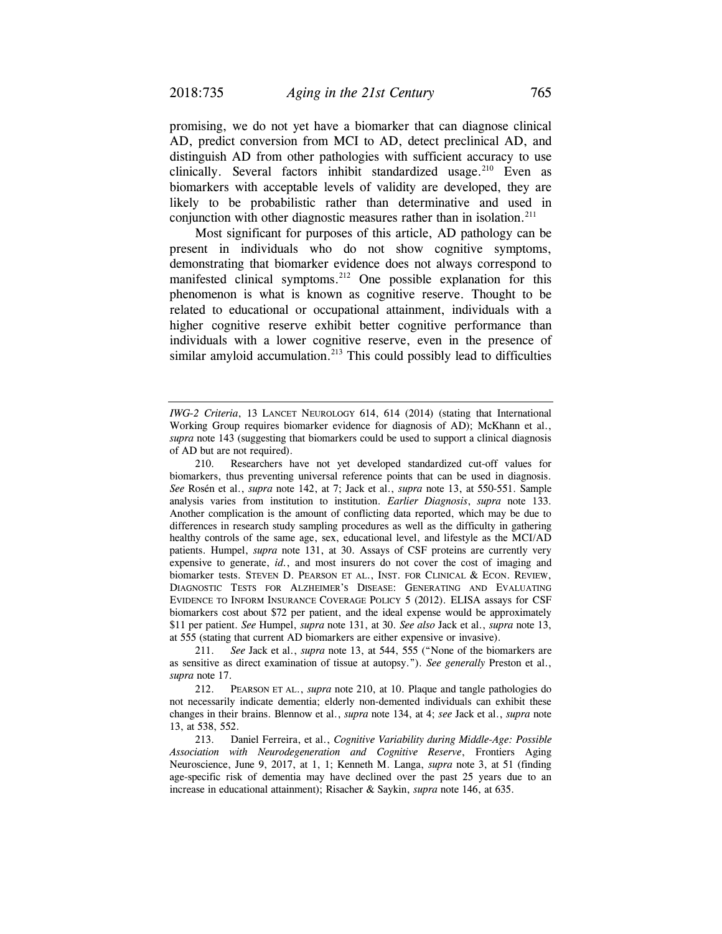promising, we do not yet have a biomarker that can diagnose clinical AD, predict conversion from MCI to AD, detect preclinical AD, and distinguish AD from other pathologies with sufficient accuracy to use clinically. Several factors inhibit standardized usage.<sup>210</sup> Even as biomarkers with acceptable levels of validity are developed, they are likely to be probabilistic rather than determinative and used in conjunction with other diagnostic measures rather than in isolation.<sup>211</sup>

Most significant for purposes of this article, AD pathology can be present in individuals who do not show cognitive symptoms, demonstrating that biomarker evidence does not always correspond to manifested clinical symptoms.<sup>212</sup> One possible explanation for this phenomenon is what is known as cognitive reserve. Thought to be related to educational or occupational attainment, individuals with a higher cognitive reserve exhibit better cognitive performance than individuals with a lower cognitive reserve, even in the presence of similar amyloid accumulation.<sup>213</sup> This could possibly lead to difficulties

*IWG-2 Criteria*, 13 LANCET NEUROLOGY 614, 614 (2014) (stating that International Working Group requires biomarker evidence for diagnosis of AD); McKhann et al., *supra* note 143 (suggesting that biomarkers could be used to support a clinical diagnosis of AD but are not required).

 <sup>210.</sup> Researchers have not yet developed standardized cut-off values for biomarkers, thus preventing universal reference points that can be used in diagnosis. *See* Rosén et al., *supra* note 142, at 7; Jack et al., *supra* note 13, at 550-551. Sample analysis varies from institution to institution. *Earlier Diagnosis*, *supra* note 133. Another complication is the amount of conflicting data reported, which may be due to differences in research study sampling procedures as well as the difficulty in gathering healthy controls of the same age, sex, educational level, and lifestyle as the MCI/AD patients. Humpel, *supra* note 131, at 30. Assays of CSF proteins are currently very expensive to generate, *id.*, and most insurers do not cover the cost of imaging and biomarker tests. STEVEN D. PEARSON ET AL., INST. FOR CLINICAL & ECON. REVIEW, DIAGNOSTIC TESTS FOR ALZHEIMER'S DISEASE: GENERATING AND EVALUATING EVIDENCE TO INFORM INSURANCE COVERAGE POLICY 5 (2012). ELISA assays for CSF biomarkers cost about \$72 per patient, and the ideal expense would be approximately \$11 per patient. *See* Humpel, *supra* note 131, at 30. *See also* Jack et al., *supra* note 13, at 555 (stating that current AD biomarkers are either expensive or invasive).

 <sup>211.</sup> *See* Jack et al., *supra* note 13, at 544, 555 ("None of the biomarkers are as sensitive as direct examination of tissue at autopsy."). *See generally* Preston et al., *supra* note 17.

 <sup>212.</sup> PEARSON ET AL., *supra* note 210, at 10. Plaque and tangle pathologies do not necessarily indicate dementia; elderly non-demented individuals can exhibit these changes in their brains. Blennow et al., *supra* note 134, at 4; *see* Jack et al., *supra* note 13, at 538, 552.

 <sup>213.</sup> Daniel Ferreira, et al., *Cognitive Variability during Middle-Age: Possible Association with Neurodegeneration and Cognitive Reserve*, Frontiers Aging Neuroscience, June 9, 2017, at 1, 1; Kenneth M. Langa, *supra* note 3, at 51 (finding age-specific risk of dementia may have declined over the past 25 years due to an increase in educational attainment); Risacher & Saykin, *supra* note 146, at 635.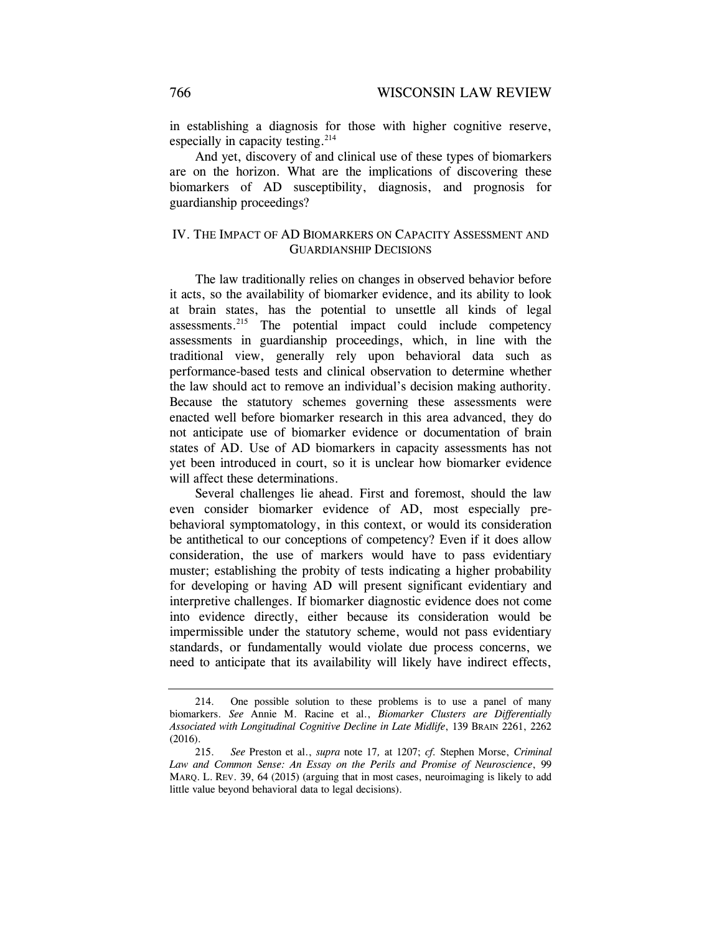in establishing a diagnosis for those with higher cognitive reserve, especially in capacity testing.<sup>214</sup>

And yet, discovery of and clinical use of these types of biomarkers are on the horizon. What are the implications of discovering these biomarkers of AD susceptibility, diagnosis, and prognosis for guardianship proceedings?

# IV. THE IMPACT OF AD BIOMARKERS ON CAPACITY ASSESSMENT AND GUARDIANSHIP DECISIONS

The law traditionally relies on changes in observed behavior before it acts, so the availability of biomarker evidence, and its ability to look at brain states, has the potential to unsettle all kinds of legal assessments.215 The potential impact could include competency assessments in guardianship proceedings, which, in line with the traditional view, generally rely upon behavioral data such as performance-based tests and clinical observation to determine whether the law should act to remove an individual's decision making authority. Because the statutory schemes governing these assessments were enacted well before biomarker research in this area advanced, they do not anticipate use of biomarker evidence or documentation of brain states of AD. Use of AD biomarkers in capacity assessments has not yet been introduced in court, so it is unclear how biomarker evidence will affect these determinations.

Several challenges lie ahead. First and foremost, should the law even consider biomarker evidence of AD, most especially prebehavioral symptomatology, in this context, or would its consideration be antithetical to our conceptions of competency? Even if it does allow consideration, the use of markers would have to pass evidentiary muster; establishing the probity of tests indicating a higher probability for developing or having AD will present significant evidentiary and interpretive challenges. If biomarker diagnostic evidence does not come into evidence directly, either because its consideration would be impermissible under the statutory scheme, would not pass evidentiary standards, or fundamentally would violate due process concerns, we need to anticipate that its availability will likely have indirect effects,

 <sup>214.</sup> One possible solution to these problems is to use a panel of many biomarkers. *See* Annie M. Racine et al., *Biomarker Clusters are Differentially Associated with Longitudinal Cognitive Decline in Late Midlife*, 139 BRAIN 2261, 2262 (2016).

 <sup>215.</sup> *See* Preston et al., *supra* note 17*,* at 1207; *cf.* Stephen Morse, *Criminal Law and Common Sense: An Essay on the Perils and Promise of Neuroscience*, 99 MARQ. L. REV. 39, 64 (2015) (arguing that in most cases, neuroimaging is likely to add little value beyond behavioral data to legal decisions).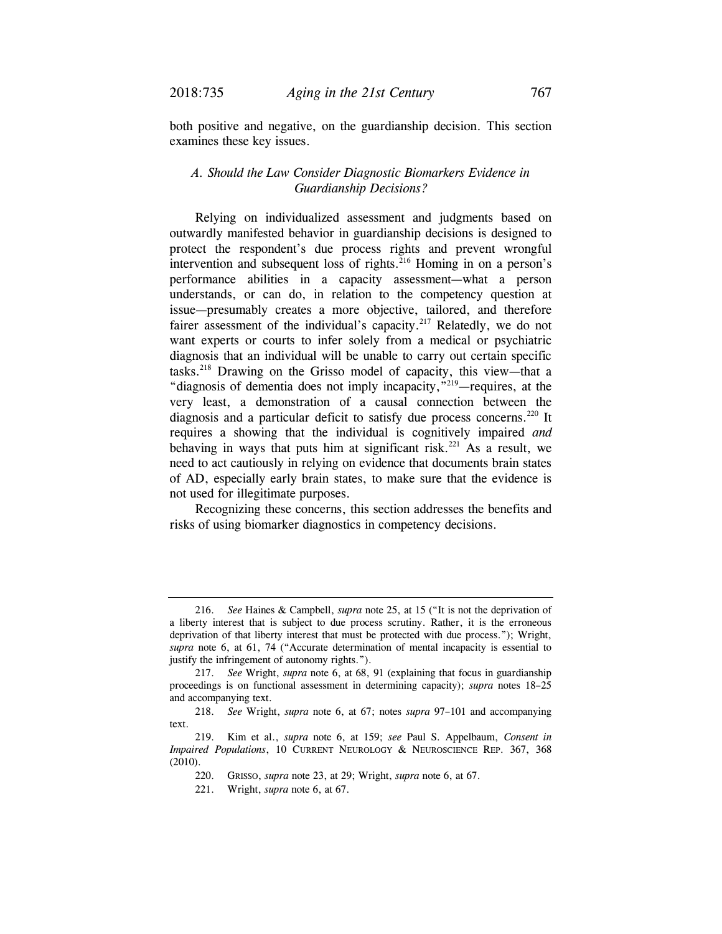both positive and negative, on the guardianship decision. This section examines these key issues.

# *A. Should the Law Consider Diagnostic Biomarkers Evidence in Guardianship Decisions?*

Relying on individualized assessment and judgments based on outwardly manifested behavior in guardianship decisions is designed to protect the respondent's due process rights and prevent wrongful intervention and subsequent loss of rights.<sup>216</sup> Homing in on a person's performance abilities in a capacity assessment—what a person understands, or can do, in relation to the competency question at issue—presumably creates a more objective, tailored, and therefore fairer assessment of the individual's capacity.<sup>217</sup> Relatedly, we do not want experts or courts to infer solely from a medical or psychiatric diagnosis that an individual will be unable to carry out certain specific tasks.218 Drawing on the Grisso model of capacity, this view—that a "diagnosis of dementia does not imply incapacity,"219—requires, at the very least, a demonstration of a causal connection between the diagnosis and a particular deficit to satisfy due process concerns.<sup>220</sup> It requires a showing that the individual is cognitively impaired *and* behaving in ways that puts him at significant risk.<sup>221</sup> As a result, we need to act cautiously in relying on evidence that documents brain states of AD, especially early brain states, to make sure that the evidence is not used for illegitimate purposes.

Recognizing these concerns, this section addresses the benefits and risks of using biomarker diagnostics in competency decisions.

 <sup>216.</sup> *See* Haines & Campbell, *supra* note 25, at 15 ("It is not the deprivation of a liberty interest that is subject to due process scrutiny. Rather, it is the erroneous deprivation of that liberty interest that must be protected with due process."); Wright, *supra* note 6, at 61, 74 ("Accurate determination of mental incapacity is essential to justify the infringement of autonomy rights.").

 <sup>217.</sup> *See* Wright, *supra* note 6, at 68, 91 (explaining that focus in guardianship proceedings is on functional assessment in determining capacity); *supra* notes 18–25 and accompanying text.

 <sup>218.</sup> *See* Wright, *supra* note 6, at 67; notes *supra* 97–101 and accompanying text.

 <sup>219.</sup> Kim et al., *supra* note 6, at 159; *see* Paul S. Appelbaum, *Consent in Impaired Populations*, 10 CURRENT NEUROLOGY & NEUROSCIENCE REP. 367, 368 (2010).

 <sup>220.</sup> GRISSO, *supra* note 23, at 29; Wright, *supra* note 6, at 67.

 <sup>221.</sup> Wright, *supra* note 6, at 67.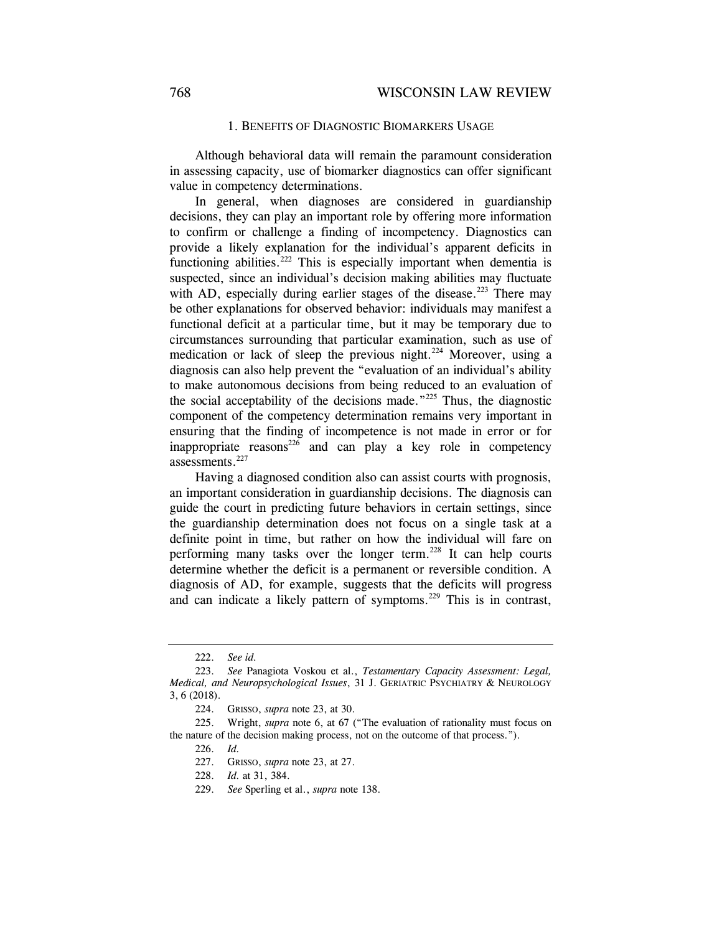### 1. BENEFITS OF DIAGNOSTIC BIOMARKERS USAGE

Although behavioral data will remain the paramount consideration in assessing capacity, use of biomarker diagnostics can offer significant value in competency determinations.

In general, when diagnoses are considered in guardianship decisions, they can play an important role by offering more information to confirm or challenge a finding of incompetency. Diagnostics can provide a likely explanation for the individual's apparent deficits in functioning abilities.<sup>222</sup> This is especially important when dementia is suspected, since an individual's decision making abilities may fluctuate with AD, especially during earlier stages of the disease.<sup>223</sup> There may be other explanations for observed behavior: individuals may manifest a functional deficit at a particular time, but it may be temporary due to circumstances surrounding that particular examination, such as use of medication or lack of sleep the previous night.<sup>224</sup> Moreover, using a diagnosis can also help prevent the "evaluation of an individual's ability to make autonomous decisions from being reduced to an evaluation of the social acceptability of the decisions made."<sup>225</sup> Thus, the diagnostic component of the competency determination remains very important in ensuring that the finding of incompetence is not made in error or for inappropriate reasons<sup>226</sup> and can play a key role in competency assessments.<sup>227</sup>

Having a diagnosed condition also can assist courts with prognosis, an important consideration in guardianship decisions. The diagnosis can guide the court in predicting future behaviors in certain settings, since the guardianship determination does not focus on a single task at a definite point in time, but rather on how the individual will fare on performing many tasks over the longer term.<sup>228</sup> It can help courts determine whether the deficit is a permanent or reversible condition. A diagnosis of AD, for example, suggests that the deficits will progress and can indicate a likely pattern of symptoms.<sup>229</sup> This is in contrast,

 <sup>222.</sup> *See id.* 

 <sup>223.</sup> *See* Panagiota Voskou et al., *Testamentary Capacity Assessment: Legal, Medical, and Neuropsychological Issues*, 31 J. GERIATRIC PSYCHIATRY & NEUROLOGY 3, 6 (2018).

 <sup>224.</sup> GRISSO, *supra* note 23, at 30.

 <sup>225.</sup> Wright, *supra* note 6, at 67 ("The evaluation of rationality must focus on the nature of the decision making process, not on the outcome of that process.").

 <sup>226.</sup> *Id.*

 <sup>227.</sup> GRISSO, *supra* note 23, at 27.

 <sup>228.</sup> *Id.* at 31, 384.

 <sup>229.</sup> *See* Sperling et al., *supra* note 138.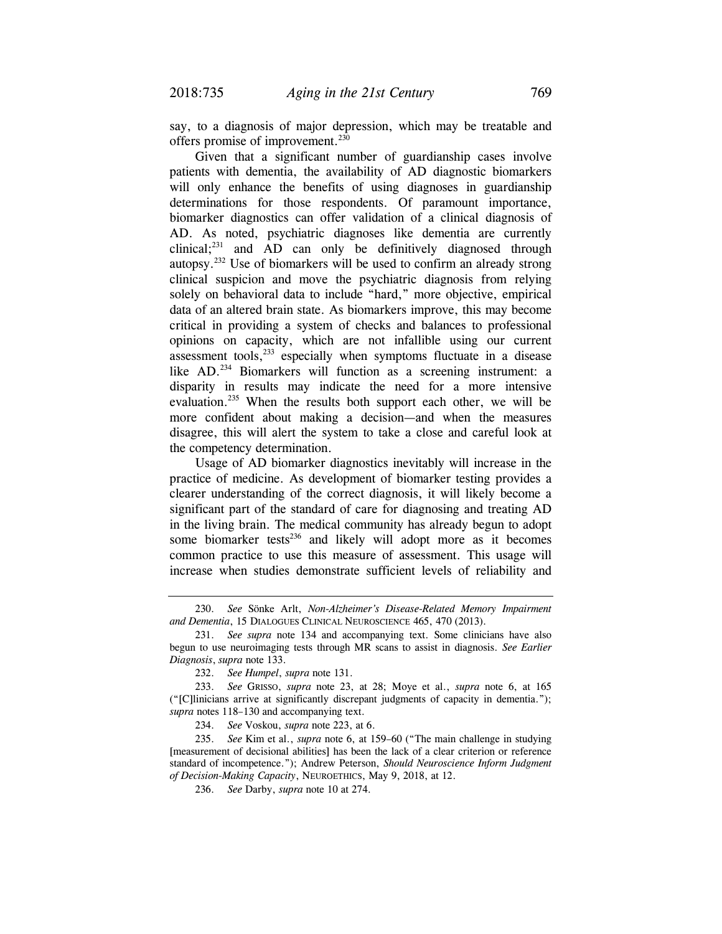say, to a diagnosis of major depression, which may be treatable and offers promise of improvement.<sup>230</sup>

Given that a significant number of guardianship cases involve patients with dementia, the availability of AD diagnostic biomarkers will only enhance the benefits of using diagnoses in guardianship determinations for those respondents. Of paramount importance, biomarker diagnostics can offer validation of a clinical diagnosis of AD. As noted, psychiatric diagnoses like dementia are currently clinical;<sup>231</sup> and AD can only be definitively diagnosed through autopsy.232 Use of biomarkers will be used to confirm an already strong clinical suspicion and move the psychiatric diagnosis from relying solely on behavioral data to include "hard," more objective, empirical data of an altered brain state. As biomarkers improve, this may become critical in providing a system of checks and balances to professional opinions on capacity, which are not infallible using our current assessment tools, $233$  especially when symptoms fluctuate in a disease like AD.<sup>234</sup> Biomarkers will function as a screening instrument: a disparity in results may indicate the need for a more intensive evaluation.<sup>235</sup> When the results both support each other, we will be more confident about making a decision—and when the measures disagree, this will alert the system to take a close and careful look at the competency determination.

Usage of AD biomarker diagnostics inevitably will increase in the practice of medicine. As development of biomarker testing provides a clearer understanding of the correct diagnosis, it will likely become a significant part of the standard of care for diagnosing and treating AD in the living brain. The medical community has already begun to adopt some biomarker tests<sup>236</sup> and likely will adopt more as it becomes common practice to use this measure of assessment. This usage will increase when studies demonstrate sufficient levels of reliability and

234. *See* Voskou, *supra* note 223, at 6.

 235. *See* Kim et al., *supra* note 6, at 159–60 ("The main challenge in studying [measurement of decisional abilities] has been the lack of a clear criterion or reference standard of incompetence."); Andrew Peterson, *Should Neuroscience Inform Judgment of Decision-Making Capacity*, NEUROETHICS, May 9, 2018, at 12.

 <sup>230.</sup> *See* Sönke Arlt, *Non-Alzheimer's Disease-Related Memory Impairment and Dementia*, 15 DIALOGUES CLINICAL NEUROSCIENCE 465, 470 (2013).

 <sup>231.</sup> *See supra* note 134 and accompanying text. Some clinicians have also begun to use neuroimaging tests through MR scans to assist in diagnosis. *See Earlier Diagnosis*, *supra* note 133.

 <sup>232.</sup> *See Humpel*, *supra* note 131.

 <sup>233.</sup> *See* GRISSO, *supra* note 23, at 28; Moye et al., *supra* note 6, at 165 ("[C]linicians arrive at significantly discrepant judgments of capacity in dementia."); *supra* notes 118–130 and accompanying text.

 <sup>236.</sup> *See* Darby, *supra* note 10 at 274.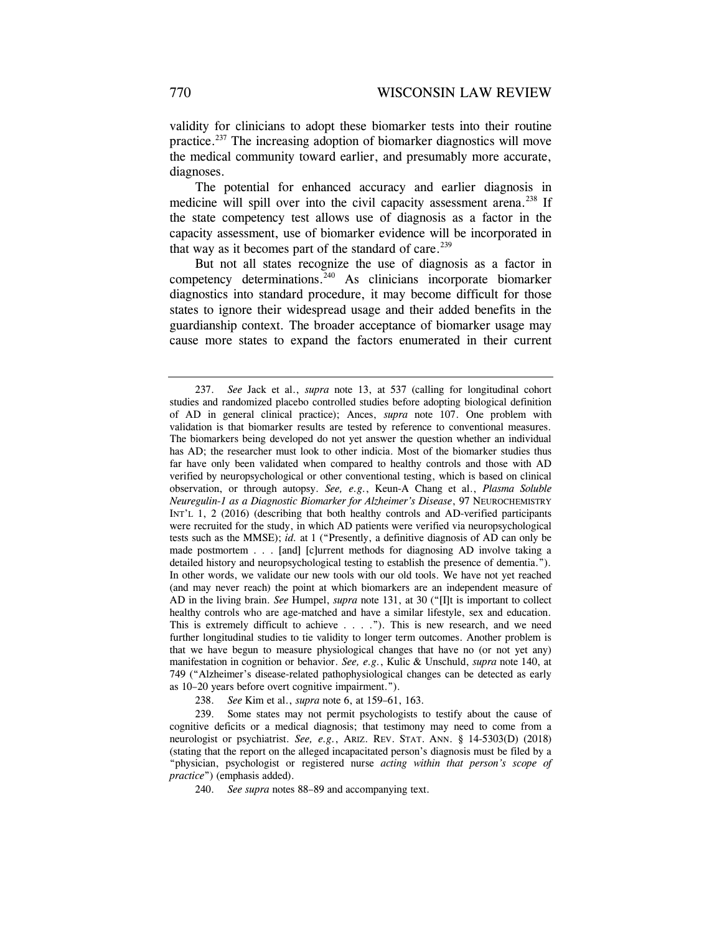validity for clinicians to adopt these biomarker tests into their routine practice.237 The increasing adoption of biomarker diagnostics will move the medical community toward earlier, and presumably more accurate, diagnoses.

The potential for enhanced accuracy and earlier diagnosis in medicine will spill over into the civil capacity assessment arena.<sup>238</sup> If the state competency test allows use of diagnosis as a factor in the capacity assessment, use of biomarker evidence will be incorporated in that way as it becomes part of the standard of care.<sup>239</sup>

But not all states recognize the use of diagnosis as a factor in competency determinations.240 As clinicians incorporate biomarker diagnostics into standard procedure, it may become difficult for those states to ignore their widespread usage and their added benefits in the guardianship context. The broader acceptance of biomarker usage may cause more states to expand the factors enumerated in their current

238. *See* Kim et al., *supra* note 6, at 159–61, 163.

 239. Some states may not permit psychologists to testify about the cause of cognitive deficits or a medical diagnosis; that testimony may need to come from a neurologist or psychiatrist. *See, e.g.*, ARIZ. REV. STAT. ANN. § 14-5303(D) (2018) (stating that the report on the alleged incapacitated person's diagnosis must be filed by a "physician, psychologist or registered nurse *acting within that person's scope of practice*") (emphasis added).

240. *See supra* notes 88–89 and accompanying text.

 <sup>237.</sup> *See* Jack et al., *supra* note 13, at 537 (calling for longitudinal cohort studies and randomized placebo controlled studies before adopting biological definition of AD in general clinical practice); Ances, *supra* note 107. One problem with validation is that biomarker results are tested by reference to conventional measures. The biomarkers being developed do not yet answer the question whether an individual has AD; the researcher must look to other indicia. Most of the biomarker studies thus far have only been validated when compared to healthy controls and those with AD verified by neuropsychological or other conventional testing, which is based on clinical observation, or through autopsy. *See, e.g.*, Keun-A Chang et al., *Plasma Soluble Neuregulin-1 as a Diagnostic Biomarker for Alzheimer's Disease*, 97 NEUROCHEMISTRY INT'L 1, 2 (2016) (describing that both healthy controls and AD-verified participants were recruited for the study, in which AD patients were verified via neuropsychological tests such as the MMSE); *id.* at 1 ("Presently, a definitive diagnosis of AD can only be made postmortem . . . [and] [c]urrent methods for diagnosing AD involve taking a detailed history and neuropsychological testing to establish the presence of dementia."). In other words, we validate our new tools with our old tools. We have not yet reached (and may never reach) the point at which biomarkers are an independent measure of AD in the living brain. *See* Humpel, *supra* note 131, at 30 ("[I]t is important to collect healthy controls who are age-matched and have a similar lifestyle, sex and education. This is extremely difficult to achieve . . . ."). This is new research, and we need further longitudinal studies to tie validity to longer term outcomes. Another problem is that we have begun to measure physiological changes that have no (or not yet any) manifestation in cognition or behavior. *See, e.g.*, Kulic & Unschuld, *supra* note 140, at 749 ("Alzheimer's disease-related pathophysiological changes can be detected as early as 10–20 years before overt cognitive impairment.").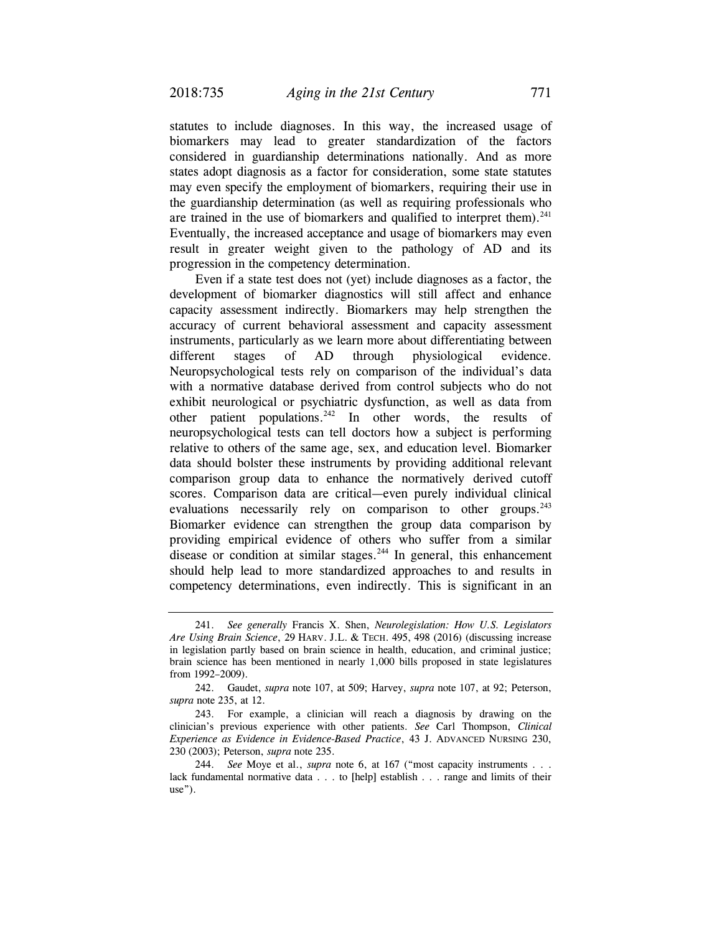statutes to include diagnoses. In this way, the increased usage of biomarkers may lead to greater standardization of the factors considered in guardianship determinations nationally. And as more states adopt diagnosis as a factor for consideration, some state statutes may even specify the employment of biomarkers, requiring their use in the guardianship determination (as well as requiring professionals who are trained in the use of biomarkers and qualified to interpret them). $241$ Eventually, the increased acceptance and usage of biomarkers may even result in greater weight given to the pathology of AD and its progression in the competency determination.

Even if a state test does not (yet) include diagnoses as a factor, the development of biomarker diagnostics will still affect and enhance capacity assessment indirectly. Biomarkers may help strengthen the accuracy of current behavioral assessment and capacity assessment instruments, particularly as we learn more about differentiating between different stages of AD through physiological evidence. Neuropsychological tests rely on comparison of the individual's data with a normative database derived from control subjects who do not exhibit neurological or psychiatric dysfunction, as well as data from other patient populations. $242$  In other words, the results of neuropsychological tests can tell doctors how a subject is performing relative to others of the same age, sex, and education level. Biomarker data should bolster these instruments by providing additional relevant comparison group data to enhance the normatively derived cutoff scores. Comparison data are critical—even purely individual clinical evaluations necessarily rely on comparison to other groups.<sup>243</sup> Biomarker evidence can strengthen the group data comparison by providing empirical evidence of others who suffer from a similar disease or condition at similar stages.<sup>244</sup> In general, this enhancement should help lead to more standardized approaches to and results in competency determinations, even indirectly. This is significant in an

 <sup>241.</sup> *See generally* Francis X. Shen, *Neurolegislation: How U.S. Legislators Are Using Brain Science*, 29 HARV. J.L. & TECH. 495, 498 (2016) (discussing increase in legislation partly based on brain science in health, education, and criminal justice; brain science has been mentioned in nearly 1,000 bills proposed in state legislatures from 1992–2009).

 <sup>242.</sup> Gaudet, *supra* note 107, at 509; Harvey, *supra* note 107, at 92; Peterson, *supra* note 235, at 12.

 <sup>243.</sup> For example, a clinician will reach a diagnosis by drawing on the clinician's previous experience with other patients. *See* Carl Thompson, *Clinical Experience as Evidence in Evidence-Based Practice*, 43 J. ADVANCED NURSING 230, 230 (2003); Peterson, *supra* note 235.

 <sup>244.</sup> *See* Moye et al., *supra* note 6, at 167 ("most capacity instruments . . . lack fundamental normative data . . . to [help] establish . . . range and limits of their use").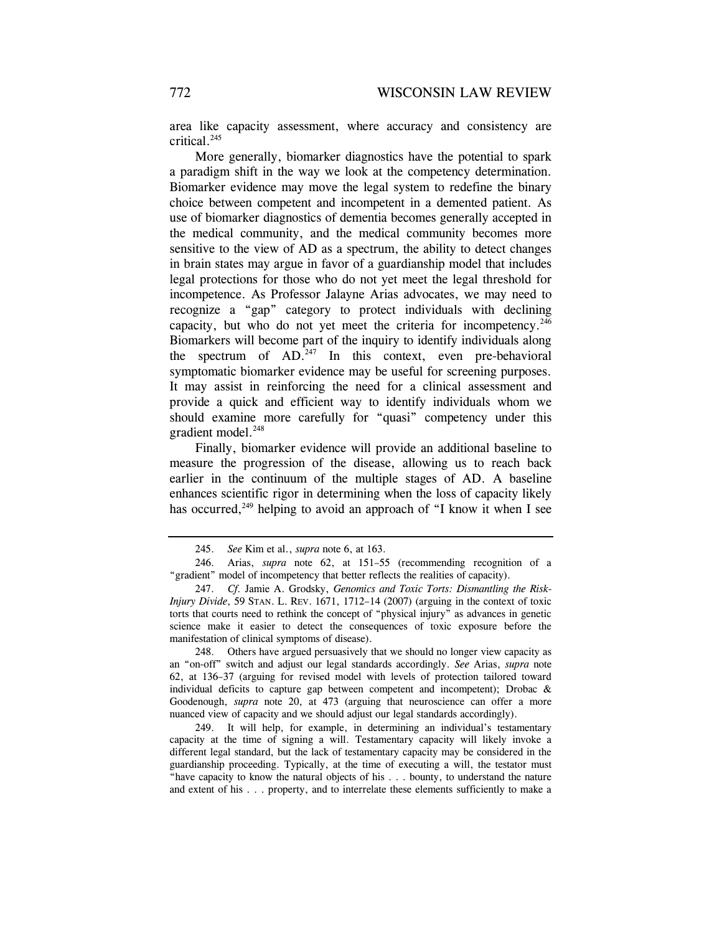area like capacity assessment, where accuracy and consistency are critical.245

More generally, biomarker diagnostics have the potential to spark a paradigm shift in the way we look at the competency determination. Biomarker evidence may move the legal system to redefine the binary choice between competent and incompetent in a demented patient. As use of biomarker diagnostics of dementia becomes generally accepted in the medical community, and the medical community becomes more sensitive to the view of AD as a spectrum, the ability to detect changes in brain states may argue in favor of a guardianship model that includes legal protections for those who do not yet meet the legal threshold for incompetence. As Professor Jalayne Arias advocates, we may need to recognize a "gap" category to protect individuals with declining capacity, but who do not yet meet the criteria for incompetency.<sup>246</sup> Biomarkers will become part of the inquiry to identify individuals along the spectrum of  $AD^{247}$  In this context, even pre-behavioral symptomatic biomarker evidence may be useful for screening purposes. It may assist in reinforcing the need for a clinical assessment and provide a quick and efficient way to identify individuals whom we should examine more carefully for "quasi" competency under this gradient model.<sup>248</sup>

Finally, biomarker evidence will provide an additional baseline to measure the progression of the disease, allowing us to reach back earlier in the continuum of the multiple stages of AD. A baseline enhances scientific rigor in determining when the loss of capacity likely has occurred,<sup>249</sup> helping to avoid an approach of "I know it when I see

 249. It will help, for example, in determining an individual's testamentary capacity at the time of signing a will. Testamentary capacity will likely invoke a different legal standard, but the lack of testamentary capacity may be considered in the guardianship proceeding. Typically, at the time of executing a will, the testator must "have capacity to know the natural objects of his . . . bounty, to understand the nature and extent of his . . . property, and to interrelate these elements sufficiently to make a

 <sup>245.</sup> *See* Kim et al., *supra* note 6, at 163.

 <sup>246.</sup> Arias, *supra* note 62, at 151–55 (recommending recognition of a "gradient" model of incompetency that better reflects the realities of capacity).

 <sup>247.</sup> *Cf.* Jamie A. Grodsky, *Genomics and Toxic Torts: Dismantling the Risk-Injury Divide*, 59 STAN. L. REV. 1671, 1712–14 (2007) (arguing in the context of toxic torts that courts need to rethink the concept of "physical injury" as advances in genetic science make it easier to detect the consequences of toxic exposure before the manifestation of clinical symptoms of disease).

 <sup>248.</sup> Others have argued persuasively that we should no longer view capacity as an "on-off" switch and adjust our legal standards accordingly. *See* Arias, *supra* note 62, at 136–37 (arguing for revised model with levels of protection tailored toward individual deficits to capture gap between competent and incompetent); Drobac  $\&$ Goodenough, *supra* note 20, at 473 (arguing that neuroscience can offer a more nuanced view of capacity and we should adjust our legal standards accordingly).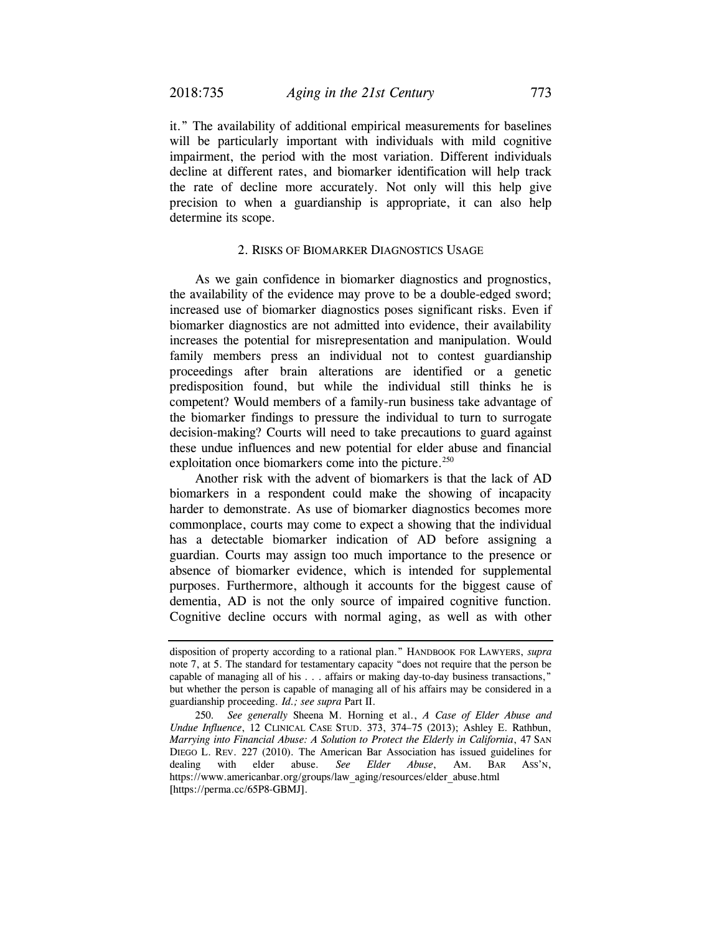it." The availability of additional empirical measurements for baselines will be particularly important with individuals with mild cognitive impairment, the period with the most variation. Different individuals decline at different rates, and biomarker identification will help track the rate of decline more accurately. Not only will this help give precision to when a guardianship is appropriate, it can also help determine its scope.

### 2. RISKS OF BIOMARKER DIAGNOSTICS USAGE

As we gain confidence in biomarker diagnostics and prognostics, the availability of the evidence may prove to be a double-edged sword; increased use of biomarker diagnostics poses significant risks. Even if biomarker diagnostics are not admitted into evidence, their availability increases the potential for misrepresentation and manipulation. Would family members press an individual not to contest guardianship proceedings after brain alterations are identified or a genetic predisposition found, but while the individual still thinks he is competent? Would members of a family-run business take advantage of the biomarker findings to pressure the individual to turn to surrogate decision-making? Courts will need to take precautions to guard against these undue influences and new potential for elder abuse and financial exploitation once biomarkers come into the picture.<sup>250</sup>

Another risk with the advent of biomarkers is that the lack of AD biomarkers in a respondent could make the showing of incapacity harder to demonstrate. As use of biomarker diagnostics becomes more commonplace, courts may come to expect a showing that the individual has a detectable biomarker indication of AD before assigning a guardian. Courts may assign too much importance to the presence or absence of biomarker evidence, which is intended for supplemental purposes. Furthermore, although it accounts for the biggest cause of dementia, AD is not the only source of impaired cognitive function. Cognitive decline occurs with normal aging, as well as with other

disposition of property according to a rational plan." HANDBOOK FOR LAWYERS, *supra*  note 7, at 5. The standard for testamentary capacity "does not require that the person be capable of managing all of his . . . affairs or making day-to-day business transactions," but whether the person is capable of managing all of his affairs may be considered in a guardianship proceeding. *Id.; see supra* Part II.

<sup>250</sup>*. See generally* Sheena M. Horning et al., *A Case of Elder Abuse and Undue Influence*, 12 CLINICAL CASE STUD. 373, 374–75 (2013); Ashley E. Rathbun, *Marrying into Financial Abuse: A Solution to Protect the Elderly in California*, 47 SAN DIEGO L. REV. 227 (2010). The American Bar Association has issued guidelines for dealing with elder abuse. *See Elder Abuse*, AM. BAR ASS'N, https://www.americanbar.org/groups/law\_aging/resources/elder\_abuse.html [https://perma.cc/65P8-GBMJ].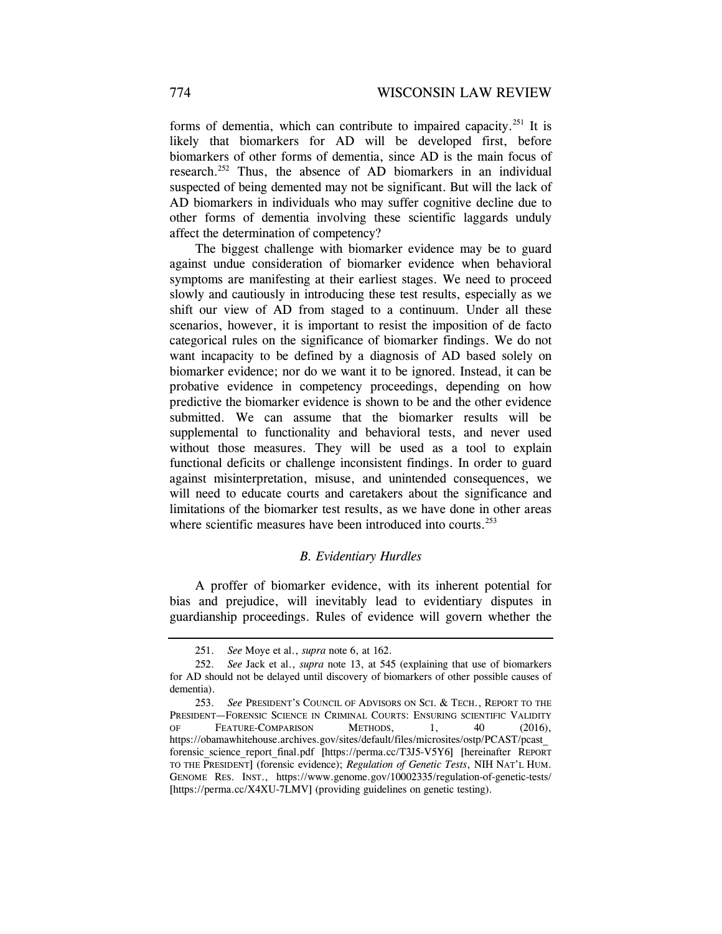forms of dementia, which can contribute to impaired capacity.<sup>251</sup> It is likely that biomarkers for AD will be developed first, before biomarkers of other forms of dementia, since AD is the main focus of research.<sup>252</sup> Thus, the absence of AD biomarkers in an individual suspected of being demented may not be significant. But will the lack of AD biomarkers in individuals who may suffer cognitive decline due to other forms of dementia involving these scientific laggards unduly affect the determination of competency?

The biggest challenge with biomarker evidence may be to guard against undue consideration of biomarker evidence when behavioral symptoms are manifesting at their earliest stages. We need to proceed slowly and cautiously in introducing these test results, especially as we shift our view of AD from staged to a continuum. Under all these scenarios, however, it is important to resist the imposition of de facto categorical rules on the significance of biomarker findings. We do not want incapacity to be defined by a diagnosis of AD based solely on biomarker evidence; nor do we want it to be ignored. Instead, it can be probative evidence in competency proceedings, depending on how predictive the biomarker evidence is shown to be and the other evidence submitted. We can assume that the biomarker results will be supplemental to functionality and behavioral tests, and never used without those measures. They will be used as a tool to explain functional deficits or challenge inconsistent findings. In order to guard against misinterpretation, misuse, and unintended consequences, we will need to educate courts and caretakers about the significance and limitations of the biomarker test results, as we have done in other areas where scientific measures have been introduced into courts.<sup>253</sup>

### *B. Evidentiary Hurdles*

A proffer of biomarker evidence, with its inherent potential for bias and prejudice, will inevitably lead to evidentiary disputes in guardianship proceedings. Rules of evidence will govern whether the

 <sup>251.</sup> *See* Moye et al., *supra* note 6, at 162.

 <sup>252.</sup> *See* Jack et al., *supra* note 13, at 545 (explaining that use of biomarkers for AD should not be delayed until discovery of biomarkers of other possible causes of dementia).

 <sup>253.</sup> *See* PRESIDENT'S COUNCIL OF ADVISORS ON SCI. & TECH., REPORT TO THE PRESIDENT—FORENSIC SCIENCE IN CRIMINAL COURTS: ENSURING SCIENTIFIC VALIDITY OF FEATURE-COMPARISON METHODS, 1, 40 (2016), https://obamawhitehouse.archives.gov/sites/default/files/microsites/ostp/PCAST/pcast\_ forensic\_science\_report\_final.pdf [https://perma.cc/T3J5-V5Y6] [hereinafter REPORT TO THE PRESIDENT] (forensic evidence); *Regulation of Genetic Tests*, NIH NAT'L HUM. GENOME RES. INST., https://www.genome.gov/10002335/regulation-of-genetic-tests/ [https://perma.cc/X4XU-7LMV] (providing guidelines on genetic testing).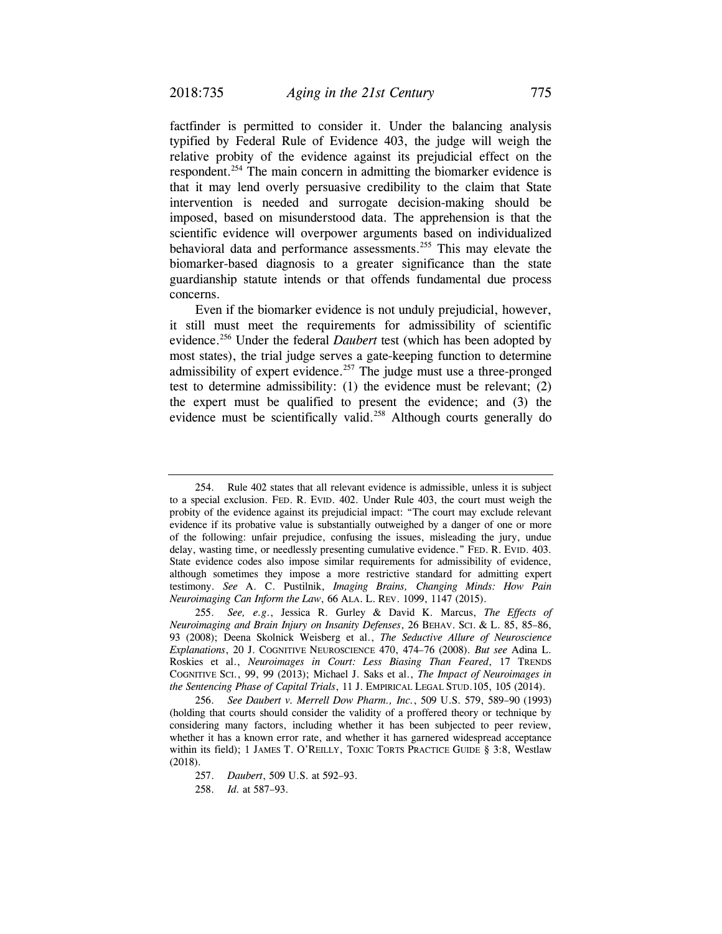factfinder is permitted to consider it. Under the balancing analysis typified by Federal Rule of Evidence 403, the judge will weigh the relative probity of the evidence against its prejudicial effect on the respondent.<sup>254</sup> The main concern in admitting the biomarker evidence is that it may lend overly persuasive credibility to the claim that State intervention is needed and surrogate decision-making should be imposed, based on misunderstood data. The apprehension is that the scientific evidence will overpower arguments based on individualized behavioral data and performance assessments.<sup>255</sup> This may elevate the biomarker-based diagnosis to a greater significance than the state guardianship statute intends or that offends fundamental due process concerns.

Even if the biomarker evidence is not unduly prejudicial, however, it still must meet the requirements for admissibility of scientific evidence.256 Under the federal *Daubert* test (which has been adopted by most states), the trial judge serves a gate-keeping function to determine admissibility of expert evidence.<sup>257</sup> The judge must use a three-pronged test to determine admissibility: (1) the evidence must be relevant; (2) the expert must be qualified to present the evidence; and (3) the evidence must be scientifically valid.<sup>258</sup> Although courts generally do

 <sup>254.</sup> Rule 402 states that all relevant evidence is admissible, unless it is subject to a special exclusion. FED. R. EVID. 402. Under Rule 403, the court must weigh the probity of the evidence against its prejudicial impact: "The court may exclude relevant evidence if its probative value is substantially outweighed by a danger of one or more of the following: unfair prejudice, confusing the issues, misleading the jury, undue delay, wasting time, or needlessly presenting cumulative evidence." FED. R. EVID. 403. State evidence codes also impose similar requirements for admissibility of evidence, although sometimes they impose a more restrictive standard for admitting expert testimony. *See* A. C. Pustilnik, *Imaging Brains, Changing Minds: How Pain Neuroimaging Can Inform the Law*, 66 ALA. L. REV. 1099, 1147 (2015).

 <sup>255.</sup> *See, e.g*., Jessica R. Gurley & David K. Marcus, *The Effects of Neuroimaging and Brain Injury on Insanity Defenses*, 26 BEHAV. SCI. & L. 85, 85–86, 93 (2008); Deena Skolnick Weisberg et al., *The Seductive Allure of Neuroscience Explanations*, 20 J. COGNITIVE NEUROSCIENCE 470, 474–76 (2008). *But see* Adina L. Roskies et al., *Neuroimages in Court: Less Biasing Than Feared*, 17 TRENDS COGNITIVE SCI., 99, 99 (2013); Michael J. Saks et al., *The Impact of Neuroimages in the Sentencing Phase of Capital Trials*, 11 J. EMPIRICAL LEGAL STUD.105, 105 (2014).

 <sup>256.</sup> *See Daubert v. Merrell Dow Pharm., Inc.*, 509 U.S. 579, 589–90 (1993) (holding that courts should consider the validity of a proffered theory or technique by considering many factors, including whether it has been subjected to peer review, whether it has a known error rate, and whether it has garnered widespread acceptance within its field); 1 JAMES T. O'REILLY, TOXIC TORTS PRACTICE GUIDE § 3:8, Westlaw (2018).

 <sup>257.</sup> *Daubert*, 509 U.S. at 592–93.

 <sup>258.</sup> *Id.* at 587–93.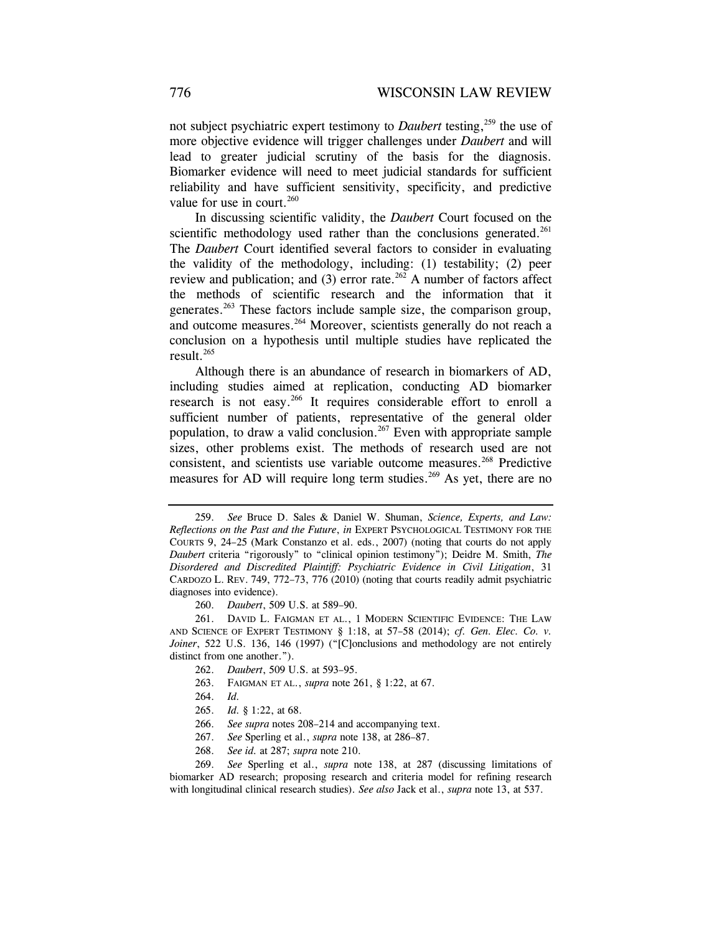not subject psychiatric expert testimony to *Daubert* testing,<sup>259</sup> the use of more objective evidence will trigger challenges under *Daubert* and will lead to greater judicial scrutiny of the basis for the diagnosis. Biomarker evidence will need to meet judicial standards for sufficient reliability and have sufficient sensitivity, specificity, and predictive value for use in court.<sup>260</sup>

In discussing scientific validity, the *Daubert* Court focused on the scientific methodology used rather than the conclusions generated.<sup>261</sup> The *Daubert* Court identified several factors to consider in evaluating the validity of the methodology, including: (1) testability; (2) peer review and publication; and (3) error rate.<sup>262</sup> A number of factors affect the methods of scientific research and the information that it generates.263 These factors include sample size, the comparison group, and outcome measures.<sup>264</sup> Moreover, scientists generally do not reach a conclusion on a hypothesis until multiple studies have replicated the result.265

Although there is an abundance of research in biomarkers of AD, including studies aimed at replication, conducting AD biomarker research is not easy.<sup>266</sup> It requires considerable effort to enroll a sufficient number of patients, representative of the general older population, to draw a valid conclusion.<sup>267</sup> Even with appropriate sample sizes, other problems exist. The methods of research used are not consistent, and scientists use variable outcome measures.<sup>268</sup> Predictive measures for AD will require long term studies.<sup>269</sup> As yet, there are no

260. *Daubert*, 509 U.S. at 589–90.

 261. DAVID L. FAIGMAN ET AL., 1 MODERN SCIENTIFIC EVIDENCE: THE LAW AND SCIENCE OF EXPERT TESTIMONY § 1:18, at 57–58 (2014); *cf. Gen. Elec. Co. v. Joiner*, 522 U.S. 136, 146 (1997) ("[C]onclusions and methodology are not entirely distinct from one another.").

- 262. *Daubert*, 509 U.S. at 593–95.
- 263. FAIGMAN ET AL., *supra* note 261, § 1:22, at 67.
- 264. *Id.*
- 265. *Id.* § 1:22, at 68.
- 266. *See supra* notes 208–214 and accompanying text.
- 267. *See* Sperling et al., *supra* note 138, at 286–87.
- 268. *See id.* at 287; *supra* note 210.

 <sup>259.</sup> *See* Bruce D. Sales & Daniel W. Shuman, *Science, Experts, and Law: Reflections on the Past and the Future*, *in* EXPERT PSYCHOLOGICAL TESTIMONY FOR THE COURTS 9, 24–25 (Mark Constanzo et al. eds., 2007) (noting that courts do not apply *Daubert* criteria "rigorously" to "clinical opinion testimony"); Deidre M. Smith, *The Disordered and Discredited Plaintiff: Psychiatric Evidence in Civil Litigation*, 31 CARDOZO L. REV. 749, 772–73, 776 (2010) (noting that courts readily admit psychiatric diagnoses into evidence).

 <sup>269.</sup> *See* Sperling et al., *supra* note 138, at 287 (discussing limitations of biomarker AD research; proposing research and criteria model for refining research with longitudinal clinical research studies). *See also* Jack et al., *supra* note 13, at 537.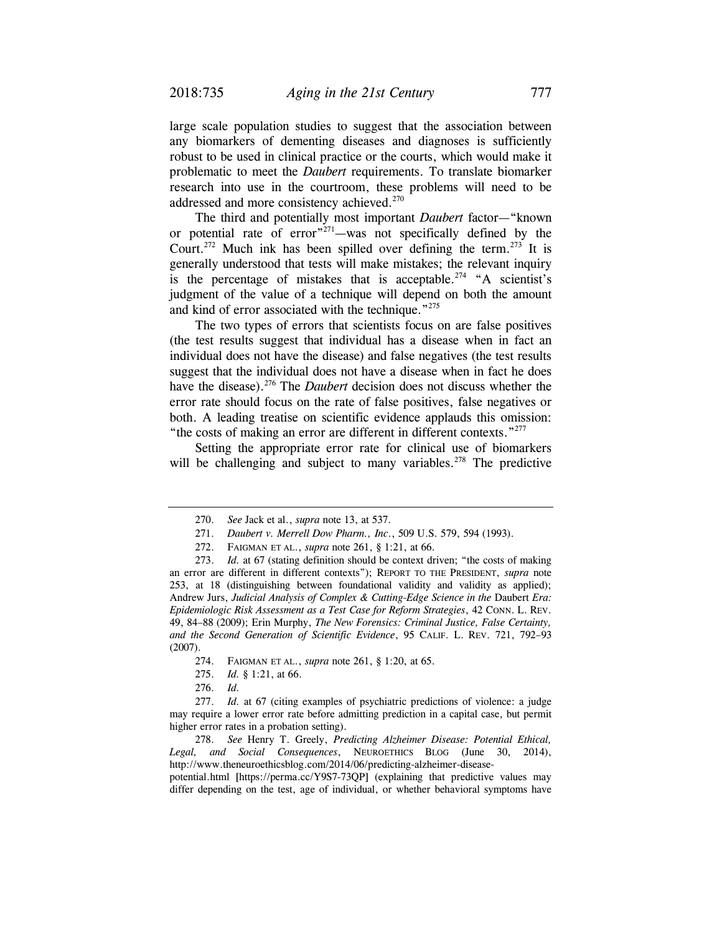large scale population studies to suggest that the association between any biomarkers of dementing diseases and diagnoses is sufficiently robust to be used in clinical practice or the courts, which would make it problematic to meet the *Daubert* requirements. To translate biomarker research into use in the courtroom, these problems will need to be addressed and more consistency achieved.<sup>270</sup>

The third and potentially most important *Daubert* factor—"known or potential rate of error $\frac{1}{271}$ —was not specifically defined by the Court.<sup>272</sup> Much ink has been spilled over defining the term.<sup>273</sup> It is generally understood that tests will make mistakes; the relevant inquiry is the percentage of mistakes that is acceptable.<sup>274</sup> "A scientist's judgment of the value of a technique will depend on both the amount and kind of error associated with the technique."<sup>275</sup>

The two types of errors that scientists focus on are false positives (the test results suggest that individual has a disease when in fact an individual does not have the disease) and false negatives (the test results suggest that the individual does not have a disease when in fact he does have the disease).<sup>276</sup> The *Daubert* decision does not discuss whether the error rate should focus on the rate of false positives, false negatives or both. A leading treatise on scientific evidence applauds this omission: "the costs of making an error are different in different contexts."<sup>277</sup>

Setting the appropriate error rate for clinical use of biomarkers will be challenging and subject to many variables.<sup>278</sup> The predictive

- 274. FAIGMAN ET AL., *supra* note 261, § 1:20, at 65.
- 275. *Id.* § 1:21, at 66.
- 276. *Id.*

 <sup>270.</sup> *See* Jack et al., *supra* note 13, at 537.

 <sup>271.</sup> *Daubert v. Merrell Dow Pharm., Inc*., 509 U.S. 579, 594 (1993).

 <sup>272.</sup> FAIGMAN ET AL., *supra* note 261, § 1:21, at 66.

 <sup>273.</sup> *Id.* at 67 (stating definition should be context driven; "the costs of making an error are different in different contexts"); REPORT TO THE PRESIDENT, *supra* note 253, at 18 (distinguishing between foundational validity and validity as applied); Andrew Jurs, *Judicial Analysis of Complex & Cutting-Edge Science in the* Daubert *Era: Epidemiologic Risk Assessment as a Test Case for Reform Strategies*, 42 CONN. L. REV. 49, 84–88 (2009); Erin Murphy, *The New Forensics: Criminal Justice, False Certainty, and the Second Generation of Scientific Evidence*, 95 CALIF. L. REV. 721, 792–93 (2007).

 <sup>277.</sup> *Id.* at 67 (citing examples of psychiatric predictions of violence: a judge may require a lower error rate before admitting prediction in a capital case, but permit higher error rates in a probation setting).

 <sup>278.</sup> *See* Henry T. Greely, *Predicting Alzheimer Disease: Potential Ethical, Legal, and Social Consequences*, NEUROETHICS BLOG (June 30, 2014), http://www.theneuroethicsblog.com/2014/06/predicting-alzheimer-disease-

potential.html [https://perma.cc/Y9S7-73QP] (explaining that predictive values may differ depending on the test, age of individual, or whether behavioral symptoms have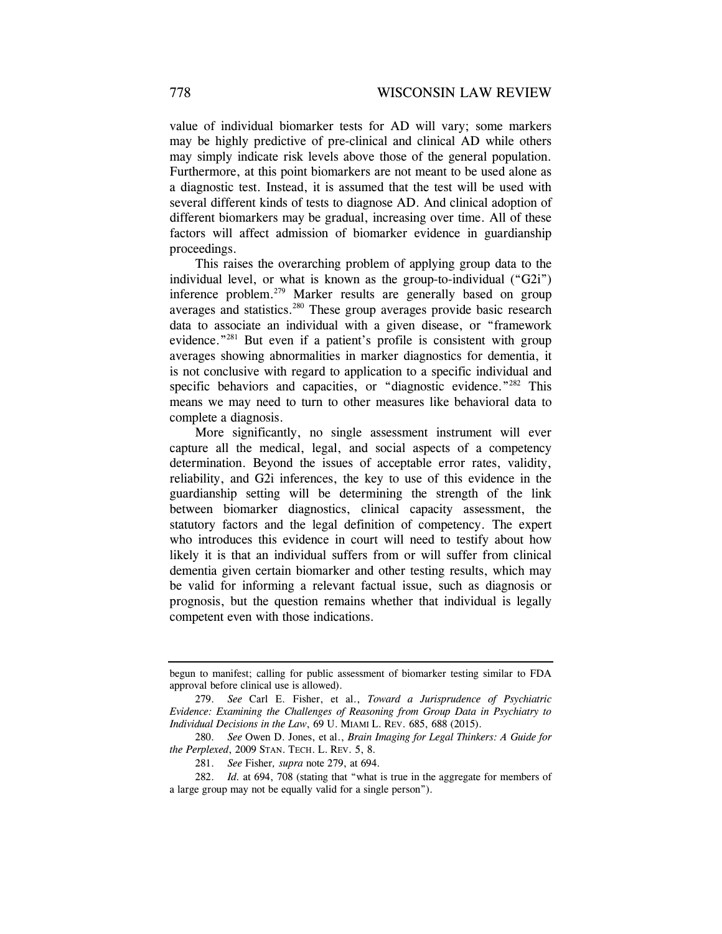value of individual biomarker tests for AD will vary; some markers may be highly predictive of pre-clinical and clinical AD while others may simply indicate risk levels above those of the general population. Furthermore, at this point biomarkers are not meant to be used alone as a diagnostic test. Instead, it is assumed that the test will be used with several different kinds of tests to diagnose AD. And clinical adoption of different biomarkers may be gradual, increasing over time. All of these factors will affect admission of biomarker evidence in guardianship proceedings.

This raises the overarching problem of applying group data to the individual level, or what is known as the group-to-individual ("G2i") inference problem.<sup>279</sup> Marker results are generally based on group averages and statistics.280 These group averages provide basic research data to associate an individual with a given disease, or "framework evidence."281 But even if a patient's profile is consistent with group averages showing abnormalities in marker diagnostics for dementia, it is not conclusive with regard to application to a specific individual and specific behaviors and capacities, or "diagnostic evidence."<sup>282</sup> This means we may need to turn to other measures like behavioral data to complete a diagnosis.

More significantly, no single assessment instrument will ever capture all the medical, legal, and social aspects of a competency determination. Beyond the issues of acceptable error rates, validity, reliability, and G2i inferences, the key to use of this evidence in the guardianship setting will be determining the strength of the link between biomarker diagnostics, clinical capacity assessment, the statutory factors and the legal definition of competency. The expert who introduces this evidence in court will need to testify about how likely it is that an individual suffers from or will suffer from clinical dementia given certain biomarker and other testing results, which may be valid for informing a relevant factual issue, such as diagnosis or prognosis, but the question remains whether that individual is legally competent even with those indications.

begun to manifest; calling for public assessment of biomarker testing similar to FDA approval before clinical use is allowed).

 <sup>279.</sup> *See* Carl E. Fisher, et al., *Toward a Jurisprudence of Psychiatric Evidence: Examining the Challenges of Reasoning from Group Data in Psychiatry to Individual Decisions in the Law*, 69 U. MIAMI L. REV. 685, 688 (2015).

 <sup>280.</sup> *See* Owen D. Jones, et al., *Brain Imaging for Legal Thinkers: A Guide for the Perplexed*, 2009 STAN. TECH. L. REV. 5, 8.

 <sup>281.</sup> *See* Fisher*, supra* note 279, at 694.

 <sup>282.</sup> *Id.* at 694, 708 (stating that "what is true in the aggregate for members of a large group may not be equally valid for a single person").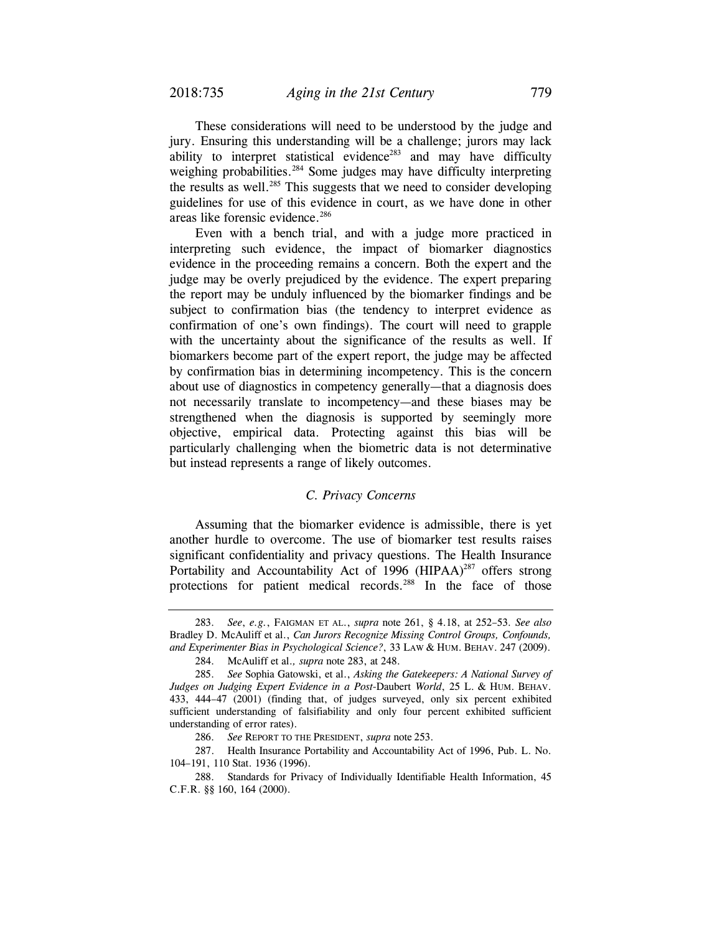These considerations will need to be understood by the judge and jury. Ensuring this understanding will be a challenge; jurors may lack ability to interpret statistical evidence<sup>283</sup> and may have difficulty weighing probabilities.<sup>284</sup> Some judges may have difficulty interpreting the results as well.<sup>285</sup> This suggests that we need to consider developing guidelines for use of this evidence in court, as we have done in other areas like forensic evidence.<sup>286</sup>

Even with a bench trial, and with a judge more practiced in interpreting such evidence, the impact of biomarker diagnostics evidence in the proceeding remains a concern. Both the expert and the judge may be overly prejudiced by the evidence. The expert preparing the report may be unduly influenced by the biomarker findings and be subject to confirmation bias (the tendency to interpret evidence as confirmation of one's own findings). The court will need to grapple with the uncertainty about the significance of the results as well. If biomarkers become part of the expert report, the judge may be affected by confirmation bias in determining incompetency. This is the concern about use of diagnostics in competency generally—that a diagnosis does not necessarily translate to incompetency—and these biases may be strengthened when the diagnosis is supported by seemingly more objective, empirical data. Protecting against this bias will be particularly challenging when the biometric data is not determinative but instead represents a range of likely outcomes.

### *C. Privacy Concerns*

Assuming that the biomarker evidence is admissible, there is yet another hurdle to overcome. The use of biomarker test results raises significant confidentiality and privacy questions. The Health Insurance Portability and Accountability Act of 1996 (HIPAA)<sup>287</sup> offers strong protections for patient medical records.<sup>288</sup> In the face of those

 <sup>283.</sup> *See*, *e.g.*, FAIGMAN ET AL., *supra* note 261, § 4.18, at 252–53. *See also* Bradley D. McAuliff et al., *Can Jurors Recognize Missing Control Groups, Confounds, and Experimenter Bias in Psychological Science?*, 33 LAW & HUM. BEHAV. 247 (2009).

 <sup>284.</sup> McAuliff et al.*, supra* note 283, at 248.

 <sup>285.</sup> *See* Sophia Gatowski, et al., *Asking the Gatekeepers: A National Survey of Judges on Judging Expert Evidence in a Post-*Daubert *World*, 25 L. & HUM. BEHAV. 433, 444–47 (2001) (finding that, of judges surveyed, only six percent exhibited sufficient understanding of falsifiability and only four percent exhibited sufficient understanding of error rates).

 <sup>286.</sup> *See* REPORT TO THE PRESIDENT, *supra* note 253.

 <sup>287.</sup> Health Insurance Portability and Accountability Act of 1996, Pub. L. No. 104–191, 110 Stat. 1936 (1996).

 <sup>288.</sup> Standards for Privacy of Individually Identifiable Health Information, 45 C.F.R. §§ 160, 164 (2000).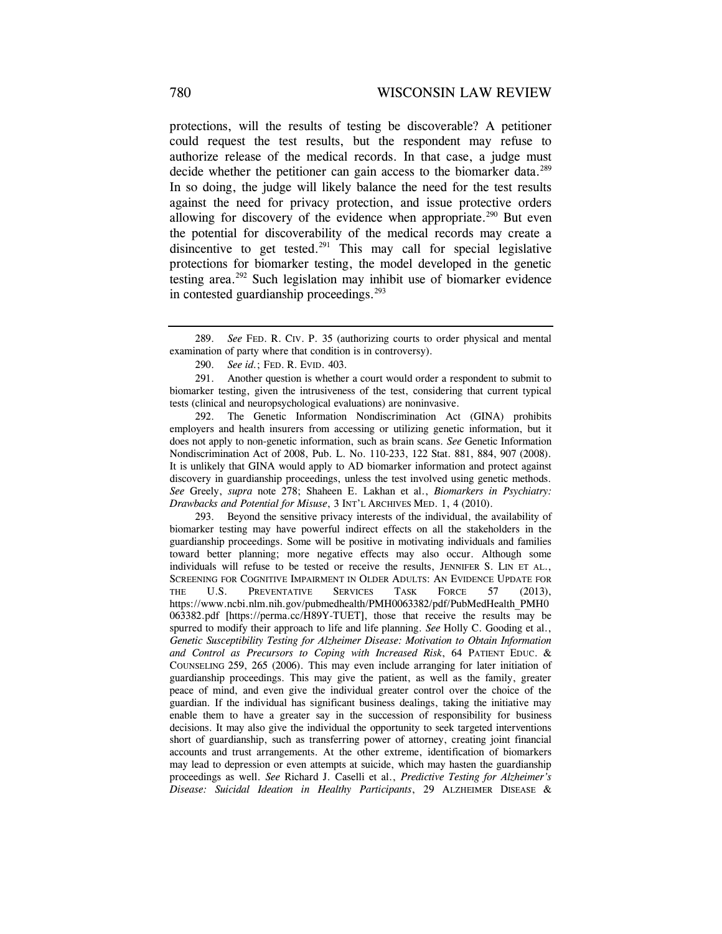protections, will the results of testing be discoverable? A petitioner could request the test results, but the respondent may refuse to authorize release of the medical records. In that case, a judge must decide whether the petitioner can gain access to the biomarker data.<sup>289</sup> In so doing, the judge will likely balance the need for the test results against the need for privacy protection, and issue protective orders allowing for discovery of the evidence when appropriate.<sup>290</sup> But even the potential for discoverability of the medical records may create a disincentive to get tested. $291$  This may call for special legislative protections for biomarker testing, the model developed in the genetic testing area.292 Such legislation may inhibit use of biomarker evidence in contested guardianship proceedings. $293$ 

 291. Another question is whether a court would order a respondent to submit to biomarker testing, given the intrusiveness of the test, considering that current typical tests (clinical and neuropsychological evaluations) are noninvasive.

 292. The Genetic Information Nondiscrimination Act (GINA) prohibits employers and health insurers from accessing or utilizing genetic information, but it does not apply to non-genetic information, such as brain scans. *See* Genetic Information Nondiscrimination Act of 2008, Pub. L. No. 110-233, 122 Stat. 881, 884, 907 (2008). It is unlikely that GINA would apply to AD biomarker information and protect against discovery in guardianship proceedings, unless the test involved using genetic methods. *See* Greely, *supra* note 278; Shaheen E. Lakhan et al., *Biomarkers in Psychiatry: Drawbacks and Potential for Misuse*, 3 INT'L ARCHIVES MED. 1, 4 (2010).

 293. Beyond the sensitive privacy interests of the individual, the availability of biomarker testing may have powerful indirect effects on all the stakeholders in the guardianship proceedings. Some will be positive in motivating individuals and families toward better planning; more negative effects may also occur. Although some individuals will refuse to be tested or receive the results, JENNIFER S. LIN ET AL., SCREENING FOR COGNITIVE IMPAIRMENT IN OLDER ADULTS: AN EVIDENCE UPDATE FOR THE U.S. PREVENTATIVE SERVICES TASK FORCE 57 (2013), https://www.ncbi.nlm.nih.gov/pubmedhealth/PMH0063382/pdf/PubMedHealth\_PMH0 063382.pdf [https://perma.cc/H89Y-TUET], those that receive the results may be spurred to modify their approach to life and life planning. *See* Holly C. Gooding et al., *Genetic Susceptibility Testing for Alzheimer Disease: Motivation to Obtain Information and Control as Precursors to Coping with Increased Risk*, 64 PATIENT EDUC. & COUNSELING 259, 265 (2006). This may even include arranging for later initiation of guardianship proceedings. This may give the patient, as well as the family, greater peace of mind, and even give the individual greater control over the choice of the guardian. If the individual has significant business dealings, taking the initiative may enable them to have a greater say in the succession of responsibility for business decisions. It may also give the individual the opportunity to seek targeted interventions short of guardianship, such as transferring power of attorney, creating joint financial accounts and trust arrangements. At the other extreme, identification of biomarkers may lead to depression or even attempts at suicide, which may hasten the guardianship proceedings as well. *See* Richard J. Caselli et al., *Predictive Testing for Alzheimer's Disease: Suicidal Ideation in Healthy Participants*, 29 ALZHEIMER DISEASE &

 <sup>289.</sup> *See* FED. R. CIV. P. 35 (authorizing courts to order physical and mental examination of party where that condition is in controversy).

 <sup>290.</sup> *See id.*; FED. R. EVID. 403.